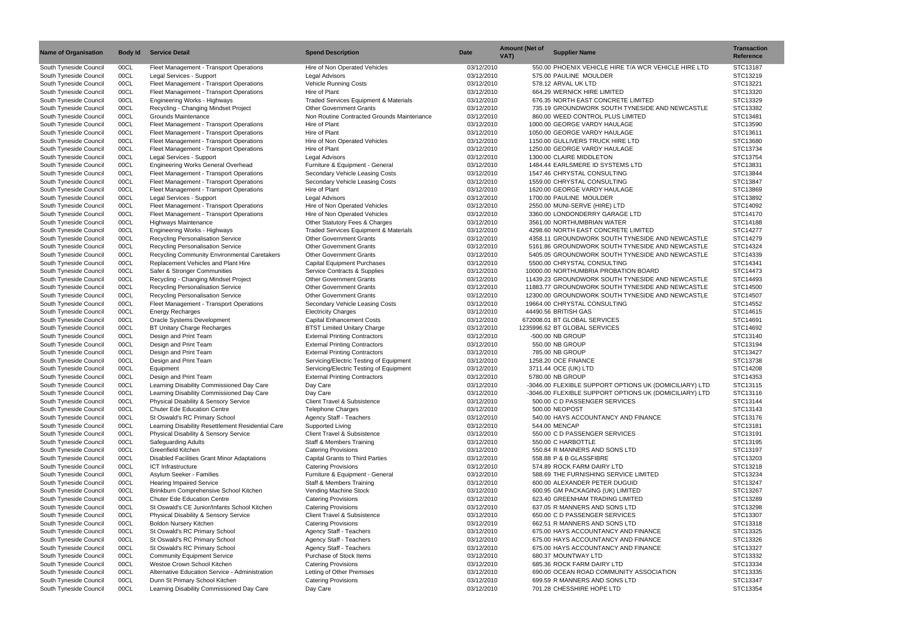| <b>Name of Organisation</b> | Body Id | <b>Service Detail</b>                             | <b>Spend Description</b>                         | Date       | <b>Amount (Net of</b><br><b>Supplier Name</b><br>VAT)  | <b>Transaction</b><br><b>Reference</b> |
|-----------------------------|---------|---------------------------------------------------|--------------------------------------------------|------------|--------------------------------------------------------|----------------------------------------|
| South Tyneside Council      | 00CL    | Fleet Management - Transport Operations           | Hire of Non Operated Vehicles                    | 03/12/2010 | 550.00 PHOENIX VEHICLE HIRE T/A WCR VEHICLE HIRE LTD   | STC13187                               |
| South Tyneside Council      | 00CL    | Legal Services - Support                          | <b>Legal Advisors</b>                            | 03/12/2010 | 575.00 PAULINE MOULDER                                 | STC13219                               |
| South Tyneside Council      | 00CL    | Fleet Management - Transport Operations           | <b>Vehicle Running Costs</b>                     | 03/12/2010 | 578.12 ARVAL UK LTD                                    | STC13221                               |
| South Tyneside Council      | 00CL    | Fleet Management - Transport Operations           | Hire of Plant                                    | 03/12/2010 | 664.29 WERNICK HIRE LIMITED                            | STC13320                               |
| South Tyneside Council      | 00CL    | Engineering Works - Highways                      | Traded Services Equipment & Materials            | 03/12/2010 | 676.35 NORTH EAST CONCRETE LIMITED                     | STC13329                               |
| South Tyneside Council      | 00CL    | Recycling - Changing Mindset Project              | <b>Other Government Grants</b>                   | 03/12/2010 | 735.19 GROUNDWORK SOUTH TYNESIDE AND NEWCASTLE         | STC13382                               |
| South Tyneside Council      | 00CL    | Grounds Maintenance                               | Non Routine Contracted Grounds Maintenance       | 03/12/2010 | 860.00 WEED CONTROL PLUS LIMITED                       | STC13481                               |
| South Tyneside Council      | 00CL    | Fleet Management - Transport Operations           | Hire of Plant                                    | 03/12/2010 | 1000.00 GEORGE VARDY HAULAGE                           | STC13590                               |
| South Tyneside Council      | 00CL    | Fleet Management - Transport Operations           | Hire of Plant                                    | 03/12/2010 | 1050.00 GEORGE VARDY HAULAGE                           | STC13611                               |
| South Tyneside Council      | 00CL    | Fleet Management - Transport Operations           | Hire of Non Operated Vehicles                    | 03/12/2010 | 1150.00 GULLIVERS TRUCK HIRE LTD                       | STC13680                               |
| South Tyneside Council      | 00CL    | Fleet Management - Transport Operations           | Hire of Plant                                    | 03/12/2010 | 1250.00 GEORGE VARDY HAULAGE                           | STC13734                               |
| South Tyneside Council      | 00CL    | Legal Services - Support                          | <b>Legal Advisors</b>                            | 03/12/2010 | 1300.00 CLAIRE MIDDLETON                               | STC13754                               |
| South Tyneside Council      | 00CL    | <b>Engineering Works General Overhead</b>         | Furniture & Equipment - General                  | 03/12/2010 | 1484.44 EARLSMERE ID SYSTEMS LTD                       | STC13831                               |
| South Tyneside Council      | 00CL    | Fleet Management - Transport Operations           | Secondary Vehicle Leasing Costs                  | 03/12/2010 | 1547.46 CHRYSTAL CONSULTING                            | STC13844                               |
| South Tyneside Council      | 00CL    | Fleet Management - Transport Operations           | Secondary Vehicle Leasing Costs                  | 03/12/2010 | 1559.00 CHRYSTAL CONSULTING                            | STC13847                               |
| South Tyneside Council      | 00CL    | Fleet Management - Transport Operations           | Hire of Plant                                    | 03/12/2010 | 1620.00 GEORGE VARDY HAULAGE                           | STC13869                               |
| South Tyneside Council      | 00CL    | Legal Services - Support                          | <b>Legal Advisors</b>                            | 03/12/2010 | 1700.00 PAULINE MOULDER                                | STC13892                               |
| South Tyneside Council      | 00CL    | Fleet Management - Transport Operations           | Hire of Non Operated Vehicles                    | 03/12/2010 | 2550.00 MUNI-SERVE (HIRE) LTD                          | STC14092                               |
| South Tyneside Council      | 00CL    | Fleet Management - Transport Operations           | Hire of Non Operated Vehicles                    | 03/12/2010 | 3360.00 LONDONDERRY GARAGE LTD                         | STC14170                               |
| South Tyneside Council      | 00CL    | Highways Maintenance                              | Other Statutory Fees & Charges                   | 03/12/2010 | 3561.00 NORTHUMBRIAN WATER                             | STC14188                               |
| South Tyneside Council      | 00CL    | Engineering Works - Highways                      | <b>Traded Services Equipment &amp; Materials</b> | 03/12/2010 | 4298.60 NORTH EAST CONCRETE LIMITED                    | STC14277                               |
| South Tyneside Council      | 00CL    | <b>Recycling Personalisation Service</b>          | <b>Other Government Grants</b>                   | 03/12/2010 | 4358.11 GROUNDWORK SOUTH TYNESIDE AND NEWCASTLE        | STC14279                               |
| South Tyneside Council      | 00CL    | <b>Recycling Personalisation Service</b>          | <b>Other Government Grants</b>                   | 03/12/2010 | 5161.86 GROUNDWORK SOUTH TYNESIDE AND NEWCASTLE        | STC14324                               |
| South Tyneside Council      | 00CL    | Recycling Community Environmental Caretakers      | <b>Other Government Grants</b>                   | 03/12/2010 | 5405.05 GROUNDWORK SOUTH TYNESIDE AND NEWCASTLE        | STC14339                               |
| South Tyneside Council      | 00CL    | Replacement Vehicles and Plant Hire               | <b>Capital Equipment Purchases</b>               | 03/12/2010 | 5500.00 CHRYSTAL CONSULTING                            | STC14341                               |
| South Tyneside Council      | 00CL    | Safer & Stronger Communities                      | Service Contracts & Supplies                     | 03/12/2010 | 10000.00 NORTHUMBRIA PROBATION BOARD                   | STC14473                               |
| South Tyneside Council      | 00CL    | Recycling - Changing Mindset Project              | <b>Other Government Grants</b>                   | 03/12/2010 | 11439.23 GROUNDWORK SOUTH TYNESIDE AND NEWCASTLE       | STC14493                               |
| South Tyneside Council      | 00CL    | Recycling Personalisation Service                 | <b>Other Government Grants</b>                   | 03/12/2010 | 11883.77 GROUNDWORK SOUTH TYNESIDE AND NEWCASTLE       | STC14500                               |
| South Tyneside Council      | 00CL    | Recycling Personalisation Service                 | <b>Other Government Grants</b>                   | 03/12/2010 | 12300.00 GROUNDWORK SOUTH TYNESIDE AND NEWCASTLE       | STC14507                               |
| South Tyneside Council      | 00CL    | Fleet Management - Transport Operations           | Secondary Vehicle Leasing Costs                  | 03/12/2010 | 19664.00 CHRYSTAL CONSULTING                           | STC14552                               |
| South Tyneside Council      | 00CL    | <b>Energy Recharges</b>                           | <b>Electricity Charges</b>                       | 03/12/2010 | 44490.56 BRITISH GAS                                   | STC14615                               |
| South Tyneside Council      | 00CL    | Oracle Systems Development                        | <b>Capital Enhancement Costs</b>                 | 03/12/2010 | 672008.01 BT GLOBAL SERVICES                           | STC14691                               |
| South Tyneside Council      | 00CL    | BT Unitary Charge Recharges                       | <b>BTST Limited Unitary Charge</b>               | 03/12/2010 | 1235996.62 BT GLOBAL SERVICES                          | STC14692                               |
| South Tyneside Council      | 00CL    | Design and Print Team                             | <b>External Printing Contractors</b>             | 03/12/2010 | -500.00 NB GROUP                                       | STC13140                               |
| South Tyneside Council      | 00CL    | Design and Print Team                             | <b>External Printing Contractors</b>             | 03/12/2010 | 550.00 NB GROUP                                        | STC13194                               |
| South Tyneside Council      | 00CL    | Design and Print Team                             | <b>External Printing Contractors</b>             | 03/12/2010 | 785.00 NB GROUP                                        | STC13427                               |
| South Tyneside Council      | 00CL    | Design and Print Team                             | Servicing/Electric Testing of Equipment          | 03/12/2010 | 1258.20 OCE FINANCE                                    | STC13738                               |
| South Tyneside Council      | 00CL    | Equipment                                         | Servicing/Electric Testing of Equipment          | 03/12/2010 | 3711.44 OCE (UK) LTD                                   | STC14208                               |
| South Tyneside Council      | 00CL    | Design and Print Team                             | <b>External Printing Contractors</b>             | 03/12/2010 | 5780.00 NB GROUP                                       | STC14353                               |
| South Tyneside Council      | 00CL    | Learning Disability Commissioned Day Care         | Day Care                                         | 03/12/2010 | -3046.00 FLEXIBLE SUPPORT OPTIONS UK (DOMICILIARY) LTD | STC13115                               |
| South Tyneside Council      | 00CL    | Learning Disability Commissioned Day Care         | Day Care                                         | 03/12/2010 | -3046.00 FLEXIBLE SUPPORT OPTIONS UK (DOMICILIARY) LTD | STC13116                               |
| South Tyneside Council      | 00CL    | Physical Disability & Sensory Service             | <b>Client Travel &amp; Subsistence</b>           | 03/12/2010 | 500.00 C D PASSENGER SERVICES                          | STC13144                               |
| South Tyneside Council      | 00CL    | <b>Chuter Ede Education Centre</b>                | <b>Telephone Charges</b>                         | 03/12/2010 | 500.00 NEOPOST                                         | STC13143                               |
| South Tyneside Council      | 00CL    | St Oswald's RC Primary School                     | Agency Staff - Teachers                          | 03/12/2010 | 540.00 HAYS ACCOUNTANCY AND FINANCE                    | STC13176                               |
| South Tyneside Council      | 00CL    | Learning Disability Resettlement Residential Care | Supported Living                                 | 03/12/2010 | 544.00 MENCAP                                          | STC13181                               |
| South Tyneside Council      | 00CL    | Physical Disability & Sensory Service             | <b>Client Travel &amp; Subsistence</b>           | 03/12/2010 | 550.00 C D PASSENGER SERVICES                          | STC13191                               |
| South Tyneside Council      | 00CL    | <b>Safeguarding Adults</b>                        | Staff & Members Training                         | 03/12/2010 | 550.00 C HARBOTTLE                                     | STC13195                               |
| South Tyneside Council      | 00CL    | Greenfield Kitchen                                | <b>Catering Provisions</b>                       | 03/12/2010 | 550.84 R MANNERS AND SONS LTD                          | STC13197                               |
| South Tyneside Council      | 00CL    | Disabled Facilities Grant Minor Adaptations       | <b>Capital Grants to Third Parties</b>           | 03/12/2010 | 558.88 P & B GLASSFIBRE                                | STC13203                               |
| South Tyneside Council      | 00CL    | <b>ICT Infrastructure</b>                         | <b>Catering Provisions</b>                       | 03/12/2010 | 574.89 ROCK FARM DAIRY LTD                             | STC13218                               |
| South Tyneside Council      | 00CL    | Asylum Seeker - Families                          | Furniture & Equipment - General                  | 03/12/2010 | 588.69 THE FURNISHING SERVICE LIMITED                  | STC13234                               |
| South Tyneside Council      | 00CL    | <b>Hearing Impaired Service</b>                   | Staff & Members Training                         | 03/12/2010 | 600.00 ALEXANDER PETER DUGUID                          | STC13247                               |
| South Tyneside Council      | 00CL    | Brinkburn Comprehensive School Kitchen            | Vending Machine Stock                            | 03/12/2010 | 600.95 GM PACKAGING (UK) LIMITED                       | STC13267                               |
| South Tyneside Council      | 00CL    | <b>Chuter Ede Education Centre</b>                | <b>Catering Provisions</b>                       | 03/12/2010 | 623.40 GREENHAM TRADING LIMITED                        | STC13289                               |
| South Tyneside Council      | 00CL    | St Oswald's CE Junior/Infants School Kitchen      | <b>Catering Provisions</b>                       | 03/12/2010 | 637.05 R MANNERS AND SONS LTD                          | STC13298                               |
| South Tyneside Council      | 00CL    | Physical Disability & Sensory Service             | Client Travel & Subsistence                      | 03/12/2010 | 650.00 C D PASSENGER SERVICES                          | STC13307                               |
| South Tyneside Council      | 00CL    | Boldon Nursery Kitchen                            | <b>Catering Provisions</b>                       | 03/12/2010 | 662.51 R MANNERS AND SONS LTD                          | STC13318                               |
| South Tyneside Council      | 00CL    | St Oswald's RC Primary School                     | Agency Staff - Teachers                          | 03/12/2010 | 675.00 HAYS ACCOUNTANCY AND FINANCE                    | STC13325                               |
| South Tyneside Council      | 00CL    | St Oswald's RC Primary School                     | Agency Staff - Teachers                          | 03/12/2010 | 675.00 HAYS ACCOUNTANCY AND FINANCE                    | STC13326                               |
| South Tyneside Council      | 00CL    | St Oswald's RC Primary School                     | <b>Agency Staff - Teachers</b>                   | 03/12/2010 | 675.00 HAYS ACCOUNTANCY AND FINANCE                    | STC13327                               |
| South Tyneside Council      | 00CL    | <b>Community Equipment Service</b>                | Purchase of Stock Items                          | 03/12/2010 | 680.37 MOUNTWAY LTD                                    | STC13332                               |
| South Tyneside Council      | 00CL    | Westoe Crown School Kitchen                       | <b>Catering Provisions</b>                       | 03/12/2010 | 685.36 ROCK FARM DAIRY LTD                             | STC13334                               |
| South Tyneside Council      | 00CL    | Alternative Education Service - Administration    | Letting of Other Premises                        | 03/12/2010 | 690.00 OCEAN ROAD COMMUNITY ASSOCIATION                | STC13335                               |
| South Tyneside Council      | 00CL    | Dunn St Primary School Kitchen                    | <b>Catering Provisions</b>                       | 03/12/2010 | 699.59 R MANNERS AND SONS LTD                          | STC13347                               |
| South Tyneside Council      | 00CL    | Learning Disability Commissioned Day Care         | Day Care                                         | 03/12/2010 | 701.28 CHESSHIRE HOPE LTD                              | STC13354                               |
|                             |         |                                                   |                                                  |            |                                                        |                                        |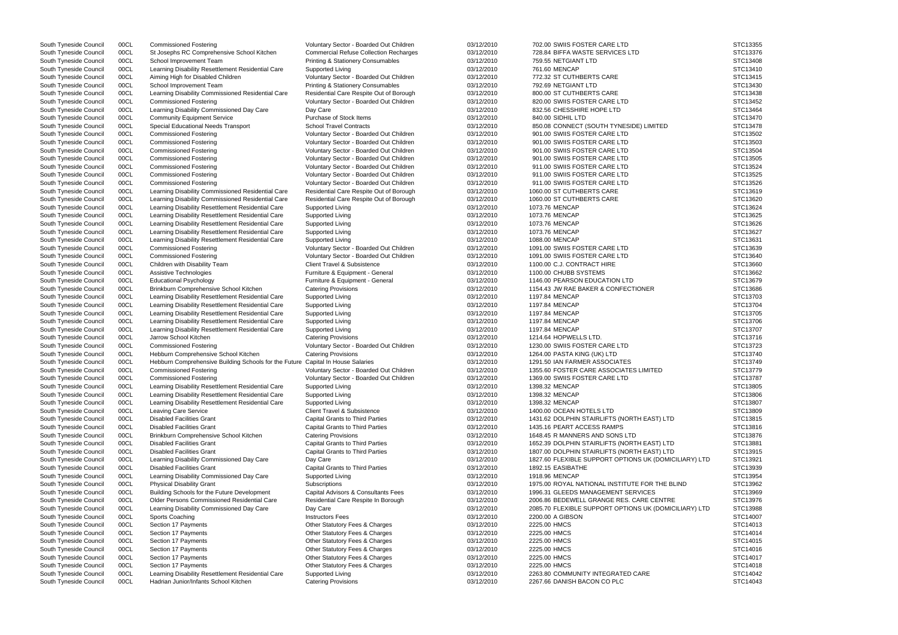South Tyneside Council 00CL Commissioned Fostering Voluntary Sector - Boarded Out Children 03/12/2010 702.00 SWIIS FOSTER CARE LTD South Tyneside Council 00CL St Josephs RC Comprehensive School Kitchen Commercial Refuse Collection Recharges 03/12/2010 728.84 BIFFA WASTE SERVICES LTD South Tyneside Council 00CL School Improvement Team Printing & Stationery Consumables 03/12/2010 759.55 NETGIANT LTD South Tyneside Council 00CL Learning Disability Resettlement Residential Care Supported Living 03/12/2010 761.60 MENCAP South Tyneside Council 00CL Aiming High for Disabled Children Voluntary Sector - Boarded Out Children 03/12/2010 772.32 ST CUTHBERTS CARE South Tyneside Council 00CL School Improvement Team Printing & Stationery Consumables 03/12/2010 792.69 NETGIANT LTD South Tyneside Council 00CL Learning Disability Commissioned Residential Care Residential Care Respite Out of Borough 03/12/2010 800.00 ST CUTHBERTS CARE South Tyneside Council 00CL Commissioned Fostering Voluntary Sector - Boarded Out Children 03/12/2010 820.00 SWIIS FOSTER CARE LTD South Tyneside Council 00CL Learning Disability Commissioned Day Care Day Care Day Care 03/12/2010 832.56 CHESSHIRE HOPE LTD South Tyneside Council 00CL Community Equipment Service Purchase of Stock Items 03/12/2010 840.00 SIDHIL LTD South Tyneside Council 00CL Special Educational Needs Transport School Travel Contracts 6 03/12/2010 850.08 CONNECT (SOUTH TYNESIDE) LIMITED South Tyneside Council 00CL Commissioned Fostering variable voluntary Sector - Boarded Out Children 03/12/2010 901.00 SWIIS FOSTER CARE LTD South Tyneside Council 00CL Commissioned Fostering Voluntary Sector - Boarded Out Children 03/12/2010 901.00 SWIIS FOSTER CARE LTD South Tyneside Council 00CL Commissioned Fostering Voluntary Sector - Boarded Out Children 03/12/2010 901.00 SWIIS FOSTER CARE LTD South Tyneside Council 00CL Commissioned Fostering Voluntary Sector - Boarded Out Children 03/12/2010 901.00 SWIIS FOSTER CARE LTD South Tyneside Council 00CL Commissioned Fostering Commissioned Fostering Voluntary Sector - Boarded Out Children 03/12/2010 911.00 SWIIS FOSTER CARE LTD STER CARE LTD STER CARE LTD STER CARE LTD STER CARE LTD STER CARE LT South Tyneside Council 00CL Commissioned Fostering Voluntary Sector - Boarded Out Children 03/12/2010 911.00 SWIIS FOSTER CARE LTD South Tyneside Council 00CL Commissioned Fostering values of Voluntary Sector - Boarded Out Children 03/12/2010 911.00 SWIIS FOSTER CARE LTD South Tyneside Council 00CL Learning Disability Commissioned Residential Care Residential Care Respite Out of Borough 03/12/2010 1060.00 ST CUTHBERTS CARE South Tyneside Council 00CL Learning Disability Commissioned Residential Care Residential Care Respite Out of Borough 03/12/2010 1060.00 ST CUTHBERTS CARE South Tyneside Council 00CL Learning Disability Resettlement Residential Care Supported Living 03/12/2010 03/12/2010 1073.76 MENCAP South Tyneside Council 00CL Learning Disability Resettlement Residential Care Supported Living 03/12/2010 03/12/2010 1073.76 MENCAP South Tyneside Council 00CL Learning Disability Resettlement Residential Care Supported Living 03/12/2010 03/12/2010 1073.76 MENCAP South Tyneside Council 00CL Learning Disability Resettlement Residential Care Supported Living 03/12/2010 03/12/2010 1073.76 MENCAP South Tyneside Council 00CL Learning Disability Resettlement Residential Care Supported Living 03/12/2010 03/12/2010 1088.00 MENCAP South Tyneside Council 00CL Commissioned Fostering Voluntary Sector - Boarded Out Children 03/12/2010 1091.00 SWIIS FOSTER CARE LTD South Tyneside Council 00CL Commissioned Fostering Commissioned Fostering Voluntary Sector - Boarded Out Children 03/12/2010 1091.00 SWIIS FOSTER CARE LTD South Tyneside Council 00CL Children with Disability Team Client Travel & Subsistence 03/12/2010 1100.00 C.J. CONTRACT HIRE South Tyneside Council 00CL Assistive Technologies **Furniture & Equipment - General** 03/12/2010 1100.00 CHUBB SYSTEMS South Tyneside Council 00CL Educational Psychology **Furniture & Equipment - General** 03/12/2010 1146.00 PEARSON EDUCATION LTD South Tyneside Council 00CL Brinkburn Comprehensive School Kitchen Catering Provisions Catering Provisions 03/12/2010 1154.43 JW RAE BAKER & CONFECTIONER South Tyneside Council 00CL Learning Disability Resettlement Residential Care Supported Living 03/12/2010 03/12/2010 1197.84 MENCAP South Tyneside Council 00CL Learning Disability Resettlement Residential Care Supported Living 03/12/2010 03/12/2010 1197.84 MENCAP South Tyneside Council 00CL Learning Disability Resettlement Residential Care Supported Living 03/12/2010 03/12/2010 1197.84 MENCAP South Tyneside Council 00CL Learning Disability Resettlement Residential Care Supported Living 03/12/2010 03/12/2010 1197.84 MENCAP South Tyneside Council 00CL Learning Disability Resettlement Residential Care Supported Living 03/12/2010 03/12/2010 1197.84 MENCAP South Tyneside Council 00CL Jarrow School Kitchen Catering Provisions 1214.64 HOPWELLS LTD. STC13716 South Tyneside Council 00CL Commissioned Fostering Voluntary Sector - Boarded Out Children 03/12/2010 1230.00 SWIIS FOSTER CARE LTD South Tyneside Council 00CL Hebburn Comprehensive School Kitchen Catering Provisions 03/12/2010 1264.00 PASTA KING (UK) LTD South Tyneside Council 00CL Hebburn Comprehensive Building Schools for the Future Capital In House Salaries 03/12/2010 1291.50 IAN FARMER ASSOCIATES South Tyneside Council 00CL Commissioned Fostering Commissioned Fostering Voluntary Sector - Boarded Out Children 03/12/2010 1355.60 FOSTER CARE ASSOCIATES LIMITED South Tyneside Council 00CL Commissioned Fostering Voluntary Sector - Boarded Out Children 03/12/2010 1369.00 SWIIS FOSTER CARE LTD South Tyneside Council 00CL Learning Disability Resettlement Residential Care Supported Living 03/12/2010 03/12/2010 1398.32 MENCAP South Tyneside Council 00CL Learning Disability Resettlement Residential Care Supported Living 03/12/2010 03/12/2010 1398.32 MENCAP South Tyneside Council 00CL Learning Disability Resettlement Residential Care Supported Living 03/12/2010 1398.32 MENCAP South Tyneside Council COOL Leaving Care Service Client Travel & Subsistence Client Travel & Subsistence Council Cool of the STC13809 Client Travel & Subsistence Council Cool of the STC13809 STC13809 South Tyneside Council 00CL Disabled Facilities Grant Capital Grants to Third Parties 03/12/2010 1431.62 DOLPHIN STAIRLIFTS (NORTH EAST) LTD South Tyneside Council 00CL Disabled Facilities Grant Capital Grants to Third Parties 03/12/2010 1435.16 PEART ACCESS RAMPS South Tyneside Council 00CL Brinkburn Comprehensive School Kitchen Catering Provisions 03/12/2010 1648.45 R MANNERS AND SONS LTD South Tyneside Council 00CL Disabled Facilities Grant Capital Grants to Third Parties 03/12/2010 1652.39 DOLPHIN STAIRLIFTS (NORTH EAST) LTD South Tyneside Council 00CL Disabled Facilities Grant Capital Grants to Third Parties 03/12/2010 1807.00 DOLPHIN STAIRLIFTS (NORTH EAST) LTD South Tyneside Council 00CL Learning Disability Commissioned Day Care Day Care Day Care 03/12/2010 1827.60 FLEXIBLE SUPPORT OPTIONS UK (DOMICIL South Tyneside Council COCL Disabled Facilities Grant Capital Grants to Third Parties 2008/12/2010 1892.15 EASIBATHE STC13939 STC13939 South Tyneside Council 00CL Learning Disability Commissioned Day Care Supported Living Council 03/12/2010 1918.96 MENCAP South Tyneside Council 00CL Physical Disability Grant Channel Subscriptions Subscriptions 03/12/2010 1975.00 ROYAL NATIONAL INSTITUTE FOR THE BLIND Stubscriptions 62/12/2010 1975.00 ROYAL NATIONAL INSTITUTE FOR THE BLIN South Tyneside Council 00CL Building Schools for the Future Development Capital Advisors & Consultants Fees 03/12/2010 1996.31 GLEEDS MANAGEMENT SERVICES South Tyneside Council 00CL Older Persons Commissioned Residential Care Residential Care Respite In Borough 03/12/2010 2006.86 BEDEWELL GRANGE RES. CARE CENTRE South Tyneside Council 00CL Learning Disability Commissioned Day Care Day Care Day Care 03/12/2010 2085.70 FLEXIBLE SUPPORT OPTIONS UK (DOMICIL South Tyneside Council COOCL Sports Coaching **Instructors Fees 200000 2200.00 A GIBSON STC14007** STC14007 South Tyneside Council COOCL Section 17 Payments Community Community Community Fees & Charges Charges 2011 2225.00 HMCS STC14013 South Tyneside Council 00CL Section 17 Payments Cuba Comments Comments Comments Comments Comments Comments Comments South Tyneside Council 00CL Section 17 Payments Cuba Comments Comments Comments Comments Comments Comments Comments Comments Comments Comments Comments Comments Comments Comments Comments Comments Comments Comments Comment South Tyneside Council 00CL Section 17 Payments Cuba Cuba Communication Cess & Charges Charges 03/12/2010 2225.00 HMCS South Tyneside Council 00CL Section 17 Payments Cuba Comments Other Statutory Fees & Charges 03/12/2010 2225.00 HMCS South Tyneside Council 00CL Section 17 Payments Communication Communication Communication Council 03/12/2010 2225.00 HMCS South Tyneside Council 00CL Learning Disability Resettlement Residential Care Supported Living 03/12/2010 2263.80 COMMUNITY INTEGRATED CARE South Tyneside Council 00CL Hadrian Junior/Infants School Kitchen Catering Provisions 03/12/2010 2267.66 DANISH BACON CO PLC

|                  | STC13355             |
|------------------|----------------------|
|                  | STC13376             |
|                  | STC13408             |
|                  | STC13410             |
|                  | STC13415             |
|                  | STC13430             |
|                  | STC13438             |
|                  | STC13452             |
|                  | STC13464             |
|                  | STC13470             |
|                  | STC13478             |
|                  | STC13502             |
|                  | STC13503<br>STC13504 |
|                  | STC13505             |
|                  | STC13524             |
|                  | STC13525             |
|                  | STC13526             |
|                  | STC13619             |
|                  | STC13620             |
|                  | STC13624             |
|                  | STC13625             |
|                  | STC13626             |
|                  | STC13627             |
|                  | STC13631             |
|                  | STC13639             |
|                  | STC13640             |
|                  | STC13660             |
|                  | STC13662             |
|                  | STC13679             |
|                  | STC13686             |
|                  | STC13703             |
|                  | STC13704             |
|                  | STC13705             |
|                  | STC13706             |
|                  | STC13707             |
|                  | STC13716             |
|                  | STC13723             |
|                  | STC13740             |
|                  | STC13749<br>STC13779 |
|                  | STC13787             |
|                  | STC13805             |
|                  | STC13806             |
|                  | STC13807             |
|                  | STC13809             |
|                  | STC13815             |
|                  | STC13816             |
|                  | STC13876             |
|                  | STC13881             |
|                  | STC13915             |
| <b>IARY) LTD</b> | STC13921             |
|                  | STC13939             |
|                  | STC13954             |
| ND               | STC13962             |
|                  | STC13969             |
|                  | STC13976             |
| .IARY) LTD       | STC13988             |
|                  | STC14007             |
|                  | STC14013             |
|                  | STC14014             |
|                  | STC14015<br>STC14016 |
|                  | STC14017             |
|                  | STC14018             |
|                  | STC14042             |
|                  | STC14043             |
|                  |                      |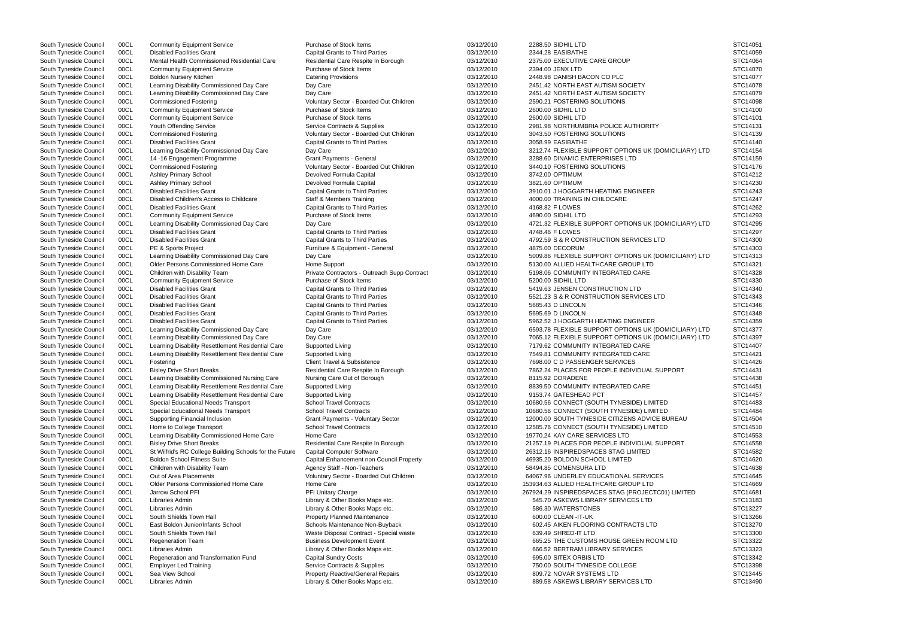South Tyneside Council 00CL Community Equipment Service Purchase of Stock Items 03/12/2010 2288.50 SIDHIL LTD South Tyneside Council COOL Disabled Facilities Grant Capital Grants to Third Parties 03/12/2010 2344.28 EASIBATHE STC14059 STC14059 South Tyneside Council 00CL Mental Health Commissioned Residential Care Residential Care Respite In Borough 03/12/2010 2375.00 EXECUTIVE CARE GROUP South Tyneside Council 00CL Community Equipment Service Purchase of Stock Items 03/12/2010 2394.00 JENX LTD South Tyneside Council 00CL Boldon Nursery Kitchen Catering Provisions Catering Provisions 03/12/2010 2448.98 DANISH BACON CO PLC South Tyneside Council 00CL Learning Disability Commissioned Day Care Day Care Day Care 03/12/2010 2451.42 NORTH EAST AUTISM SOCIETY South Tyneside Council 00CL Learning Disability Commissioned Day Care Day Care Day Care 03/12/2010 2451.42 NORTH EAST AUTISM SOCIETY South Tyneside Council 00CL Commissioned Fostering Voluntary Sector - Boarded Out Children 03/12/2010 2590.21 FOSTERING SOLUTIONS South Tyneside Council 00CL Community Equipment Service Purchase of Stock Items 03/12/2010 2600.00 SIDHIL LTD South Tyneside Council 00CL Community Equipment Service Purchase of Stock Items 03/12/2010 2600.00 SIDHIL LTD South Tyneside Council 00CL Youth Offending Service Service Contracts & Supplies 03/12/2010 2981.98 NORTHUMBRIA POLICE AUTHORITY South Tyneside Council 00CL Commissioned Fostering variable voluntary Sector - Boarded Out Children 03/12/2010 3043.50 FOSTERING SOLUTIONS South Tyneside Council 00CL Disabled Facilities Grant Capital Grants to Third Parties 03/12/2010 3058.99 EASIBATHE South Tyneside Council 00CL Learning Disability Commissioned Day Care Day Care Day Care 03/12/2010 3212.74 FLEXIBLE SUPPORT OPTIONS UK (DOMICIL South Tyneside Council 00CL 14 -16 Engagement Programme Grant Payments - General 03/12/2010 3288.60 DINAMIC ENTERPRISES LTD South Tyneside Council 00CL Commissioned Fostering Voluntary Sector - Boarded Out Children 03/12/2010 3440.10 FOSTERING SOLUTIONS South Tyneside Council 00CL Ashley Primary School **Devolved Formula Capital 23/12/2010** 3742.00 OPTIMUM STC14212 South Tyneside Council 00CL Ashley Primary School **Devolved Formula Capital 23/12/2010** 3821.60 OPTIMUM STC14230 STC14230 South Tyneside Council 00CL Disabled Facilities Grant Capital Grants to Third Parties 03/12/2010 3910.01 J HOGGARTH HEATING ENGINEER South Tyneside Council 00CL Disabled Children's Access to Childcare Staff & Members Training 03/12/2010 4000.00 TRAINING IN CHILDCARE South Tyneside Council 00CL Disabled Facilities Grant Capital Grants to Third Parties 03/12/2010 4168.82 F LOWES South Tyneside Council 00CL Community Equipment Service Purchase of Stock Items 03/12/2010 4690.00 SIDHIL LTD STC14293 South Tyneside Council 00CL Learning Disability Commissioned Day Care Day Care Day Care Day Care 03/12/2010 4721.32 FLEXIBLE SUPPORT OPTIONS UK (DOMICIL South Tyneside Council 00CL Disabled Facilities Grant Capital Grants to Third Parties 03/12/2010 4748.46 F LOWES South Tyneside Council 00CL Disabled Facilities Grant Capital Grants to Third Parties 03/12/2010 4792.59 S & R CONSTRUCTION SERVICES LTD South Tyneside Council 00CL PE & Sports Project **Furniture & Equipment - General** 03/12/2010 4875.00 DECORUM South Tyneside Council 00CL Learning Disability Commissioned Day Care Day Care Day Care 03/12/2010 5009.86 FLEXIBLE SUPPORT OPTIONS UK (DOMICIL South Tyneside Council 00CL Older Persons Commissioned Home Care Home Support 613/12/2010 5130.00 ALLIED HEALTHCARE GROUP LTD South Tyneside Council 00CL Children with Disability Team Private Contractors - Outreach Supp Contract 03/12/2010 5198.06 COMMUNITY INTEGRATED CARE South Tyneside Council 00CL Community Equipment Service Purchase of Stock Items 03/12/2010 5200.00 SIDHIL LTD South Tyneside Council 00CL Disabled Facilities Grant Capital Grants to Third Parties 03/12/2010 5419.63 JENSEN CONSTRUCTION LTD South Tyneside Council 00CL Disabled Facilities Grant Capital Grants to Third Parties 03/12/2010 5521.23 S & R CONSTRUCTION SERVICES LTD South Tyneside Council COOL Disabled Facilities Grant Capital Grants to Third Parties 203/12/2010 5685.43 D LINCOLN STC14346 South Tyneside Council COCL Disabled Facilities Grant Capital Grants to Third Parties 203/12/2010 5695.69 D LINCOLN STC14348 South Tyneside Council 00CL Disabled Facilities Grant Capital Grants to Third Parties 03/12/2010 5962.52 J HOGGARTH HEATING ENGINEER South Tyneside Council 00CL Learning Disability Commissioned Day Care Day Care Day Care 03/12/2010 6593.78 FLEXIBLE SUPPORT OPTIONS UK (DOMICIL South Tyneside Council 00CL Learning Disability Commissioned Day Care Day Care Day Care 03/12/2010 7065.12 FLEXIBLE SUPPORT OPTIONS UK (DOMICIL South Tyneside Council 00CL Learning Disability Resettlement Residential Care Supported Living **03/12/2010** 7179.62 COMMUNITY INTEGRATED CARE South Tyneside Council 00CL Learning Disability Resettlement Residential Care Supported Living 03/12/2010 7549.81 COMMUNITY INTEGRATED CARE South Tyneside Council 00CL Fostering Client Travel & Subsistence 63/12/2010 7698.00 C D PASSENGER SERVICES South Tyneside Council 00CL Bisley Drive Short Breaks **Residential Care Respite In Borough 03/12/2010** 7862.24 PLACES FOR PEOPLE INDIVIDUAL SUPPOR South Tyneside Council 00CL Learning Disability Commissioned Nursing Care Nursing Care Out of Borough 03/12/2010 8115.92 DORADENE South Tyneside Council 00CL Learning Disability Resettlement Residential Care Supported Living 03/12/2010 8839.50 COMMUNITY INTEGRATED CARE South Tyneside Council 00CL Learning Disability Resettlement Residential Care Supported Living 03/12/2010 9153.74 GATESHEAD PCT South Tyneside Council 00CL Special Educational Needs Transport School Travel Contracts 03/12/2010 10680.56 CONNECT (SOUTH TYNESIDE) LIMITED South Tyneside Council 00CL Special Educational Needs Transport School Travel Contracts 03/12/2010 10680.56 CONNECT (SOUTH TYNESIDE) LIMITED South Tyneside Council 00CL Supporting Financial Inclusion Grant Payments - Voluntary Sector 03/12/2010 12000.00 SOUTH TYNESIDE CITIZENS ADVICE BURE South Tyneside Council 00CL Home to College Transport School Travel Contracts 6 03/12/2010 12585.76 CONNECT (SOUTH TYNESIDE) LIMITED South Tyneside Council 00CL Learning Disability Commissioned Home Care Home Care 19770.24 KAY CARE SERVICES LTD South Tyneside Council 00CL Bisley Drive Short Breaks **Residential Care Respite In Borough 03/12/2010** 21257.19 PLACES FOR PEOPLE INDIVIDUAL SUPPOR South Tyneside Council 00CL St Wilfrid's RC College Building Schools for the Future Capital Computer Software 03/12/2010 26312.16 INSPIREDSPACES STAG LIMITED South Tyneside Council 00CL Boldon School Fitness Suite Capital Enhancement non Council Property 03/12/2010 46935.20 BOLDON SCHOOL LIMITED South Tyneside Council 00CL Children with Disability Team Agency Staff - Non-Teachers 58/12/2010 58494.85 COMENSURA LTD STC14638 South Tyneside Council 00CL Out of Area Placements Computer Sector - Boarded Out Children 03/12/2010 64067.96 UNDERLEY EDUCATIONAL SERVICES South Tyneside Council 00CL Older Persons Commissioned Home Care Home Care Home Care 03/12/2010 153934.63 ALLIED HEALTHCARE GROUP LTD South Tyneside Council 00CL Jarrow School PFI PH 2007 2007 267924.29 INSPIREDSPACES STAG (PROJECTC01) LIMITED STAG (PROJECTC01) LIMITED STAG (PROJECTC01) LIMITED STAG (PROJECTC01) LIMITED STAG (PROJECTC01) LIMITED STAG (PR South Tyneside Council 00CL Libraries Admin Council Council Council Council Council Council Council Council Council Council Council Council Council Council Council Council Council Council Council Council Council Council Co South Tyneside Council 00CL Libraries Admin 
Library & Other Books Maps etc. 
and the Council 00CL Libraries Admin 
Library & Other Books Maps etc.  $\frac{1}{2}$  03/12/2010 586.30 WATERSTONES South Tyneside Council 00CL South Shields Town Hall Property Planned Maintenance 03/12/2010 600.00 CLEAN -IT-UK STC13266 South Tyneside Council 00CL East Boldon Junior/Infants School Schools Maintenance Non-Buyback 03/12/2010 602.45 AIKEN FLOORING CONTRACTS LTD South Tyneside Council 00CL South Shields Town Hall Waste Disposal Contract - Special waste 03/12/2010 639.49 SHRED-IT LTD South Tyneside Council 00CL Regeneration Team Business Development Event 03/12/2010 665.25 THE CUSTOMS HOUSE GREEN ROOM LTD South Tyneside Council 00CL Libraries Admin and Transformation Fund Library & Other Books Maps etc. Changed the University of the Capital Sundry Costs Council Council 00CL Requeneration and Transformation Fund Capital Sund oocl Regeneration and Transformation Fund Capital Sundry Costs 03/12/2010 695.00 SITEX ORBIS LTD South Tyneside Council 00CL Employer Led Training Service Contracts & Supplies 03/12/2010 750.00 SOUTH TYNESIDE COLLEGE South Tyneside Council 00CL Sea View School **Property Reactive/General Repairs** 03/12/2010 809.72 NOVAR SYSTEMS LTD South Tyneside Council 00CL Libraries Admin Council Council Council Council Council Council Council Council Council Council Council Council Council Council Council Council Council Council Council Council Council Council Co

|                          | STC14051<br>STC14059<br>STC14064<br>STC14070<br>STC14077<br>STC14078<br>STC14079<br>STC14098<br>STC14100<br>STC14101                                     |
|--------------------------|----------------------------------------------------------------------------------------------------------------------------------------------------------|
| LIARY) LTD               | STC14131<br>STC14139<br>STC14140<br>STC14154<br>STC14159<br>STC14176<br>STC14212<br>STC14230<br>STC14243<br>STC14247<br>STC14262                         |
| LIARY) LTD               | STC14293<br>STC14295<br>STC14297<br>STC14300                                                                                                             |
| LIARY) LTD               | STC14303<br>STC14313<br>STC14321<br>STC14328<br>STC14330<br>STC14340<br>STC14343<br>STC14346<br>STC14348                                                 |
| LIARY) LTD<br>LIARY) LTD | STC14359<br>STC14377<br>STC14397<br>STC14407<br>STC14421                                                                                                 |
| RT                       | STC14426<br>STC14431<br>STC14438<br>STC14451<br>STC14457<br>STC14483                                                                                     |
| AU                       | STC14484<br>STC14504<br>STC14510                                                                                                                         |
| R٦                       | STC14553<br>STC14558<br>STC14582<br>STC14620<br>STC14638<br>STC14645                                                                                     |
| MITED                    | STC14669<br>STC14681<br>STC13183<br>STC13227<br>STC13266<br>STC13270<br>STC13300<br>STC13322<br>STC13323<br>STC13342<br>STC13398<br>STC13445<br>STC13490 |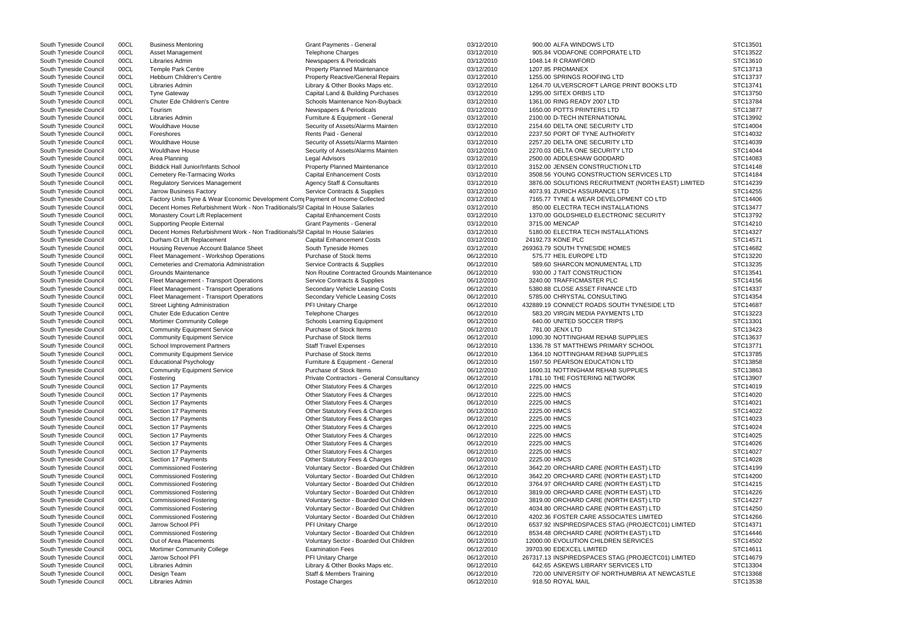| South Tyneside Council | 00CL | <b>Business Mentoring</b>                                                       | <b>Grant Payments - General</b>            | 03/12/2010 | 900.00 ALFA WINDOWS LTD                            | STC13501 |
|------------------------|------|---------------------------------------------------------------------------------|--------------------------------------------|------------|----------------------------------------------------|----------|
| South Tyneside Council | 00CL | <b>Asset Management</b>                                                         | <b>Telephone Charges</b>                   | 03/12/2010 | 905.84 VODAFONE CORPORATE LTD                      | STC13522 |
| South Tyneside Council | 00CL | Libraries Admin                                                                 | Newspapers & Periodicals                   | 03/12/2010 | 1048.14 R CRAWFORD                                 | STC13610 |
| South Tyneside Council | 00CL | <b>Temple Park Centre</b>                                                       | <b>Property Planned Maintenance</b>        | 03/12/2010 | 1207.85 PROMANEX                                   | STC13713 |
| South Tyneside Council | 00CL | <b>Hebburn Children's Centre</b>                                                | <b>Property Reactive/General Repairs</b>   | 03/12/2010 | 1255.00 SPRINGS ROOFING LTD                        | STC13737 |
| South Tyneside Council | 00CL | Libraries Admin                                                                 | Library & Other Books Maps etc.            | 03/12/2010 | 1264.70 ULVERSCROFT LARGE PRINT BOOKS LTD          | STC13741 |
| South Tyneside Council | 00CL | <b>Tyne Gateway</b>                                                             | Capital Land & Building Purchases          | 03/12/2010 | 1295.00 SITEX ORBIS LTD                            | STC13750 |
| South Tyneside Council | 00CL | <b>Chuter Ede Children's Centre</b>                                             | Schools Maintenance Non-Buyback            | 03/12/2010 | 1361.00 RING READY 2007 LTD                        | STC13784 |
|                        |      |                                                                                 |                                            |            |                                                    |          |
| South Tyneside Council | 00CL | Tourism                                                                         | Newspapers & Periodicals                   | 03/12/2010 | 1650.00 POTTS PRINTERS LTD                         | STC13877 |
| South Tyneside Council | 00CL | Libraries Admin                                                                 | Furniture & Equipment - General            | 03/12/2010 | 2100.00 D-TECH INTERNATIONAL                       | STC13992 |
| South Tyneside Council | 00CL | <b>Wouldhave House</b>                                                          | Security of Assets/Alarms Mainten          | 03/12/2010 | 2154.60 DELTA ONE SECURITY LTD                     | STC14004 |
| South Tyneside Council | 00CL | Foreshores                                                                      | Rents Paid - General                       | 03/12/2010 | 2237.50 PORT OF TYNE AUTHORITY                     | STC14032 |
| South Tyneside Council | 00CL | <b>Wouldhave House</b>                                                          | Security of Assets/Alarms Mainten          | 03/12/2010 | 2257.20 DELTA ONE SECURITY LTD                     | STC14039 |
| South Tyneside Council | 00CL | <b>Wouldhave House</b>                                                          | Security of Assets/Alarms Mainten          | 03/12/2010 | 2270.03 DELTA ONE SECURITY LTD                     | STC14044 |
| South Tyneside Council | 00CL | Area Planning                                                                   | Legal Advisors                             | 03/12/2010 | 2500.00 ADDLESHAW GODDARD                          | STC14083 |
| South Tyneside Council | 00CL | <b>Biddick Hall Junior/Infants School</b>                                       | <b>Property Planned Maintenance</b>        | 03/12/2010 | 3152.00 JENSEN CONSTRUCTION LTD                    | STC14148 |
| South Tyneside Council | 00CL | <b>Cemetery Re-Tarmacing Works</b>                                              | <b>Capital Enhancement Costs</b>           | 03/12/2010 | 3508.56 YOUNG CONSTRUCTION SERVICES LTD            | STC14184 |
| South Tyneside Council | 00CL | <b>Regulatory Services Management</b>                                           | <b>Agency Staff &amp; Consultants</b>      | 03/12/2010 | 3876.00 SOLUTIONS RECRUITMENT (NORTH EAST) LIMITED | STC14239 |
| South Tyneside Council | 00CL | Jarrow Business Factory                                                         | Service Contracts & Supplies               | 03/12/2010 | 4073.91 ZURICH ASSURANCE LTD                       | STC14255 |
| South Tyneside Council | 00CL | Factory Units Tyne & Wear Economic Development Com Payment of Income Collected  |                                            | 03/12/2010 | 7165.77 TYNE & WEAR DEVELOPMENT CO LTD             | STC14406 |
| South Tyneside Council | 00CL | Decent Homes Refurbishment Work - Non Traditionals/SI Capital In House Salaries |                                            | 03/12/2010 | 850.00 ELECTRA TECH INSTALLATIONS                  | STC13477 |
|                        |      |                                                                                 |                                            |            | 1370.00 GOLDSHIELD ELECTRONIC SECURITY             |          |
| South Tyneside Council | 00CL | Monastery Court Lift Replacement                                                | <b>Capital Enhancement Costs</b>           | 03/12/2010 |                                                    | STC13792 |
| South Tyneside Council | 00CL | <b>Supporting People External</b>                                               | <b>Grant Payments - General</b>            | 03/12/2010 | 3715.00 MENCAP                                     | STC14210 |
| South Tyneside Council | 00CL | Decent Homes Refurbishment Work - Non Traditionals/SI Capital In House Salaries |                                            | 03/12/2010 | 5180.00 ELECTRA TECH INSTALLATIONS                 | STC14327 |
| South Tyneside Council | 00CL | Durham Ct Lift Replacement                                                      | <b>Capital Enhancement Costs</b>           | 03/12/2010 | 24192.73 KONE PLC                                  | STC14571 |
| South Tyneside Council | 00CL | Housing Revenue Account Balance Sheet                                           | South Tyneside Homes                       | 03/12/2010 | 269363.79 SOUTH TYNESIDE HOMES                     | STC14682 |
| South Tyneside Council | 00CL | Fleet Management - Workshop Operations                                          | Purchase of Stock Items                    | 06/12/2010 | 575.77 HEIL EUROPE LTD                             | STC13220 |
| South Tyneside Council | 00CL | Cemeteries and Crematoria Administration                                        | Service Contracts & Supplies               | 06/12/2010 | 589.60 SHARCON MONUMENTAL LTD                      | STC13235 |
| South Tyneside Council | 00CL | <b>Grounds Maintenance</b>                                                      | Non Routine Contracted Grounds Maintenance | 06/12/2010 | 930.00 J TAIT CONSTRUCTION                         | STC13541 |
| South Tyneside Council | 00CL | Fleet Management - Transport Operations                                         | Service Contracts & Supplies               | 06/12/2010 | 3240.00 TRAFFICMASTER PLC                          | STC14156 |
| South Tyneside Council | 00CL | Fleet Management - Transport Operations                                         | Secondary Vehicle Leasing Costs            | 06/12/2010 | 5380.88 CLOSE ASSET FINANCE LTD                    | STC14337 |
| South Tyneside Council | 00CL | Fleet Management - Transport Operations                                         | Secondary Vehicle Leasing Costs            | 06/12/2010 | 5785.00 CHRYSTAL CONSULTING                        | STC14354 |
| South Tyneside Council | 00CL | Street Lighting Administration                                                  | PFI Unitary Charge                         | 06/12/2010 | 432889.19 CONNECT ROADS SOUTH TYNESIDE LTD         | STC14687 |
|                        | 00CL | <b>Chuter Ede Education Centre</b>                                              | Telephone Charges                          | 06/12/2010 | 583.20 VIRGIN MEDIA PAYMENTS LTD                   | STC13223 |
| South Tyneside Council |      |                                                                                 |                                            |            |                                                    |          |
| South Tyneside Council | 00CL | Mortimer Community College                                                      | Schools Learning Equipment                 | 06/12/2010 | 640.00 UNITED SOCCER TRIPS                         | STC13301 |
| South Tyneside Council | 00CL | <b>Community Equipment Service</b>                                              | Purchase of Stock Items                    | 06/12/2010 | 781.00 JENX LTD                                    | STC13423 |
| South Tyneside Council | 00CL | <b>Community Equipment Service</b>                                              | Purchase of Stock Items                    | 06/12/2010 | 1090.30 NOTTINGHAM REHAB SUPPLIES                  | STC13637 |
| South Tyneside Council | 00CL | School Improvement Partners                                                     | <b>Staff Travel Expenses</b>               | 06/12/2010 | 1336.78 ST MATTHEWS PRIMARY SCHOOL                 | STC13771 |
| South Tyneside Council | 00CL | <b>Community Equipment Service</b>                                              | Purchase of Stock Items                    | 06/12/2010 | 1364.10 NOTTINGHAM REHAB SUPPLIES                  | STC13785 |
| South Tyneside Council | 00CL | <b>Educational Psychology</b>                                                   | Furniture & Equipment - General            | 06/12/2010 | 1597.50 PEARSON EDUCATION LTD                      | STC13858 |
| South Tyneside Council | 00CL | <b>Community Equipment Service</b>                                              | Purchase of Stock Items                    | 06/12/2010 | 1600.31 NOTTINGHAM REHAB SUPPLIES                  | STC13863 |
| South Tyneside Council | 00CL | Fostering                                                                       | Private Contractors - General Consultancy  | 06/12/2010 | 1781.10 THE FOSTERING NETWORK                      | STC13907 |
| South Tyneside Council | 00CL | Section 17 Payments                                                             | Other Statutory Fees & Charges             | 06/12/2010 | 2225.00 HMCS                                       | STC14019 |
| South Tyneside Council | 00CL | Section 17 Payments                                                             | Other Statutory Fees & Charges             | 06/12/2010 | 2225.00 HMCS                                       | STC14020 |
| South Tyneside Council | 00CL | Section 17 Payments                                                             | Other Statutory Fees & Charges             | 06/12/2010 | 2225.00 HMCS                                       | STC14021 |
|                        |      |                                                                                 |                                            | 06/12/2010 | 2225.00 HMCS                                       | STC14022 |
| South Tyneside Council | 00CL | Section 17 Payments                                                             | Other Statutory Fees & Charges             |            |                                                    |          |
| South Tyneside Council | 00CL | Section 17 Payments                                                             | Other Statutory Fees & Charges             | 06/12/2010 | 2225.00 HMCS                                       | STC14023 |
| South Tyneside Council | 00CL | Section 17 Payments                                                             | Other Statutory Fees & Charges             | 06/12/2010 | 2225.00 HMCS                                       | STC14024 |
| South Tyneside Council | 00CL | Section 17 Payments                                                             | Other Statutory Fees & Charges             | 06/12/2010 | 2225.00 HMCS                                       | STC14025 |
| South Tyneside Council | 00CL | Section 17 Payments                                                             | Other Statutory Fees & Charges             | 06/12/2010 | 2225.00 HMCS                                       | STC14026 |
| South Tyneside Council | 00CL | Section 17 Payments                                                             | Other Statutory Fees & Charges             | 06/12/2010 | 2225.00 HMCS                                       | STC14027 |
| South Tyneside Council | 00CL | Section 17 Payments                                                             | Other Statutory Fees & Charges             | 06/12/2010 | 2225.00 HMCS                                       | STC14028 |
| South Tyneside Council | 00CL | <b>Commissioned Fostering</b>                                                   | Voluntary Sector - Boarded Out Children    | 06/12/2010 | 3642.20 ORCHARD CARE (NORTH EAST) LTD              | STC14199 |
| South Tyneside Council | 00CL | <b>Commissioned Fostering</b>                                                   | Voluntary Sector - Boarded Out Children    | 06/12/2010 | 3642.20 ORCHARD CARE (NORTH EAST) LTD              | STC14200 |
| South Tyneside Council | 00CL | <b>Commissioned Fostering</b>                                                   | Voluntary Sector - Boarded Out Children    | 06/12/2010 | 3764.97 ORCHARD CARE (NORTH EAST) LTD              | STC14215 |
| South Tyneside Council | 00CL | <b>Commissioned Fostering</b>                                                   | Voluntary Sector - Boarded Out Children    | 06/12/2010 | 3819.00 ORCHARD CARE (NORTH EAST) LTD              | STC14226 |
| South Tyneside Council | 00CL | <b>Commissioned Fostering</b>                                                   | Voluntary Sector - Boarded Out Children    | 06/12/2010 | 3819.00 ORCHARD CARE (NORTH EAST) LTD              | STC14227 |
|                        |      |                                                                                 |                                            |            |                                                    |          |
| South Tyneside Council | 00CL | <b>Commissioned Fostering</b>                                                   | Voluntary Sector - Boarded Out Children    | 06/12/2010 | 4034.80 ORCHARD CARE (NORTH EAST) LTD              | STC14250 |
| South Tyneside Council | 00CL | <b>Commissioned Fostering</b>                                                   | Voluntary Sector - Boarded Out Children    | 06/12/2010 | 4202.36 FOSTER CARE ASSOCIATES LIMITED             | STC14266 |
| South Tyneside Council | 00CL | Jarrow School PFI                                                               | PFI Unitary Charge                         | 06/12/2010 | 6537.92 INSPIREDSPACES STAG (PROJECTC01) LIMITED   | STC14371 |
| South Tyneside Council | 00CL | <b>Commissioned Fostering</b>                                                   | Voluntary Sector - Boarded Out Children    | 06/12/2010 | 8534.48 ORCHARD CARE (NORTH EAST) LTD              | STC14446 |
| South Tyneside Council | 00CL | Out of Area Placements                                                          | Voluntary Sector - Boarded Out Children    | 06/12/2010 | 12000.00 EVOLUTION CHILDREN SERVICES               | STC14502 |
| South Tyneside Council | 00CL | <b>Mortimer Community College</b>                                               | <b>Examination Fees</b>                    | 06/12/2010 | 39703.90 EDEXCEL LIMITED                           | STC14611 |
| South Tyneside Council | 00CL | Jarrow School PFI                                                               | PFI Unitary Charge                         | 06/12/2010 | 267317.13 INSPIREDSPACES STAG (PROJECTC01) LIMITED | STC14679 |
| South Tyneside Council | 00CL | Libraries Admin                                                                 | Library & Other Books Maps etc.            | 06/12/2010 | 642.65 ASKEWS LIBRARY SERVICES LTD                 | STC13304 |
| South Tyneside Council | 00CL | Design Team                                                                     | Staff & Members Training                   | 06/12/2010 | 720.00 UNIVERSITY OF NORTHUMBRIA AT NEWCASTLE      | STC13368 |
| South Tyneside Council | 00CL | Libraries Admin                                                                 | Postage Charges                            | 06/12/2010 | 918.50 ROYAL MAIL                                  | STC13538 |
|                        |      |                                                                                 |                                            |            |                                                    |          |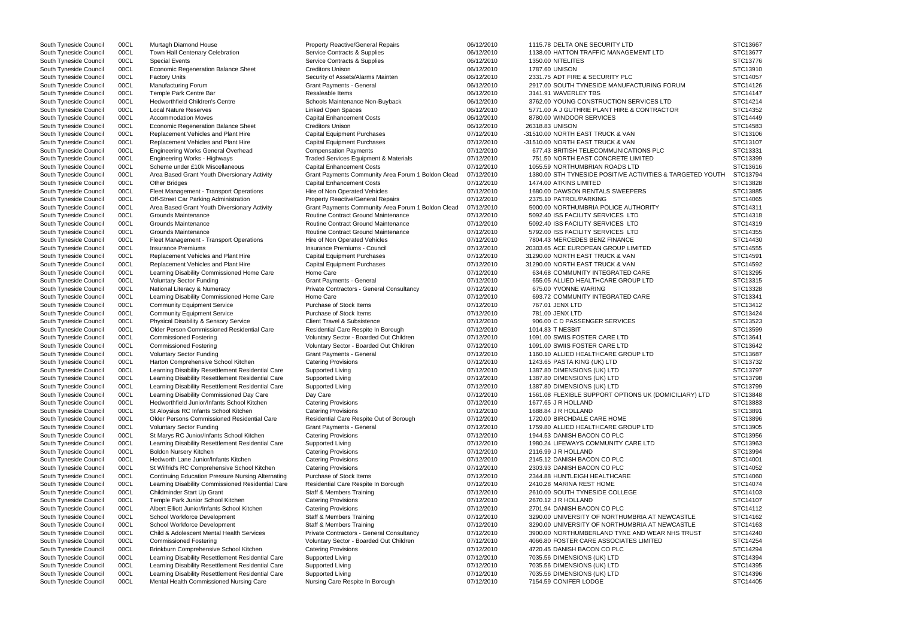| South Tyneside Council | 00CL | Murtagh Diamond House                                    | <b>Property Reactive/General Repairs</b>           | 06/12/2010 | 1115.78 DELTA ONE SECURITY LTD                            | STC13667 |
|------------------------|------|----------------------------------------------------------|----------------------------------------------------|------------|-----------------------------------------------------------|----------|
| South Tyneside Council | 00CL | Town Hall Centenary Celebration                          | Service Contracts & Supplies                       | 06/12/2010 | 1138.00 HATTON TRAFFIC MANAGEMENT LTD                     | STC13677 |
| South Tyneside Council | 00CL | <b>Special Events</b>                                    | Service Contracts & Supplies                       | 06/12/2010 | 1350.00 NITELITES                                         | STC13776 |
| South Tyneside Council | 00CL | <b>Economic Regeneration Balance Sheet</b>               | <b>Creditors Unison</b>                            | 06/12/2010 | 1787.60 UNISON                                            | STC13910 |
| South Tyneside Council | 00CL | <b>Factory Units</b>                                     | Security of Assets/Alarms Mainten                  | 06/12/2010 | 2331.75 ADT FIRE & SECURITY PLC                           | STC14057 |
| South Tyneside Council | 00CL | Manufacturing Forum                                      | <b>Grant Payments - General</b>                    | 06/12/2010 | 2917.00 SOUTH TYNESIDE MANUFACTURING FORUM                | STC14126 |
| South Tyneside Council | 00CL | Temple Park Centre Bar                                   | Resaleable Items                                   | 06/12/2010 | 3141.91 WAVERLEY TBS                                      | STC14147 |
| South Tyneside Council | 00CL | <b>Hedworthfield Children's Centre</b>                   | Schools Maintenance Non-Buyback                    | 06/12/2010 | 3762.00 YOUNG CONSTRUCTION SERVICES LTD                   | STC14214 |
| South Tyneside Council | 00CL | <b>Local Nature Reserves</b>                             | <b>Linked Open Spaces</b>                          | 06/12/2010 | 5771.00 A J GUTHRIE PLANT HIRE & CONTRACTOR               | STC14352 |
| South Tyneside Council | 00CL | <b>Accommodation Moves</b>                               | <b>Capital Enhancement Costs</b>                   | 06/12/2010 | 8780.00 WINDOOR SERVICES                                  | STC14449 |
| South Tyneside Council | 00CL | Economic Regeneration Balance Sheet                      | <b>Creditors Unison</b>                            | 06/12/2010 | 26318.83 UNISON                                           | STC14583 |
| South Tyneside Council | 00CL | Replacement Vehicles and Plant Hire                      | <b>Capital Equipment Purchases</b>                 | 07/12/2010 | -31510.00 NORTH EAST TRUCK & VAN                          | STC13106 |
| South Tyneside Council | 00CL | Replacement Vehicles and Plant Hire                      | <b>Capital Equipment Purchases</b>                 | 07/12/2010 | -31510.00 NORTH EAST TRUCK & VAN                          | STC13107 |
| South Tyneside Council | 00CL | Engineering Works General Overhead                       | <b>Compensation Payments</b>                       | 07/12/2010 | 677.43 BRITISH TELECOMMUNICATIONS PLC                     | STC13331 |
| South Tyneside Council | 00CL | Engineering Works - Highways                             | Traded Services Equipment & Materials              | 07/12/2010 | 751.50 NORTH EAST CONCRETE LIMITED                        | STC13399 |
| South Tyneside Council | 00CL | Scheme under £10k Miscellaneous                          | <b>Capital Enhancement Costs</b>                   | 07/12/2010 | 1055.59 NORTHUMBRIAN ROADS LTD                            | STC13616 |
| South Tyneside Council | 00CL | Area Based Grant Youth Diversionary Activity             | Grant Payments Community Area Forum 1 Boldon Clead | 07/12/2010 | 1380.00 STH TYNESIDE POSITIVE ACTIVITIES & TARGETED YOUTH | STC13794 |
| South Tyneside Council | 00CL | <b>Other Bridges</b>                                     | <b>Capital Enhancement Costs</b>                   | 07/12/2010 | 1474.00 ATKINS LIMITED                                    | STC13828 |
| South Tyneside Council | 00CL | Fleet Management - Transport Operations                  | Hire of Non Operated Vehicles                      | 07/12/2010 | 1680.00 DAWSON RENTALS SWEEPERS                           | STC13885 |
| South Tyneside Council | 00CL | Off-Street Car Parking Administration                    | <b>Property Reactive/General Repairs</b>           | 07/12/2010 | 2375.10 PATROL/PARKING                                    | STC14065 |
| South Tyneside Council | 00CL | Area Based Grant Youth Diversionary Activity             | Grant Payments Community Area Forum 1 Boldon Clead | 07/12/2010 | 5000.00 NORTHUMBRIA POLICE AUTHORITY                      | STC14311 |
| South Tyneside Council | 00CL | <b>Grounds Maintenance</b>                               | Routine Contract Ground Maintenance                | 07/12/2010 | 5092.40 ISS FACILITY SERVICES LTD                         | STC14318 |
| South Tyneside Council | 00CL | <b>Grounds Maintenance</b>                               | Routine Contract Ground Maintenance                | 07/12/2010 | 5092.40 ISS FACILITY SERVICES LTD                         | STC14319 |
| South Tyneside Council | 00CL | Grounds Maintenance                                      | <b>Routine Contract Ground Maintenance</b>         | 07/12/2010 | 5792.00 ISS FACILITY SERVICES LTD                         | STC14355 |
| South Tyneside Council | 00CL | Fleet Management - Transport Operations                  | Hire of Non Operated Vehicles                      | 07/12/2010 | 7804.43 MERCEDES BENZ FINANCE                             | STC14430 |
| South Tyneside Council | 00CL | <b>Insurance Premiums</b>                                | Insurance Premiums - Council                       | 07/12/2010 | 20303.65 ACE EUROPEAN GROUP LIMITED                       | STC14555 |
| South Tyneside Council | 00CL | Replacement Vehicles and Plant Hire                      | <b>Capital Equipment Purchases</b>                 | 07/12/2010 | 31290.00 NORTH EAST TRUCK & VAN                           | STC14591 |
| South Tyneside Council | 00CL | Replacement Vehicles and Plant Hire                      | <b>Capital Equipment Purchases</b>                 | 07/12/2010 | 31290.00 NORTH EAST TRUCK & VAN                           | STC14592 |
| South Tyneside Council | 00CL | Learning Disability Commissioned Home Care               | Home Care                                          | 07/12/2010 | 634.68 COMMUNITY INTEGRATED CARE                          | STC13295 |
| South Tyneside Council | 00CL | <b>Voluntary Sector Funding</b>                          | <b>Grant Payments - General</b>                    | 07/12/2010 | 655.05 ALLIED HEALTHCARE GROUP LTD                        | STC13315 |
| South Tyneside Council | 00CL | National Literacy & Numeracy                             | Private Contractors - General Consultancy          | 07/12/2010 | 675.00 YVONNE WARING                                      | STC13328 |
| South Tyneside Council | 00CL | Learning Disability Commissioned Home Care               | Home Care                                          | 07/12/2010 | 693.72 COMMUNITY INTEGRATED CARE                          | STC13341 |
| South Tyneside Council | 00CL | <b>Community Equipment Service</b>                       | Purchase of Stock Items                            | 07/12/2010 | 767.01 JENX LTD                                           | STC13412 |
| South Tyneside Council | 00CL | <b>Community Equipment Service</b>                       | Purchase of Stock Items                            | 07/12/2010 | 781.00 JENX LTD                                           | STC13424 |
| South Tyneside Council | 00CL | Physical Disability & Sensory Service                    | <b>Client Travel &amp; Subsistence</b>             | 07/12/2010 | 906.00 C D PASSENGER SERVICES                             | STC13523 |
|                        | 00CL | Older Person Commissioned Residential Care               | Residential Care Respite In Borough                | 07/12/2010 | 1014.83 T NESBIT                                          | STC13599 |
| South Tyneside Council | 00CL | <b>Commissioned Fostering</b>                            | Voluntary Sector - Boarded Out Children            | 07/12/2010 | 1091.00 SWIIS FOSTER CARE LTD                             | STC13641 |
| South Tyneside Council |      |                                                          |                                                    |            | 1091.00 SWIIS FOSTER CARE LTD                             | STC13642 |
| South Tyneside Council | 00CL | <b>Commissioned Fostering</b>                            | Voluntary Sector - Boarded Out Children            | 07/12/2010 |                                                           |          |
| South Tyneside Council | 00CL | <b>Voluntary Sector Funding</b>                          | <b>Grant Payments - General</b>                    | 07/12/2010 | 1160.10 ALLIED HEALTHCARE GROUP LTD                       | STC13687 |
| South Tyneside Council | 00CL | Harton Comprehensive School Kitchen                      | <b>Catering Provisions</b>                         | 07/12/2010 | 1243.65 PASTA KING (UK) LTD                               | STC13732 |
| South Tyneside Council | 00CL | Learning Disability Resettlement Residential Care        | Supported Living                                   | 07/12/2010 | 1387.80 DIMENSIONS (UK) LTD                               | STC13797 |
| South Tyneside Council | 00CL | Learning Disability Resettlement Residential Care        | Supported Living                                   | 07/12/2010 | 1387.80 DIMENSIONS (UK) LTD                               | STC13798 |
| South Tyneside Council | 00CL | Learning Disability Resettlement Residential Care        | Supported Living                                   | 07/12/2010 | 1387.80 DIMENSIONS (UK) LTD                               | STC13799 |
| South Tyneside Council | 00CL | Learning Disability Commissioned Day Care                | Day Care                                           | 07/12/2010 | 1561.08 FLEXIBLE SUPPORT OPTIONS UK (DOMICILIARY) LTD     | STC13848 |
| South Tyneside Council | 00CL | Hedworthfield Junior/Infants School Kitchen              | <b>Catering Provisions</b>                         | 07/12/2010 | 1677.65 J R HOLLAND                                       | STC13883 |
| South Tyneside Council | 00CL | St Aloysius RC Infants School Kitchen                    | <b>Catering Provisions</b>                         | 07/12/2010 | 1688.84 J R HOLLAND                                       | STC13891 |
| South Tyneside Council | 00CL | <b>Older Persons Commissioned Residential Care</b>       | Residential Care Respite Out of Borough            | 07/12/2010 | 1720.00 BIRCHDALE CARE HOME                               | STC13896 |
| South Tyneside Council | 00CL | <b>Voluntary Sector Funding</b>                          | <b>Grant Payments - General</b>                    | 07/12/2010 | 1759.80 ALLIED HEALTHCARE GROUP LTD                       | STC13905 |
| South Tyneside Council | 00CL | St Marys RC Junior/Infants School Kitchen                | <b>Catering Provisions</b>                         | 07/12/2010 | 1944.53 DANISH BACON CO PLC                               | STC13956 |
| South Tyneside Council | 00CL | Learning Disability Resettlement Residential Care        | Supported Living                                   | 07/12/2010 | 1980.24 LIFEWAYS COMMUNITY CARE LTD                       | STC13963 |
| South Tyneside Council | 00CL | <b>Boldon Nursery Kitchen</b>                            | <b>Catering Provisions</b>                         | 07/12/2010 | 2116.99 J R HOLLAND                                       | STC13994 |
| South Tyneside Council | 00CL | Hedworth Lane Junior/Infants Kitchen                     | <b>Catering Provisions</b>                         | 07/12/2010 | 2145.12 DANISH BACON CO PLC                               | STC14001 |
| South Tyneside Council | 00CL | St Wilfrid's RC Comprehensive School Kitchen             | <b>Catering Provisions</b>                         | 07/12/2010 | 2303.93 DANISH BACON CO PLC                               | STC14052 |
| South Tyneside Council | 00CL | <b>Continuing Education Pressure Nursing Alternating</b> | Purchase of Stock Items                            | 07/12/2010 | 2344.88 HUNTLEIGH HEALTHCARE                              | STC14060 |
| South Tyneside Council | 00CL | Learning Disability Commissioned Residential Care        | Residential Care Respite In Borough                | 07/12/2010 | 2410.28 MARINA REST HOME                                  | STC14074 |
| South Tyneside Council | 00CL | Childminder Start Up Grant                               | Staff & Members Training                           | 07/12/2010 | 2610.00 SOUTH TYNESIDE COLLEGE                            | STC14103 |
| South Tyneside Council | 00CL | Temple Park Junior School Kitchen                        | <b>Catering Provisions</b>                         | 07/12/2010 | 2670.12 J R HOLLAND                                       | STC14107 |
| South Tyneside Council | 00CL | Albert Elliott Junior/Infants School Kitchen             | <b>Catering Provisions</b>                         | 07/12/2010 | 2701.94 DANISH BACON CO PLC                               | STC14112 |
| South Tyneside Council | 00CL | School Workforce Development                             | <b>Staff &amp; Members Training</b>                | 07/12/2010 | 3290.00 UNIVERSITY OF NORTHUMBRIA AT NEWCASTLE            | STC14162 |
| South Tyneside Council | 00CL | School Workforce Development                             | <b>Staff &amp; Members Training</b>                | 07/12/2010 | 3290.00 UNIVERSITY OF NORTHUMBRIA AT NEWCASTLE            | STC14163 |
| South Tyneside Council | 00CL | Child & Adolescent Mental Health Services                | Private Contractors - General Consultancy          | 07/12/2010 | 3900.00 NORTHUMBERLAND TYNE AND WEAR NHS TRUST            | STC14240 |
| South Tyneside Council | 00CL | <b>Commissioned Fostering</b>                            | Voluntary Sector - Boarded Out Children            | 07/12/2010 | 4066.80 FOSTER CARE ASSOCIATES LIMITED                    | STC14254 |
| South Tyneside Council | 00CL | Brinkburn Comprehensive School Kitchen                   | <b>Catering Provisions</b>                         | 07/12/2010 | 4720.45 DANISH BACON CO PLC                               | STC14294 |
| South Tyneside Council | 00CL | Learning Disability Resettlement Residential Care        | Supported Living                                   | 07/12/2010 | 7035.56 DIMENSIONS (UK) LTD                               | STC14394 |
| South Tyneside Council | 00CL | Learning Disability Resettlement Residential Care        | Supported Living                                   | 07/12/2010 | 7035.56 DIMENSIONS (UK) LTD                               | STC14395 |
| South Tyneside Council | 00CL | Learning Disability Resettlement Residential Care        | Supported Living                                   | 07/12/2010 | 7035.56 DIMENSIONS (UK) LTD                               | STC14396 |
| South Tyneside Council | 00CL | Mental Health Commissioned Nursing Care                  | Nursing Care Respite In Borough                    | 07/12/2010 | 7154.59 CONIFER LODGE                                     | STC14405 |
|                        |      |                                                          |                                                    |            |                                                           |          |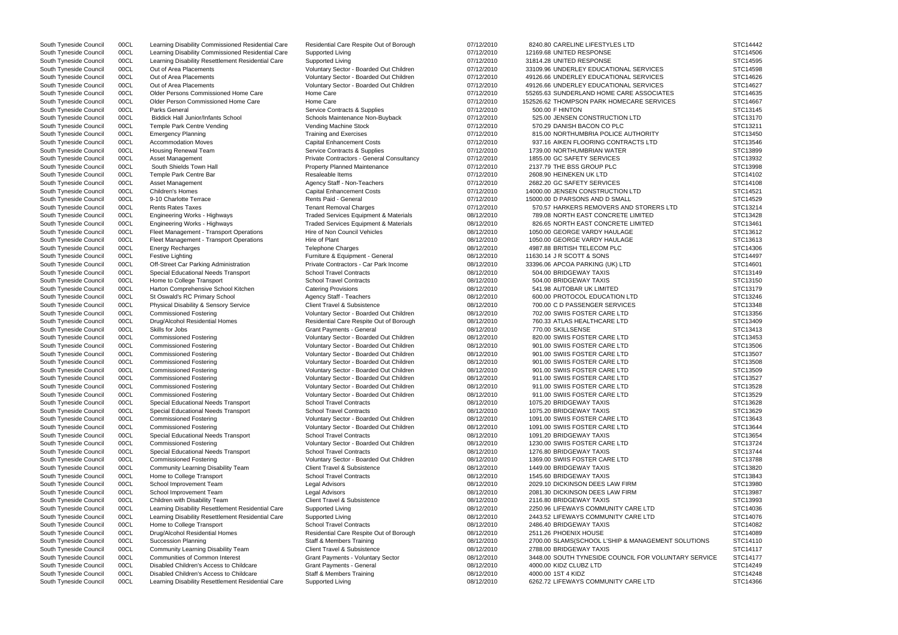South Tyneside Council 00CL Festive Lighting Company Furniture & Equipment - General 08/12/2010 11630.14 J R SCOTT & SONS South Tyneside Council 00CL Special Educational Needs Transport School Travel Contracts 08/12/2010 504.00 BRIDGEWAY TAXIS South Tyneside Council 00CL Home to College Transport School Travel Contracts 08/12/2010 504.00 BRIDGEWAY TAXIS South Tyneside Council 00CL Special Educational Needs Transport School Travel Contracts 08/12/2010 1075.20 BRIDGEWAY TAXIS South Tyneside Council 00CL Special Educational Needs Transport School Travel Contracts 08/12/2010 1075.20 BRIDGEWAY TAXIS South Tyneside Council 00CL Special Educational Needs Transport School Travel Contracts 08/12/2010 1091.20 BRIDGEWAY TAXIS South Tyneside Council 00CL Special Educational Needs Transport School Travel Contracts 08/12/2010 1276.80 BRIDGEWAY TAXIS South Tyneside Council 00CL Community Learning Disability Team Client Travel & Subsistence 08/12/2010 1449.00 BRIDGEWAY TAXIS South Tyneside Council 00CL Children with Disability Team Client Travel & Subsistence 08/12/2010 2116.80 BRIDGEWAY TAXIS South Tyneside Council 00CL Drug/Alcohol Residential Homes Residential Care Respite Out of Borough 08/12/2010 2511.26 PHOENIX HOUSE South Tyneside Council com Community Learning Disability Team Client Travel & Subsistence 08/12/2010 2788.00 BRIDGEWAY TAXIS South Tyneside Council 00CL Communities of Common Interest Grant Payments - Voluntary Sector 08/1 South Tyneside Council 00CL Disabled Children's Access to Childcare Grant Payments - General 08/12/2010 4000.00 KIDZ CLUBZ LTD South Tyneside Council 00CL Disabled Children's Access to Childcare Staff & Members Training 08/12/2010 4000.00 1ST 4 KIDZ

South Tyneside Council 00CL Learning Disability Commissioned Residential Care Residential Care Respite Out of Borough 07/12/2010 8240.80 CARELINE LIFESTYLES LTD STC14442 South Tyneside Council 00CL Learning Disability Commissioned Residential Care Supported Living 07/12/2010 12169.68 UNITED RESPONSE STC14506 South Tyneside Council 00CL Learning Disability Resettlement Residential Care Supported Living 07/12/2010 31814.28 UNITED RESPONSE STC14595 South Tyneside Council 00CL Out of Area Placements Voluntary Sector - Boarded Out Children 07/12/2010 33109.96 UNDERLEY EDUCATIONAL SERVICES STC14598 South Tyneside Council 00CL Out of Area Placements Voluntary Sector - Boarded Out Children 07/12/2010 49126.66 UNDERLEY EDUCATIONAL SERVICES STC14626 South Tyneside Council 00CL Out of Area Placements Voluntary Sector - Boarded Out Children 07/12/2010 49126.66 UNDERLEY EDUCATIONAL SERVICES STC14627 South Tyneside Council 00CL Older Persons Commissioned Home Care Home Care Home Care 307/12/2010 55265.63 SUNDERLAND HOME CARE ASSOCIATES STC14635 South Tyneside Council 00CL Older Person Commissioned Home Care Home Care Home Care 152526.02 THOMPSON PARK HOMECARE SERVICES STC14667 South Tyneside Council 00CL Parks General Service Contracts & Supplies 67/12/2010 500.00 F HINTON STC13145 South Tyneside Council 00CL Biddick Hall Junior/Infants School Schools Maintenance Non-Buyback 07/12/2010 525.00 JENSEN CONSTRUCTION LTD STC13170 South Tyneside Council 00CL Temple Park Centre Vending Vending Vending Machine Stock 07/12/2010 570.29 DANISH BACON CO PLC STC13211 South Tyneside Council 00CL Emergency Planning Company of Training and Exercises Company Company of the STC13450 07/12/2010 815.00 NORTHUMBRIA POLICE AUTHORITY STC13450 South Tyneside Council 00CL Accommodation Moves Capital Enhancement Costs 07/12/2010 937.16 AIKEN FLOORING CONTRACTS LTD STC13546 South Tyneside Council 00CL Housing Renewal Team Service Contracts & Supplies 07/12/2010 1739.00 NORTHUMBRIAN WATER STC13899 STC13899 South Tyneside Council 00CL Asset Management Private Contractors - General Consultancy 07/12/2010 1855.00 GC SAFETY SERVICES STC13932 South Tyneside Council 00CL South Shields Town Hall Property Planned Maintenance 07/12/2010 2137.79 THE BSS GROUP PLC STC13998 South Tyneside Council COOCL Temple Park Centre Bar Resaleable Items 2608.90 HEINEKEN UK LTD STC14102 STC14102 South Tyneside Council 00CL Asset Management Agency Staff - Non-Teachers 07/12/2010 2682.20 GC SAFETY SERVICES STC14108 South Tyneside Council 00CL Children's Homes Capital Enhancement Costs 07/12/2010 14000.00 JENSEN CONSTRUCTION LTD STC14521 South Tyneside Council 00CL 9-10 Charlotte Terrace Rents Paid - General Rents Paid - General 207/12/2010 15000.00 D PARSONS AND D SMALL STC14529 South Tyneside Council 00CL Rents Rates Taxes Tenant Removal Charges Tenant Removal Charges 67/12/2010 570.57 HARKERS REMOVERS AND STORERS LTD STC13214 South Tyneside Council 00CL Engineering Works - Highways Traded Services Equipment & Materials 08/12/2010 789.08 NORTH EAST CONCRETE LIMITED STC13428 South Tyneside Council 00CL Engineering Works - Highways Traded Services Equipment & Materials 08/12/2010 826.65 NORTH EAST CONCRETE LIMITED STC13461<br>South Tyneside Council 00Cl Fleet Management - Transport Operations Hire South Tyneside Council 00CL Fleet Management - Transport Operations Hire of Non Council Vehicles 08/12/2010 1050.00 GEORGE VARDY HAULAGE South Tyneside Council 00CL Fleet Management - Transport Operations Hire of Plant 108/12/2010 1050.00 GEORGE VARDY HAULAGE South Tyneside Council 00CL Energy Recharges Telephone Charges Telephone Charges Council 208/12/2010 4987.88 BRITISH TELECOM PLC South Tyneside Council 00CL Off-Street Car Parking Administration Private Contractors - Car Park Income 08/12/2010 33396.06 APCOA PARKING (UK) LTD South Tyneside Council 00CL Harton Comprehensive School Kitchen Catering Provisions Catering Provisions 08/12/2010 541.98 AUTOBAR UK LIMITED South Tyneside Council 00CL St Oswald's RC Primary School Agency Staff - Teachers 08/12/2010 600.00 PROTOCOL EDUCATION LTD South Tyneside Council 00CL Physical Disability & Sensory Service Client Travel & Subsistence 08/12/2010 700.00 C D PASSENGER SERVICES South Tyneside Council 00CL Commissioned Fostering variable voluntary Sector - Boarded Out Children 08/12/2010 702.00 SWIIS FOSTER CARE LTD South Tyneside Council 00CL Drug/Alcohol Residential Homes Residential Care Respite Out of Borough 08/12/2010 760.33 ATLAS HEALTHCARE LTD South Tyneside Council COOL Skills for Jobs (STC13413 Crant Payments - General 08/12/2010 770.00 SKILLSENSE STC13413 South Tyneside Council 00CL Commissioned Fostering Voluntary Sector - Boarded Out Children 08/12/2010 820.00 SWIIS FOSTER CARE LTD South Tyneside Council 00CL Commissioned Fostering values of Voluntary Sector - Boarded Out Children 08/12/2010 901.00 SWIIS FOSTER CARE LTD South Tyneside Council 00CL Commissioned Fostering variable voluntary Sector - Boarded Out Children 08/12/2010 901.00 SWIIS FOSTER CARE LTD South Tyneside Council 00CL Commissioned Fostering Voluntary Sector - Boarded Out Children 08/12/2010 901.00 SWIIS FOSTER CARE LTD South Tyneside Council 00CL Commissioned Fostering values and Voluntary Sector - Boarded Out Children 08/12/2010 901.00 SWIIS FOSTER CARE LTD South Tyneside Council 00CL Commissioned Fostering values and Voluntary Sector -South Tyneside Council 00CL Commissioned Fostering values of Voluntary Sector - Boarded Out Children 08/12/2010 911.00 SWIIS FOSTER CARE LTD South Tyneside Council 00CL Commissioned Fostering values and Voluntary Sector - Boarded Out Children 08/12/2010 911.00 SWIIS FOSTER CARE LTD South Tyneside Council 00CL Commissioned Fostering values and Voluntary Sector -South Tyneside Council 00CL Commissioned Fostering values of Voluntary Sector - Boarded Out Children 08/12/2010 911.00 SWIIS FOSTER CARE LTD South Tyneside Council 00CL Commissioned Fostering Commissioned Fostering Voluntary Sector - Boarded Out Children 08/12/2010 1091.00 SWIIS FOSTER CARE LTD South Tyneside Council 00CL Commissioned Fostering variable voluntary Sector - Boarded Out Children 08/12/2010 1091.00 SWIIS FOSTER CARE LTD South Tyneside Council 00CL Commissioned Fostering Voluntary Sector - Boarded Out Children 08/12/2010 1230.00 SWIIS FOSTER CARE LTD South Tyneside Council 00CL Commissioned Fostering Voluntary Sector - Boarded Out Children 08/12/2010 1369.00 SWIIS FOSTER CARE LTD South Tyneside Council 00CL Home to College Transport STC13843 School Travel Contracts 68/12/2010 1545.60 BRIDGEWAY TAXIS STC13843 South Tyneside Council 00CL School Improvement Team Legal Advisors Legal Advisors 68/12/2010 2029.10 DICKINSON DEES LAW FIRM South Tyneside Council 00CL School Improvement Team Legal Advisors Legal Advisors 68/12/2010 2081.30 DICKINSON DEES LAW FIRM South Tyneside Council 00CL Learning Disability Resettlement Residential Care Supported Living 08/12/2010 08/12/2010 2250.96 LIFEWAYS COMMUNITY CARE LTD South Tyneside Council 00CL Learning Disability Resettlement Residential Care Supported Living 08/12/2010 2443.52 LIFEWAYS COMMUNITY CARE LTD South Tyneside Council COOL Home to College Transport School Travel Contracts School Travel Contracts New StC14082 2486.40 BRIDGEWAY TAXIS STC14082 South Tyneside Council 00CL Succession Planning Staff & Members Training Staff & Members Training 68/12/2010 2700.00 SLAMS(SCHOOL L'SHIP & MANAGEMENT S South Tyneside Council 00CL Communities of Common Interest Grant Payments - Voluntary Sector 08/12/2010 3448.00 SOUTH TYNESIDE COUNCIL FOR VOLUNTA South Tyneside Council 00CL Learning Disability Resettlement Residential Care Supported Living 08/12/2010 6262.72 LIFEWAYS COMMUNITY CARE LTD

|                    | STC13613 |
|--------------------|----------|
|                    | STC14306 |
|                    | STC14497 |
|                    | STC14601 |
|                    | STC13149 |
|                    | STC13150 |
|                    | STC13179 |
|                    | STC13246 |
|                    | STC13348 |
|                    | STC13356 |
|                    | STC13409 |
|                    | STC13413 |
|                    | STC13453 |
|                    | STC13506 |
|                    | STC13507 |
|                    | STC13508 |
|                    | STC13509 |
|                    | STC13527 |
|                    | STC13528 |
|                    | STC13529 |
|                    | STC13628 |
|                    | STC13629 |
|                    | STC13643 |
|                    | STC13644 |
|                    | STC13654 |
|                    | STC13724 |
|                    | STC13744 |
|                    | STC13788 |
|                    | STC13820 |
|                    | STC13843 |
|                    | STC13980 |
|                    | STC13987 |
|                    | STC13993 |
|                    | STC14036 |
|                    | STC14076 |
|                    | STC14082 |
|                    | STC14089 |
| <b>SOLUTIONS</b>   | STC14110 |
|                    | STC14117 |
| <b>ARY SERVICE</b> | STC14177 |
|                    | STC14249 |
|                    | STC14248 |
|                    | STC14366 |
|                    |          |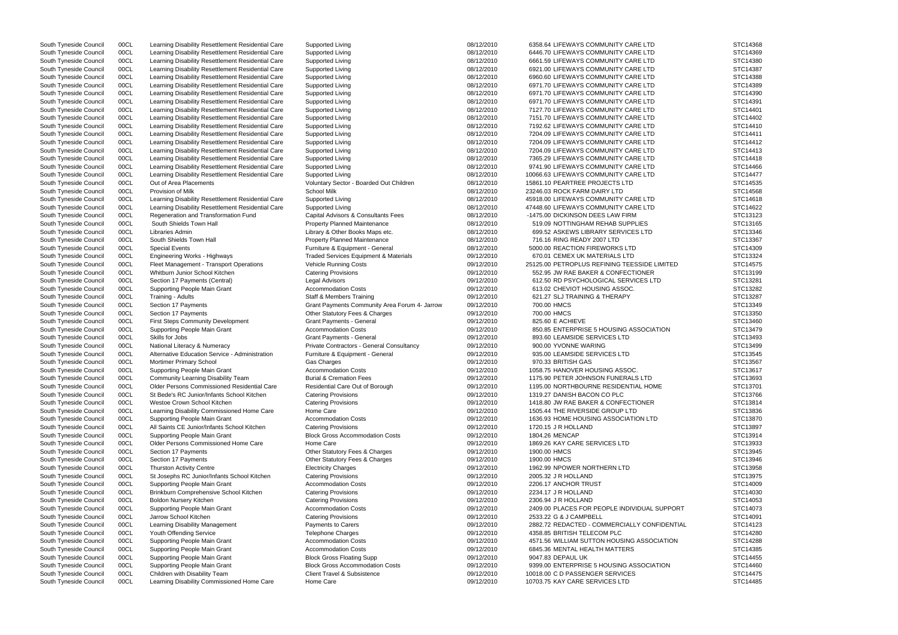| South Tyneside Council | 00CL | Learning Disability Resettlement Residential Care     | Supported Living                              | 08/12/2010 | 6358.64 LIFEWAYS COMMUNITY CARE LTD          | STC14368 |
|------------------------|------|-------------------------------------------------------|-----------------------------------------------|------------|----------------------------------------------|----------|
| South Tyneside Council | 00CL | Learning Disability Resettlement Residential Care     | Supported Living                              | 08/12/2010 | 6446.70 LIFEWAYS COMMUNITY CARE LTD          | STC14369 |
| South Tyneside Council | 00CL | Learning Disability Resettlement Residential Care     | Supported Living                              | 08/12/2010 | 6661.59 LIFEWAYS COMMUNITY CARE LTD          | STC14380 |
| South Tyneside Council | 00CL | Learning Disability Resettlement Residential Care     | Supported Living                              | 08/12/2010 | 6921.00 LIFEWAYS COMMUNITY CARE LTD          | STC14387 |
| South Tyneside Council | 00CL | Learning Disability Resettlement Residential Care     | Supported Living                              | 08/12/2010 | 6960.60 LIFEWAYS COMMUNITY CARE LTD          | STC14388 |
| South Tyneside Council | 00CL | Learning Disability Resettlement Residential Care     | Supported Living                              | 08/12/2010 | 6971.70 LIFEWAYS COMMUNITY CARE LTD          | STC14389 |
| South Tyneside Council | 00CL | Learning Disability Resettlement Residential Care     | Supported Living                              | 08/12/2010 | 6971.70 LIFEWAYS COMMUNITY CARE LTD          | STC14390 |
| South Tyneside Council | 00CL | Learning Disability Resettlement Residential Care     | Supported Living                              | 08/12/2010 | 6971.70 LIFEWAYS COMMUNITY CARE LTD          | STC14391 |
|                        |      |                                                       |                                               |            |                                              |          |
| South Tyneside Council | 00CL | Learning Disability Resettlement Residential Care     | Supported Living                              | 08/12/2010 | 7127.70 LIFEWAYS COMMUNITY CARE LTD          | STC14401 |
| South Tyneside Council | 00CL | Learning Disability Resettlement Residential Care     | Supported Living                              | 08/12/2010 | 7151.70 LIFEWAYS COMMUNITY CARE LTD          | STC14402 |
| South Tyneside Council | 00CL | Learning Disability Resettlement Residential Care     | Supported Living                              | 08/12/2010 | 7192.62 LIFEWAYS COMMUNITY CARE LTD          | STC14410 |
| South Tyneside Council | 00CL | Learning Disability Resettlement Residential Care     | Supported Living                              | 08/12/2010 | 7204.09 LIFEWAYS COMMUNITY CARE LTD          | STC14411 |
| South Tyneside Council | 00CL | Learning Disability Resettlement Residential Care     | Supported Living                              | 08/12/2010 | 7204.09 LIFEWAYS COMMUNITY CARE LTD          | STC14412 |
| South Tyneside Council | 00CL | Learning Disability Resettlement Residential Care     | Supported Living                              | 08/12/2010 | 7204.09 LIFEWAYS COMMUNITY CARE LTD          | STC14413 |
| South Tyneside Council | 00CL | Learning Disability Resettlement Residential Care     | Supported Living                              | 08/12/2010 | 7365.29 LIFEWAYS COMMUNITY CARE LTD          | STC14418 |
| South Tyneside Council | 00CL | Learning Disability Resettlement Residential Care     | Supported Living                              | 08/12/2010 | 9741.90 LIFEWAYS COMMUNITY CARE LTD          | STC14466 |
| South Tyneside Council | 00CL | Learning Disability Resettlement Residential Care     | Supported Living                              | 08/12/2010 | 10066.63 LIFEWAYS COMMUNITY CARE LTD         | STC14477 |
| South Tyneside Council | 00CL | Out of Area Placements                                | Voluntary Sector - Boarded Out Children       | 08/12/2010 | 15861.10 PEARTREE PROJECTS LTD               | STC14535 |
| South Tyneside Council | 00CL | Provision of Milk                                     | <b>School Milk</b>                            | 08/12/2010 | 23246.03 ROCK FARM DAIRY LTD                 | STC14568 |
| South Tyneside Council | 00CL | Learning Disability Resettlement Residential Care     | Supported Living                              | 08/12/2010 | 45918.00 LIFEWAYS COMMUNITY CARE LTD         | STC14618 |
| South Tyneside Council | 00CL | Learning Disability Resettlement Residential Care     | Supported Living                              | 08/12/2010 | 47448.60 LIFEWAYS COMMUNITY CARE LTD         | STC14622 |
|                        |      |                                                       |                                               |            | -1475.00 DICKINSON DEES LAW FIRM             | STC13123 |
| South Tyneside Council | 00CL | Regeneration and Transformation Fund                  | Capital Advisors & Consultants Fees           | 08/12/2010 |                                              |          |
| South Tyneside Council | 00CL | South Shields Town Hall                               | <b>Property Planned Maintenance</b>           | 08/12/2010 | 519.09 NOTTINGHAM REHAB SUPPLIES             | STC13165 |
| South Tyneside Council | 00CL | Libraries Admin                                       | Library & Other Books Maps etc.               | 08/12/2010 | 699.52 ASKEWS LIBRARY SERVICES LTD           | STC13346 |
| South Tyneside Council | 00CL | South Shields Town Hall                               | <b>Property Planned Maintenance</b>           | 08/12/2010 | 716.16 RING READY 2007 LTD                   | STC13367 |
| South Tyneside Council | 00CL | <b>Special Events</b>                                 | Furniture & Equipment - General               | 08/12/2010 | 5000.00 REACTION FIREWORKS LTD               | STC14309 |
| South Tyneside Council | 00CL | Engineering Works - Highways                          | Traded Services Equipment & Materials         | 09/12/2010 | 670.01 CEMEX UK MATERIALS LTD                | STC13324 |
| South Tyneside Council | 00CL | Fleet Management - Transport Operations               | <b>Vehicle Running Costs</b>                  | 09/12/2010 | 25125.00 PETROPLUS REFINING TEESSIDE LIMITED | STC14575 |
| South Tyneside Council | 00CL | Whitburn Junior School Kitchen                        | <b>Catering Provisions</b>                    | 09/12/2010 | 552.95 JW RAE BAKER & CONFECTIONER           | STC13199 |
| South Tyneside Council | 00CL | Section 17 Payments (Central)                         | <b>Legal Advisors</b>                         | 09/12/2010 | 612.50 RD PSYCHOLOGICAL SERVICES LTD         | STC13281 |
| South Tyneside Council | 00CL | Supporting People Main Grant                          | <b>Accommodation Costs</b>                    | 09/12/2010 | 613.02 CHEVIOT HOUSING ASSOC.                | STC13282 |
| South Tyneside Council | 00CL | Training - Adults                                     | Staff & Members Training                      | 09/12/2010 | 621.27 SLJ TRAINING & THERAPY                | STC13287 |
| South Tyneside Council | 00CL | Section 17 Payments                                   | Grant Payments Community Area Forum 4- Jarrow | 09/12/2010 | 700.00 HMCS                                  | STC13349 |
|                        | 00CL | Section 17 Payments                                   | Other Statutory Fees & Charges                |            |                                              |          |
| South Tyneside Council |      |                                                       |                                               | 09/12/2010 | 700.00 HMCS                                  | STC13350 |
| South Tyneside Council | 00CL | First Steps Community Development                     | <b>Grant Payments - General</b>               | 09/12/2010 | 825.60 E ACHIEVE                             | STC13460 |
| South Tyneside Council | 00CL | Supporting People Main Grant                          | <b>Accommodation Costs</b>                    | 09/12/2010 | 850.85 ENTERPRISE 5 HOUSING ASSOCIATION      | STC13479 |
| South Tyneside Council | 00CL | Skills for Jobs                                       | <b>Grant Payments - General</b>               | 09/12/2010 | 893.60 LEAMSIDE SERVICES LTD                 | STC13493 |
| South Tyneside Council | 00CL | National Literacy & Numeracy                          | Private Contractors - General Consultancy     | 09/12/2010 | 900.00 YVONNE WARING                         | STC13499 |
| South Tyneside Council | 00CL | Alternative Education Service - Administration        | Furniture & Equipment - General               | 09/12/2010 | 935.00 LEAMSIDE SERVICES LTD                 | STC13545 |
| South Tyneside Council | 00CL | Mortimer Primary School                               | Gas Charges                                   | 09/12/2010 | 970.33 BRITISH GAS                           | STC13567 |
| South Tyneside Council | 00CL | <b>Supporting People Main Grant</b>                   | <b>Accommodation Costs</b>                    | 09/12/2010 | 1058.75 HANOVER HOUSING ASSOC.               | STC13617 |
| South Tyneside Council | 00CL | Community Learning Disability Team                    | <b>Burial &amp; Cremation Fees</b>            | 09/12/2010 | 1175.90 PETER JOHNSON FUNERALS LTD           | STC13693 |
| South Tyneside Council | 00CL | <b>Older Persons Commissioned Residential Care</b>    | Residential Care Out of Borough               | 09/12/2010 | 1195.00 NORTHBOURNE RESIDENTIAL HOME         | STC13701 |
| South Tyneside Council | 00CL | St Bede's RC Junior/Infants School Kitchen            | <b>Catering Provisions</b>                    | 09/12/2010 | 1319.27 DANISH BACON CO PLC                  | STC13766 |
| South Tyneside Council | 00CL | Westoe Crown School Kitchen                           | <b>Catering Provisions</b>                    | 09/12/2010 | 1418.80 JW RAE BAKER & CONFECTIONER          | STC13814 |
| South Tyneside Council |      |                                                       | Home Care                                     | 09/12/2010 | 1505.44 THE RIVERSIDE GROUP LTD              | STC13836 |
|                        | 00CL | Learning Disability Commissioned Home Care            |                                               |            |                                              |          |
| South Tyneside Council | 00CL | Supporting People Main Grant                          | <b>Accommodation Costs</b>                    | 09/12/2010 | 1636.93 HOME HOUSING ASSOCIATION LTD         | STC13870 |
| South Tyneside Council | 00CL | All Saints CE Junior/Infants School Kitchen           | <b>Catering Provisions</b>                    | 09/12/2010 | 1720.15 J R HOLLAND                          | STC13897 |
| South Tyneside Council | 00CL | Supporting People Main Grant                          | <b>Block Gross Accommodation Costs</b>        | 09/12/2010 | 1804.26 MENCAP                               | STC13914 |
| South Tyneside Council | 00CL | <b>Older Persons Commissioned Home Care</b>           | Home Care                                     | 09/12/2010 | 1869.26 KAY CARE SERVICES LTD                | STC13933 |
| South Tyneside Council | 00CL | Section 17 Payments                                   | Other Statutory Fees & Charges                | 09/12/2010 | 1900.00 HMCS                                 | STC13945 |
| South Tyneside Council | 00CL | Section 17 Payments                                   | Other Statutory Fees & Charges                | 09/12/2010 | 1900.00 HMCS                                 | STC13946 |
| South Tyneside Council | 00CL | <b>Thurston Activity Centre</b>                       | <b>Electricity Charges</b>                    | 09/12/2010 | 1962.99 NPOWER NORTHERN LTD                  | STC13958 |
| South Tyneside Council | 00CL | St Josephs RC Junior/Infants School Kitchen           | <b>Catering Provisions</b>                    | 09/12/2010 | 2005.32 J R HOLLAND                          | STC13975 |
| South Tyneside Council | 00CL | Supporting People Main Grant                          | <b>Accommodation Costs</b>                    | 09/12/2010 | 2206.17 ANCHOR TRUST                         | STC14009 |
| South Tyneside Council | 00CL | Brinkburn Comprehensive School Kitchen                | <b>Catering Provisions</b>                    | 09/12/2010 | 2234.17 J R HOLLAND                          | STC14030 |
| South Tyneside Council | 00CL | <b>Boldon Nursery Kitchen</b>                         | <b>Catering Provisions</b>                    | 09/12/2010 | 2306.94 J R HOLLAND                          | STC14053 |
|                        |      |                                                       | <b>Accommodation Costs</b>                    |            | 2409.00 PLACES FOR PEOPLE INDIVIDUAL SUPPORT | STC14073 |
| South Tyneside Council | 00CL | Supporting People Main Grant<br>Jarrow School Kitchen |                                               | 09/12/2010 |                                              |          |
| South Tyneside Council | 00CL |                                                       | <b>Catering Provisions</b>                    | 09/12/2010 | 2533.22 G & J CAMPBELL                       | STC14091 |
| South Tyneside Council | 00CL | Learning Disability Management                        | Payments to Carers                            | 09/12/2010 | 2882.72 REDACTED - COMMERCIALLY CONFIDENTIAL | STC14123 |
| South Tyneside Council | 00CL | Youth Offending Service                               | Telephone Charges                             | 09/12/2010 | 4358.85 BRITISH TELECOM PLC                  | STC14280 |
| South Tyneside Council | 00CL | Supporting People Main Grant                          | <b>Accommodation Costs</b>                    | 09/12/2010 | 4571.56 WILLIAM SUTTON HOUSING ASSOCIATION   | STC14288 |
| South Tyneside Council | 00CL | Supporting People Main Grant                          | <b>Accommodation Costs</b>                    | 09/12/2010 | 6845.36 MENTAL HEALTH MATTERS                | STC14385 |
| South Tyneside Council | 00CL | Supporting People Main Grant                          | <b>Block Gross Floating Supp</b>              | 09/12/2010 | 9047.83 DEPAUL UK                            | STC14455 |
| South Tyneside Council | 00CL | Supporting People Main Grant                          | <b>Block Gross Accommodation Costs</b>        | 09/12/2010 | 9399.00 ENTERPRISE 5 HOUSING ASSOCIATION     | STC14460 |
|                        |      |                                                       |                                               |            |                                              |          |
| South Tyneside Council | 00CL | Children with Disability Team                         | <b>Client Travel &amp; Subsistence</b>        | 09/12/2010 | 10018.00 C D PASSENGER SERVICES              | STC14475 |
| South Tyneside Council | 00CL | Learning Disability Commissioned Home Care            | Home Care                                     | 09/12/2010 | 10703.75 KAY CARE SERVICES LTD               | STC14485 |

|                         | STC14368 |
|-------------------------|----------|
|                         | STC14369 |
|                         | STC14380 |
|                         | STC14387 |
| s                       | STC14388 |
| 2.<br>š                 | TC14389  |
|                         | STC14390 |
|                         | STC14391 |
|                         | STC14401 |
| s                       | STC14402 |
|                         | STC14410 |
| STC14411                |          |
|                         | STC14412 |
|                         | STC14413 |
|                         | STC14418 |
|                         | STC14466 |
|                         | STC14477 |
|                         | STC14535 |
|                         | STC14568 |
|                         | STC14618 |
|                         | STC14622 |
|                         | STC13123 |
|                         |          |
|                         | STC13165 |
|                         | STC13346 |
|                         | STC13367 |
|                         | STC14309 |
|                         | STC13324 |
|                         | STC14575 |
|                         | STC13199 |
|                         | STC13281 |
| s                       | STC13282 |
|                         | STC13287 |
|                         | STC13349 |
| s                       | STC13350 |
|                         | STC13460 |
|                         | STC13479 |
| STC13493                |          |
|                         |          |
|                         | STC13499 |
| ີ                       |          |
| ξ                       | STC13545 |
| š                       | STC13567 |
| r                       | STC13617 |
| $\overline{\mathsf{S}}$ | C13693   |
|                         | STC13701 |
| ć                       | STC13766 |
| s                       | STC13814 |
|                         | STC13836 |
|                         | STC13870 |
|                         | STC13897 |
| s                       | STC13914 |
| s                       | STC13933 |
|                         | STC13945 |
|                         | STC13946 |
|                         | STC13958 |
| ć                       | STC13975 |
| ć                       | STC14009 |
|                         | STC14030 |
|                         | STC14053 |
|                         | STC14073 |
| ć                       | STC14091 |
| s                       | STC14123 |
|                         | STC14280 |
|                         | STC14288 |
|                         | STC14385 |
| ć                       | STC14455 |
| š                       | STC14460 |
|                         | STC14475 |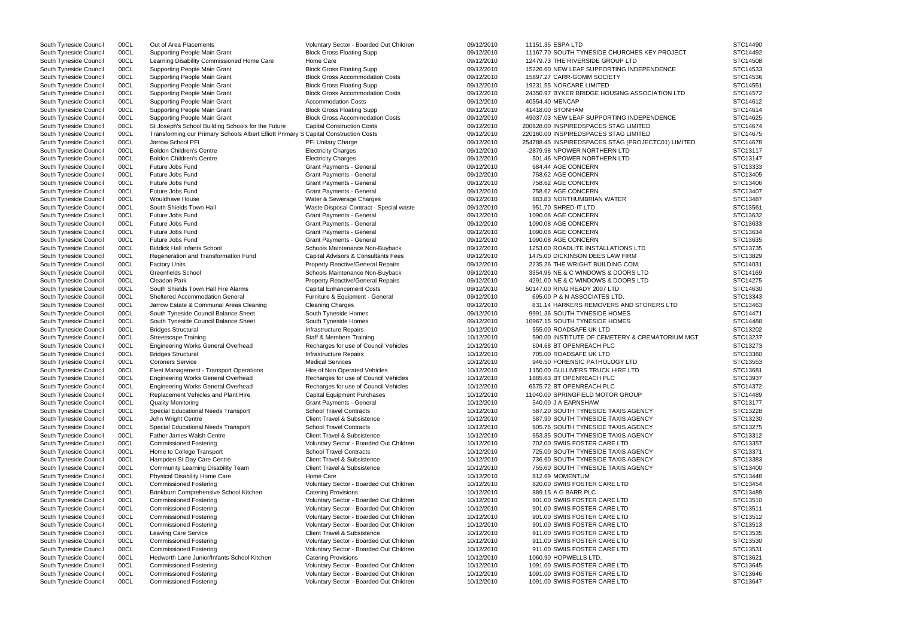| South Tyneside Council | 00CL | Out of Area Placements                                                               | Voluntary Sector - Boarded Out Children  | 09/12/2010 | 11151.35 ESPA LTD                                  | STC14490 |
|------------------------|------|--------------------------------------------------------------------------------------|------------------------------------------|------------|----------------------------------------------------|----------|
| South Tyneside Council | 00CL | Supporting People Main Grant                                                         | <b>Block Gross Floating Supp</b>         | 09/12/2010 | 11167.70 SOUTH TYNESIDE CHURCHES KEY PROJECT       | STC14492 |
| South Tyneside Council | 00CL | Learning Disability Commissioned Home Care                                           | Home Care                                | 09/12/2010 | 12479.73 THE RIVERSIDE GROUP LTD                   | STC14508 |
| South Tyneside Council | 00CL | Supporting People Main Grant                                                         | <b>Block Gross Floating Supp</b>         | 09/12/2010 | 15226.60 NEW LEAF SUPPORTING INDEPENDENCE          | STC14533 |
| South Tyneside Council | 00CL | Supporting People Main Grant                                                         | <b>Block Gross Accommodation Costs</b>   | 09/12/2010 | 15897.27 CARR-GOMM SOCIETY                         | STC14536 |
| South Tyneside Council | 00CL | Supporting People Main Grant                                                         | <b>Block Gross Floating Supp</b>         | 09/12/2010 | 19231.55 NORCARE LIMITED                           | STC14551 |
|                        |      |                                                                                      |                                          |            |                                                    |          |
| South Tyneside Council | 00CL | Supporting People Main Grant                                                         | <b>Block Gross Accommodation Costs</b>   | 09/12/2010 | 24350.97 BYKER BRIDGE HOUSING ASSOCIATION LTD      | STC14572 |
| South Tyneside Council | 00CL | Supporting People Main Grant                                                         | <b>Accommodation Costs</b>               | 09/12/2010 | 40554.40 MENCAP                                    | STC14612 |
| South Tyneside Council | 00CL | Supporting People Main Grant                                                         | <b>Block Gross Floating Supp</b>         | 09/12/2010 | 41418.00 STONHAM                                   | STC14614 |
| South Tyneside Council | 00CL | Supporting People Main Grant                                                         | <b>Block Gross Accommodation Costs</b>   | 09/12/2010 | 49037.03 NEW LEAF SUPPORTING INDEPENDENCE          | STC14625 |
| South Tyneside Council | 00CL | St Joseph's School Building Schools for the Future                                   | <b>Capital Construction Costs</b>        | 09/12/2010 | 200628.00 INSPIREDSPACES STAG LIMITED              | STC14674 |
| South Tyneside Council | 00CL | Transforming our Primary Schools Albert Elliott Primary S Capital Construction Costs |                                          | 09/12/2010 | 220160.00 INSPIREDSPACES STAG LIMITED              | STC14675 |
| South Tyneside Council | 00CL | Jarrow School PFI                                                                    | PFI Unitary Charge                       | 09/12/2010 | 254788.45 INSPIREDSPACES STAG (PROJECTC01) LIMITED | STC14678 |
|                        |      |                                                                                      |                                          |            |                                                    |          |
| South Tyneside Council | 00CL | <b>Boldon Children's Centre</b>                                                      | <b>Electricity Charges</b>               | 09/12/2010 | -2879.98 NPOWER NORTHERN LTD                       | STC13117 |
| South Tyneside Council | 00CL | <b>Boldon Children's Centre</b>                                                      | <b>Electricity Charges</b>               | 09/12/2010 | 501.46 NPOWER NORTHERN LTD                         | STC13147 |
| South Tyneside Council | 00CL | Future Jobs Fund                                                                     | <b>Grant Payments - General</b>          | 09/12/2010 | 684.44 AGE CONCERN                                 | STC13333 |
| South Tyneside Council | 00CL | Future Jobs Fund                                                                     | <b>Grant Payments - General</b>          | 09/12/2010 | 758.62 AGE CONCERN                                 | STC13405 |
| South Tyneside Council | 00CL | Future Jobs Fund                                                                     | <b>Grant Payments - General</b>          | 09/12/2010 | 758.62 AGE CONCERN                                 | STC13406 |
| South Tyneside Council | 00CL | Future Jobs Fund                                                                     | <b>Grant Payments - General</b>          | 09/12/2010 | 758.62 AGE CONCERN                                 | STC13407 |
| South Tyneside Council | 00CL | <b>Wouldhave House</b>                                                               | Water & Sewerage Charges                 | 09/12/2010 | 883.83 NORTHUMBRIAN WATER                          | STC13487 |
| South Tyneside Council | 00CL | South Shields Town Hall                                                              | Waste Disposal Contract - Special waste  | 09/12/2010 | 951.70 SHRED-IT LTD                                | STC13561 |
|                        |      |                                                                                      |                                          |            |                                                    |          |
| South Tyneside Council | 00CL | Future Jobs Fund                                                                     | <b>Grant Payments - General</b>          | 09/12/2010 | 1090.08 AGE CONCERN                                | STC13632 |
| South Tyneside Council | 00CL | Future Jobs Fund                                                                     | <b>Grant Payments - General</b>          | 09/12/2010 | 1090.08 AGE CONCERN                                | STC13633 |
| South Tyneside Council | 00CL | Future Jobs Fund                                                                     | <b>Grant Payments - General</b>          | 09/12/2010 | 1090.08 AGE CONCERN                                | STC13634 |
| South Tyneside Council | 00CL | Future Jobs Fund                                                                     | <b>Grant Payments - General</b>          | 09/12/2010 | 1090.08 AGE CONCERN                                | STC13635 |
| South Tyneside Council | 00CL | <b>Biddick Hall Infants School</b>                                                   | Schools Maintenance Non-Buyback          | 09/12/2010 | 1253.00 ROADLITE INSTALLATIONS LTD                 | STC13735 |
| South Tyneside Council | 00CL | Regeneration and Transformation Fund                                                 | Capital Advisors & Consultants Fees      | 09/12/2010 | 1475.00 DICKINSON DEES LAW FIRM                    | STC13829 |
| South Tyneside Council | 00CL | <b>Factory Units</b>                                                                 | <b>Property Reactive/General Repairs</b> | 09/12/2010 | 2235.26 THE WRIGHT BUILDING COM.                   | STC14031 |
|                        |      | <b>Greenfields School</b>                                                            |                                          |            |                                                    | STC14169 |
| South Tyneside Council | 00CL |                                                                                      | Schools Maintenance Non-Buyback          | 09/12/2010 | 3354.96 NE & C WINDOWS & DOORS LTD                 |          |
| South Tyneside Council | 00CL | <b>Cleadon Park</b>                                                                  | <b>Property Reactive/General Repairs</b> | 09/12/2010 | 4291.00 NE & C WINDOWS & DOORS LTD                 | STC14275 |
| South Tyneside Council | 00CL | South Shields Town Hall Fire Alarms                                                  | <b>Capital Enhancement Costs</b>         | 09/12/2010 | 50147.00 RING READY 2007 LTD                       | STC14630 |
| South Tyneside Council | 00CL | Sheltered Accommodation General                                                      | Furniture & Equipment - General          | 09/12/2010 | 695.00 P & N ASSOCIATES LTD.                       | STC13343 |
| South Tyneside Council | 00CL | Jarrow Estate & Communal Areas Cleaning                                              | <b>Cleaning Charges</b>                  | 09/12/2010 | 831.14 HARKERS REMOVERS AND STORERS LTD            | STC13463 |
| South Tyneside Council | 00CL | South Tyneside Council Balance Sheet                                                 | South Tyneside Homes                     | 09/12/2010 | 9991.36 SOUTH TYNESIDE HOMES                       | STC14471 |
| South Tyneside Council | 00CL | South Tyneside Council Balance Sheet                                                 | South Tyneside Homes                     | 09/12/2010 | 10967.15 SOUTH TYNESIDE HOMES                      | STC14488 |
| South Tyneside Council | 00CL | <b>Bridges Structural</b>                                                            | Infrastructure Repairs                   | 10/12/2010 | 555.00 ROADSAFE UK LTD                             | STC13202 |
|                        |      |                                                                                      |                                          |            |                                                    | STC13237 |
| South Tyneside Council | 00CL | <b>Streetscape Training</b>                                                          | Staff & Members Training                 | 10/12/2010 | 590.00 INSTITUTE OF CEMETERY & CREMATORIUM MGT     |          |
| South Tyneside Council | 00CL | <b>Engineering Works General Overhead</b>                                            | Recharges for use of Council Vehicles    | 10/12/2010 | 604.68 BT OPENREACH PLC                            | STC13273 |
| South Tyneside Council | 00CL | <b>Bridges Structural</b>                                                            | Infrastructure Repairs                   | 10/12/2010 | 705.00 ROADSAFE UK LTD                             | STC13360 |
| South Tyneside Council | 00CL | <b>Coroners Service</b>                                                              | <b>Medical Services</b>                  | 10/12/2010 | 946.50 FORENSIC PATHOLOGY LTD                      | STC13553 |
| South Tyneside Council | 00CL | Fleet Management - Transport Operations                                              | Hire of Non Operated Vehicles            | 10/12/2010 | 1150.00 GULLIVERS TRUCK HIRE LTD                   | STC13681 |
| South Tyneside Council | 00CL | Engineering Works General Overhead                                                   | Recharges for use of Council Vehicles    | 10/12/2010 | 1885.63 BT OPENREACH PLC                           | STC13937 |
| South Tyneside Council | 00CL | <b>Engineering Works General Overhead</b>                                            | Recharges for use of Council Vehicles    | 10/12/2010 | 6575.72 BT OPENREACH PLC                           | STC14372 |
| South Tyneside Council | 00CL | Replacement Vehicles and Plant Hire                                                  | <b>Capital Equipment Purchases</b>       | 10/12/2010 | 11040.00 SPRINGFIELD MOTOR GROUP                   | STC14489 |
|                        |      |                                                                                      |                                          |            |                                                    |          |
| South Tyneside Council | 00CL | <b>Quality Monitoring</b>                                                            | Grant Payments - General                 | 10/12/2010 | 540.00 J A EARNSHAW                                | STC13177 |
| South Tyneside Council | 00CL | Special Educational Needs Transport                                                  | <b>School Travel Contracts</b>           | 10/12/2010 | 587.20 SOUTH TYNESIDE TAXIS AGENCY                 | STC13228 |
| South Tyneside Council | 00CL | John Wright Centre                                                                   | <b>Client Travel &amp; Subsistence</b>   | 10/12/2010 | 587.90 SOUTH TYNESIDE TAXIS AGENCY                 | STC13230 |
| South Tyneside Council | 00CL | Special Educational Needs Transport                                                  | <b>School Travel Contracts</b>           | 10/12/2010 | 605.76 SOUTH TYNESIDE TAXIS AGENCY                 | STC13275 |
| South Tyneside Council | 00CL | <b>Father James Walsh Centre</b>                                                     | Client Travel & Subsistence              | 10/12/2010 | 653.35 SOUTH TYNESIDE TAXIS AGENCY                 | STC13312 |
| South Tyneside Council | 00CL | <b>Commissioned Fostering</b>                                                        | Voluntary Sector - Boarded Out Children  | 10/12/2010 | 702.00 SWIIS FOSTER CARE LTD                       | STC13357 |
| South Tyneside Council | 00CL | Home to College Transport                                                            | <b>School Travel Contracts</b>           | 10/12/2010 | 725.00 SOUTH TYNESIDE TAXIS AGENCY                 | STC13371 |
| South Tyneside Council | 00CL | Hampden St Day Care Centre                                                           | <b>Client Travel &amp; Subsistence</b>   | 10/12/2010 | 736.60 SOUTH TYNESIDE TAXIS AGENCY                 | STC13383 |
|                        |      |                                                                                      |                                          |            |                                                    |          |
| South Tyneside Council | 00CL | Community Learning Disability Team                                                   | Client Travel & Subsistence              | 10/12/2010 | 755.60 SOUTH TYNESIDE TAXIS AGENCY                 | STC13400 |
| South Tyneside Council | 00CL | Physical Disability Home Care                                                        | Home Care                                | 10/12/2010 | 812.69 MOMENTUM                                    | STC13448 |
| South Tyneside Council | 00CL | <b>Commissioned Fostering</b>                                                        | Voluntary Sector - Boarded Out Children  | 10/12/2010 | 820.00 SWIIS FOSTER CARE LTD                       | STC13454 |
| South Tyneside Council | 00CL | Brinkburn Comprehensive School Kitchen                                               | <b>Catering Provisions</b>               | 10/12/2010 | 889.15 A G BARR PLC                                | STC13489 |
| South Tyneside Council | 00CL | <b>Commissioned Fostering</b>                                                        | Voluntary Sector - Boarded Out Children  | 10/12/2010 | 901.00 SWIIS FOSTER CARE LTD                       | STC13510 |
| South Tyneside Council | 00CL | <b>Commissioned Fostering</b>                                                        | Voluntary Sector - Boarded Out Children  | 10/12/2010 | 901.00 SWIIS FOSTER CARE LTD                       | STC13511 |
| South Tyneside Council | 00CL | <b>Commissioned Fostering</b>                                                        | Voluntary Sector - Boarded Out Children  | 10/12/2010 | 901.00 SWIIS FOSTER CARE LTD                       | STC13512 |
|                        |      |                                                                                      |                                          | 10/12/2010 | 901.00 SWIIS FOSTER CARE LTD                       | STC13513 |
| South Tyneside Council | 00CL | <b>Commissioned Fostering</b>                                                        | Voluntary Sector - Boarded Out Children  |            |                                                    |          |
| South Tyneside Council | 00CL | Leaving Care Service                                                                 | <b>Client Travel &amp; Subsistence</b>   | 10/12/2010 | 911.00 SWIIS FOSTER CARE LTD                       | STC13535 |
| South Tyneside Council | 00CL | <b>Commissioned Fostering</b>                                                        | Voluntary Sector - Boarded Out Children  | 10/12/2010 | 911.00 SWIIS FOSTER CARE LTD                       | STC13530 |
| South Tyneside Council | 00CL | <b>Commissioned Fostering</b>                                                        | Voluntary Sector - Boarded Out Children  | 10/12/2010 | 911.00 SWIIS FOSTER CARE LTD                       | STC13531 |
| South Tyneside Council | 00CL | Hedworth Lane Junior/Infants School Kitchen                                          | <b>Catering Provisions</b>               | 10/12/2010 | 1060.90 HOPWELLS LTD.                              | STC13621 |
| South Tyneside Council | 00CL | <b>Commissioned Fostering</b>                                                        | Voluntary Sector - Boarded Out Children  | 10/12/2010 | 1091.00 SWIIS FOSTER CARE LTD                      | STC13645 |
| South Tyneside Council | 00CL | <b>Commissioned Fostering</b>                                                        | Voluntary Sector - Boarded Out Children  | 10/12/2010 | 1091.00 SWIIS FOSTER CARE LTD                      | STC13646 |
| South Tyneside Council | 00CL | <b>Commissioned Fostering</b>                                                        | Voluntary Sector - Boarded Out Children  | 10/12/2010 | 1091.00 SWIIS FOSTER CARE LTD                      | STC13647 |
|                        |      |                                                                                      |                                          |            |                                                    |          |

| CТ     | STC14490<br>STC14492<br>STC14508<br>STC14533                                                                                                                                                                                                                                                                                                                                                                                                                                                                                                                                                                                                 |
|--------|----------------------------------------------------------------------------------------------------------------------------------------------------------------------------------------------------------------------------------------------------------------------------------------------------------------------------------------------------------------------------------------------------------------------------------------------------------------------------------------------------------------------------------------------------------------------------------------------------------------------------------------------|
| .<br>D | STC14536<br>STC14551<br>STC14572<br>STC14612<br>STC14614                                                                                                                                                                                                                                                                                                                                                                                                                                                                                                                                                                                     |
| 1ITED  | STC14625<br>STC14674<br>STC14675<br>STC14678<br>STC13117<br>STC13147                                                                                                                                                                                                                                                                                                                                                                                                                                                                                                                                                                         |
| M MGT  | STC13333<br>STC13405<br>STC13406<br>STC13407<br>STC13487<br>STC13561<br>STC13632<br>STC13633<br>STC13634<br>STC13635<br>STC13735<br>STC13829<br>STC14031<br>STC14169<br>STC14275<br>STC14630<br>STC13343<br>STC13463<br>STC14471<br>STC14488<br>STC13202<br>STC13237<br>STC13273<br>STC13360<br>STC13553<br>STC13681<br>STC13937<br>STC14372<br>STC14489<br>STC13177<br>STC13228<br>STC13230<br>STC13275<br>STC13312<br>STC13357<br>STC13371<br>STC13383<br>STC13400<br>STC13448<br>STC13454<br>STC13489<br>STC13510<br>STC13511<br>STC13512<br>STC13513<br>STC13535<br>STC13530<br>STC13531<br>STC13621<br>STC13645<br>STC13646<br>STC13647 |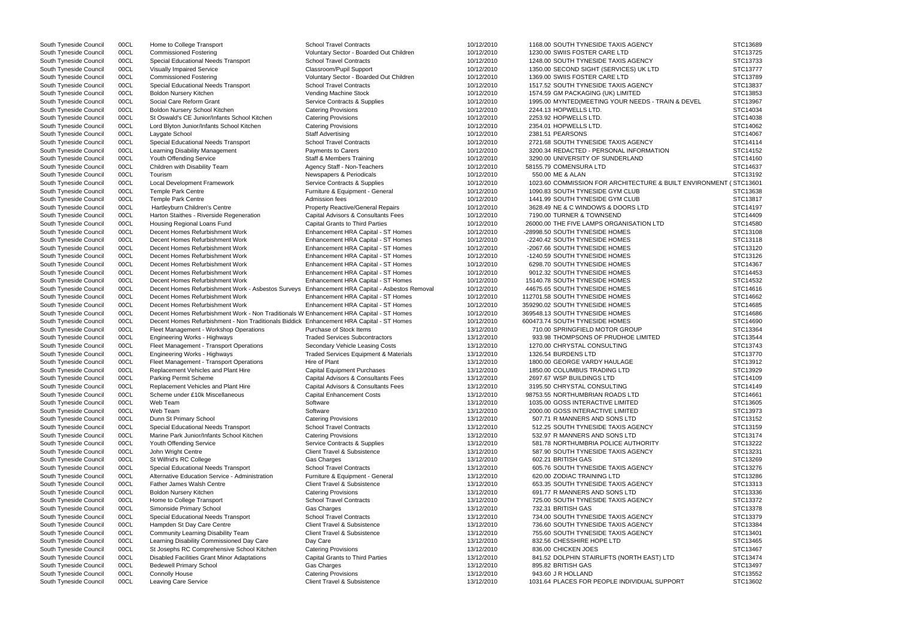| South Tyneside Council | 00CL | Home to College Transport                                                                | <b>School Travel Contracts</b>             | 10/12/2010 | 1168.00 SOUTH TYNESIDE TAXIS AGENCY                               | STC13689             |
|------------------------|------|------------------------------------------------------------------------------------------|--------------------------------------------|------------|-------------------------------------------------------------------|----------------------|
| South Tyneside Council | 00CL | <b>Commissioned Fostering</b>                                                            | Voluntary Sector - Boarded Out Children    | 10/12/2010 | 1230.00 SWIIS FOSTER CARE LTD                                     | STC13725             |
| South Tyneside Council | 00CL | Special Educational Needs Transport                                                      | <b>School Travel Contracts</b>             | 10/12/2010 | 1248.00 SOUTH TYNESIDE TAXIS AGENCY                               | STC13733             |
| South Tyneside Council | 00CL | Visually Impaired Service                                                                | Classroom/Pupil Support                    | 10/12/2010 | 1350.00 SECOND SIGHT (SERVICES) UK LTD                            | STC13777             |
| South Tyneside Council | 00CL | <b>Commissioned Fostering</b>                                                            | Voluntary Sector - Boarded Out Children    | 10/12/2010 | 1369.00 SWIIS FOSTER CARE LTD                                     | STC13789             |
| South Tyneside Council | 00CL | Special Educational Needs Transport                                                      | <b>School Travel Contracts</b>             | 10/12/2010 | 1517.52 SOUTH TYNESIDE TAXIS AGENCY                               | STC13837             |
| South Tyneside Council | 00CL | Boldon Nursery Kitchen                                                                   | Vending Machine Stock                      | 10/12/2010 | 1574.59 GM PACKAGING (UK) LIMITED                                 | STC13853             |
| South Tyneside Council | 00CL | Social Care Reform Grant                                                                 | Service Contracts & Supplies               | 10/12/2010 | 1995.00 MYNTED(MEETING YOUR NEEDS - TRAIN & DEVEL                 | STC13967             |
| South Tyneside Council | 00CL | Boldon Nursery School Kitchen                                                            | <b>Catering Provisions</b>                 | 10/12/2010 | 2244.13 HOPWELLS LTD.                                             | STC14034             |
| South Tyneside Council | 00CL | St Oswald's CE Junior/Infants School Kitchen                                             | <b>Catering Provisions</b>                 | 10/12/2010 | 2253.92 HOPWELLS LTD.                                             | STC14038             |
| South Tyneside Council | 00CL | Lord Blyton Junior/Infants School Kitchen                                                | <b>Catering Provisions</b>                 | 10/12/2010 | 2354.01 HOPWELLS LTD.                                             | STC14062             |
| South Tyneside Council | 00CL | Laygate School                                                                           | <b>Staff Advertising</b>                   | 10/12/2010 | 2381.51 PEARSONS                                                  | STC14067             |
| South Tyneside Council | 00CL | Special Educational Needs Transport                                                      | <b>School Travel Contracts</b>             | 10/12/2010 | 2721.68 SOUTH TYNESIDE TAXIS AGENCY                               | STC14114             |
| South Tyneside Council | 00CL | Learning Disability Management                                                           | Payments to Carers                         | 10/12/2010 | 3200.34 REDACTED - PERSONAL INFORMATION                           | STC14152             |
| South Tyneside Council | 00CL | Youth Offending Service                                                                  | <b>Staff &amp; Members Training</b>        | 10/12/2010 | 3290.00 UNIVERSITY OF SUNDERLAND                                  | STC14160             |
| South Tyneside Council | 00CL | Children with Disability Team                                                            | Agency Staff - Non-Teachers                | 10/12/2010 | 58155.79 COMENSURA LTD                                            | STC14637             |
| South Tyneside Council | 00CL | Tourism                                                                                  | Newspapers & Periodicals                   | 10/12/2010 | 550.00 ME & ALAN                                                  | STC13192             |
| South Tyneside Council | 00CL | Local Development Framework                                                              | Service Contracts & Supplies               | 10/12/2010 | 1023.60 COMMISSION FOR ARCHITECTURE & BUILT ENVIRONMENT (STC13601 |                      |
| South Tyneside Council | 00CL | <b>Temple Park Centre</b>                                                                | Furniture & Equipment - General            | 10/12/2010 | 1090.83 SOUTH TYNESIDE GYM CLUB                                   | STC13638             |
| South Tyneside Council | 00CL | <b>Temple Park Centre</b>                                                                | Admission fees                             | 10/12/2010 | 1441.99 SOUTH TYNESIDE GYM CLUB                                   | STC13817             |
| South Tyneside Council | 00CL | Hartleyburn Children's Centre                                                            | <b>Property Reactive/General Repairs</b>   | 10/12/2010 | 3628.49 NE & C WINDOWS & DOORS LTD                                | STC14197             |
| South Tyneside Council | 00CL | Harton Staithes - Riverside Regeneration                                                 | Capital Advisors & Consultants Fees        | 10/12/2010 | 7190.00 TURNER & TOWNSEND                                         | STC14409             |
| South Tyneside Council | 00CL | Housing Regional Loans Fund                                                              | <b>Capital Grants to Third Parties</b>     | 10/12/2010 | 26000.00 THE FIVE LAMPS ORGANISATION LTD                          | STC14580             |
| South Tyneside Council | 00CL | Decent Homes Refurbishment Work                                                          | Enhancement HRA Capital - ST Homes         | 10/12/2010 | -28998.50 SOUTH TYNESIDE HOMES                                    | STC13108             |
| South Tyneside Council | 00CL | Decent Homes Refurbishment Work                                                          | Enhancement HRA Capital - ST Homes         | 10/12/2010 | -2240.42 SOUTH TYNESIDE HOMES                                     | STC13118             |
| South Tyneside Council | 00CL | Decent Homes Refurbishment Work                                                          | Enhancement HRA Capital - ST Homes         | 10/12/2010 | -2067.66 SOUTH TYNESIDE HOMES                                     | STC13120             |
| South Tyneside Council | 00CL | Decent Homes Refurbishment Work                                                          | Enhancement HRA Capital - ST Homes         | 10/12/2010 | -1240.59 SOUTH TYNESIDE HOMES                                     | STC13126             |
| South Tyneside Council | 00CL | Decent Homes Refurbishment Work                                                          | Enhancement HRA Capital - ST Homes         | 10/12/2010 | 6298.70 SOUTH TYNESIDE HOMES                                      | STC14367             |
| South Tyneside Council | 00CL | Decent Homes Refurbishment Work                                                          | Enhancement HRA Capital - ST Homes         | 10/12/2010 | 9012.32 SOUTH TYNESIDE HOMES                                      | STC14453             |
| South Tyneside Council | 00CL | Decent Homes Refurbishment Work                                                          | Enhancement HRA Capital - ST Homes         | 10/12/2010 | 15140.78 SOUTH TYNESIDE HOMES                                     | STC14532             |
| South Tyneside Council | 00CL | Decent Homes Refurbishment Work - Asbestos Surveys                                       | Enhancement HRA Capital - Asbestos Removal | 10/12/2010 | 44675.65 SOUTH TYNESIDE HOMES                                     | STC14616             |
| South Tyneside Council | 00CL | Decent Homes Refurbishment Work                                                          | Enhancement HRA Capital - ST Homes         | 10/12/2010 | 112701.58 SOUTH TYNESIDE HOMES                                    | STC14662             |
| South Tyneside Council | 00CL | Decent Homes Refurbishment Work                                                          | Enhancement HRA Capital - ST Homes         | 10/12/2010 | 359290.02 SOUTH TYNESIDE HOMES                                    | STC14685             |
| South Tyneside Council | 00CL | Decent Homes Refurbishment Work - Non Traditionals W Enhancement HRA Capital - ST Homes  |                                            | 10/12/2010 | 369548.13 SOUTH TYNESIDE HOMES                                    | STC14686             |
| South Tyneside Council | 00CL | Decent Homes Refurbishment - Non Traditionals Biddick Enhancement HRA Capital - ST Homes |                                            | 10/12/2010 | 600473.74 SOUTH TYNESIDE HOMES                                    | STC14690             |
| South Tyneside Council | 00CL | Fleet Management - Workshop Operations                                                   | Purchase of Stock Items                    | 13/12/2010 | 710.00 SPRINGFIELD MOTOR GROUP                                    | STC13364             |
| South Tyneside Council | 00CL | Engineering Works - Highways                                                             | <b>Traded Services Subcontractors</b>      | 13/12/2010 | 933.98 THOMPSONS OF PRUDHOE LIMITED                               | STC13544             |
| South Tyneside Council | 00CL | Fleet Management - Transport Operations                                                  | Secondary Vehicle Leasing Costs            | 13/12/2010 | 1270.00 CHRYSTAL CONSULTING                                       | STC13743             |
| South Tyneside Council | 00CL | Engineering Works - Highways                                                             | Traded Services Equipment & Materials      | 13/12/2010 | 1326.54 BURDENS LTD                                               | STC13770             |
| South Tyneside Council | 00CL | Fleet Management - Transport Operations                                                  | Hire of Plant                              | 13/12/2010 | 1800.00 GEORGE VARDY HAULAGE                                      | STC13912             |
| South Tyneside Council | 00CL | Replacement Vehicles and Plant Hire                                                      | <b>Capital Equipment Purchases</b>         | 13/12/2010 | 1850.00 COLUMBUS TRADING LTD                                      | STC13929             |
| South Tyneside Council | 00CL | <b>Parking Permit Scheme</b>                                                             | Capital Advisors & Consultants Fees        | 13/12/2010 | 2697.67 WSP BUILDINGS LTD                                         | STC14109             |
| South Tyneside Council | 00CL | Replacement Vehicles and Plant Hire                                                      | Capital Advisors & Consultants Fees        | 13/12/2010 | 3195.50 CHRYSTAL CONSULTING                                       | STC14149             |
| South Tyneside Council | 00CL | Scheme under £10k Miscellaneous                                                          | <b>Capital Enhancement Costs</b>           | 13/12/2010 | 98753.55 NORTHUMBRIAN ROADS LTD                                   | STC14661             |
|                        | 00CL | Web Team                                                                                 | Software                                   | 13/12/2010 | 1035.00 GOSS INTERACTIVE LIMITED                                  | STC13605             |
| South Tyneside Council |      |                                                                                          |                                            |            | 2000.00 GOSS INTERACTIVE LIMITED                                  | STC13973             |
| South Tyneside Council | 00CL | Web Team                                                                                 | Software                                   | 13/12/2010 |                                                                   |                      |
| South Tyneside Council | 00CL | Dunn St Primary School                                                                   | <b>Catering Provisions</b>                 | 13/12/2010 | 507.71 R MANNERS AND SONS LTD                                     | STC13152<br>STC13159 |
| South Tyneside Council | 00CL | Special Educational Needs Transport                                                      | <b>School Travel Contracts</b>             | 13/12/2010 | 512.25 SOUTH TYNESIDE TAXIS AGENCY                                |                      |
| South Tyneside Council | 00CL | Marine Park Junior/Infants School Kitchen                                                | <b>Catering Provisions</b>                 | 13/12/2010 | 532.97 R MANNERS AND SONS LTD                                     | STC13174             |
| South Tyneside Council | 00CL | Youth Offending Service                                                                  | Service Contracts & Supplies               | 13/12/2010 | 581.78 NORTHUMBRIA POLICE AUTHORITY                               | STC13222             |
| South Tyneside Council | 00CL | John Wright Centre                                                                       | <b>Client Travel &amp; Subsistence</b>     | 13/12/2010 | 587.90 SOUTH TYNESIDE TAXIS AGENCY                                | STC13231             |
| South Tyneside Council | 00CL | St Wilfrid's RC College                                                                  | Gas Charges                                | 13/12/2010 | 602.21 BRITISH GAS                                                | STC13269             |
| South Tyneside Council | 00CL | Special Educational Needs Transport                                                      | <b>School Travel Contracts</b>             | 13/12/2010 | 605.76 SOUTH TYNESIDE TAXIS AGENCY                                | STC13276             |
| South Tyneside Council | 00CL | Alternative Education Service - Administration                                           | Furniture & Equipment - General            | 13/12/2010 | 620.00 ZODIAC TRAINING LTD                                        | STC13286             |
| South Tyneside Council | 00CL | Father James Walsh Centre                                                                | Client Travel & Subsistence                | 13/12/2010 | 653.35 SOUTH TYNESIDE TAXIS AGENCY                                | STC13313             |
| South Tyneside Council | 00CL | Boldon Nursery Kitchen                                                                   | <b>Catering Provisions</b>                 | 13/12/2010 | 691.77 R MANNERS AND SONS LTD                                     | STC13336             |
| South Tyneside Council | 00CL | Home to College Transport                                                                | <b>School Travel Contracts</b>             | 13/12/2010 | 725.00 SOUTH TYNESIDE TAXIS AGENCY                                | STC13372             |
| South Tyneside Council | 00CL | Simonside Primary School                                                                 | Gas Charges                                | 13/12/2010 | 732.31 BRITISH GAS                                                | STC13378             |
| South Tyneside Council | 00CL | Special Educational Needs Transport                                                      | <b>School Travel Contracts</b>             | 13/12/2010 | 734.00 SOUTH TYNESIDE TAXIS AGENCY                                | STC13379             |
| South Tyneside Council | 00CL | Hampden St Day Care Centre                                                               | Client Travel & Subsistence                | 13/12/2010 | 736.60 SOUTH TYNESIDE TAXIS AGENCY                                | STC13384             |
| South Tyneside Council | 00CL | Community Learning Disability Team                                                       | <b>Client Travel &amp; Subsistence</b>     | 13/12/2010 | 755.60 SOUTH TYNESIDE TAXIS AGENCY                                | STC13401             |
| South Tyneside Council | 00CL | Learning Disability Commissioned Day Care                                                | Day Care                                   | 13/12/2010 | 832.56 CHESSHIRE HOPE LTD                                         | STC13465             |
| South Tyneside Council | 00CL | St Josephs RC Comprehensive School Kitchen                                               | <b>Catering Provisions</b>                 | 13/12/2010 | 836.00 CHICKEN JOES                                               | STC13467             |
| South Tyneside Council | 00CL | Disabled Facilities Grant Minor Adaptations                                              | <b>Capital Grants to Third Parties</b>     | 13/12/2010 | 841.52 DOLPHIN STAIRLIFTS (NORTH EAST) LTD                        | STC13474             |
| South Tyneside Council | 00CL | <b>Bedewell Primary School</b>                                                           | Gas Charges                                | 13/12/2010 | 895.82 BRITISH GAS                                                | STC13497             |
| South Tyneside Council | 00CL | <b>Connolly House</b>                                                                    | <b>Catering Provisions</b>                 | 13/12/2010 | 943.60 J R HOLLAND                                                | STC13552             |
| South Tyneside Council | 00CL | Leaving Care Service                                                                     | Client Travel & Subsistence                | 13/12/2010 | 1031.64 PLACES FOR PEOPLE INDIVIDUAL SUPPORT                      | STC13602             |

|                         | STC13689             |
|-------------------------|----------------------|
|                         | STC13725             |
|                         | STC13733             |
|                         | STC13777             |
|                         | STC13789             |
|                         | STC13837             |
|                         | STC13853             |
| & DEVEL                 | STC13967             |
|                         | STC14034<br>STC14038 |
|                         | STC14062             |
|                         | STC14067             |
|                         | STC14114             |
|                         | STC14152             |
|                         | STC14160             |
|                         | STC14637             |
|                         | STC13192             |
| T ENVIRONMENT (STC13601 |                      |
|                         | STC13638             |
|                         | STC13817             |
|                         | STC14197             |
|                         | STC14409             |
|                         | STC14580             |
|                         | STC13108             |
|                         | STC13118             |
|                         | STC13120             |
|                         | STC13126             |
|                         | STC14367             |
|                         | STC14453             |
|                         | STC14532             |
|                         | STC14616             |
|                         | STC14662             |
|                         | STC14685             |
|                         | STC14686             |
|                         | STC14690             |
|                         | STC13364             |
|                         | STC13544             |
|                         | STC13743             |
|                         | STC13770             |
|                         | STC13912             |
|                         | STC13929<br>STC14109 |
|                         | STC14149             |
|                         | STC14661             |
|                         | STC13605             |
|                         | STC13973             |
|                         | STC13152             |
|                         | STC13159             |
|                         | STC13174             |
|                         | STC13222             |
|                         | STC13231             |
|                         | STC13269             |
|                         | STC13276             |
|                         | STC13286             |
|                         | STC13313             |
|                         | STC13336             |
|                         | STC13372             |
|                         | STC13378             |
|                         | STC13379             |
|                         | STC13384             |
|                         | STC13401             |
|                         | STC13465             |
|                         | STC13467             |
|                         | STC13474             |
|                         | STC13497             |
|                         | STC13552             |
| RT                      | STC13602             |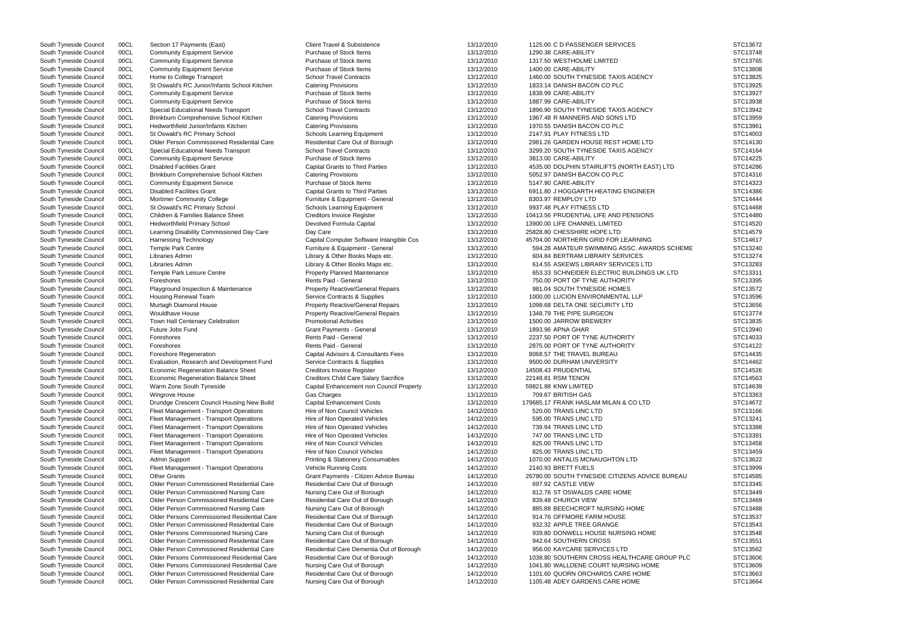| South Tyneside Council | 00CL | Section 17 Payments (East)                         | <b>Client Travel &amp; Subsistence</b>               | 13/12/2010               | 1125.00 C D PASSENGER SERVICES                 | STC13672 |
|------------------------|------|----------------------------------------------------|------------------------------------------------------|--------------------------|------------------------------------------------|----------|
| South Tyneside Council | 00CL | <b>Community Equipment Service</b>                 | Purchase of Stock Items                              | 13/12/2010               | 1290.38 CARE-ABILITY                           | STC13748 |
| South Tyneside Council | 00CL | <b>Community Equipment Service</b>                 | Purchase of Stock Items                              | 13/12/2010               | 1317.50 WESTHOLME LIMITED                      | STC13765 |
| South Tyneside Council | 00CL | <b>Community Equipment Service</b>                 | Purchase of Stock Items                              | 13/12/2010               | 1400.00 CARE-ABILITY                           | STC13808 |
| South Tyneside Council | 00CL | Home to College Transport                          | <b>School Travel Contracts</b>                       | 13/12/2010               | 1460.00 SOUTH TYNESIDE TAXIS AGENCY            | STC13825 |
| South Tyneside Council | 00CL | St Oswald's RC Junior/Infants School Kitchen       | <b>Catering Provisions</b>                           | 13/12/2010               | 1833.14 DANISH BACON CO PLC                    | STC13925 |
| South Tyneside Council | 00CL | <b>Community Equipment Service</b>                 | Purchase of Stock Items                              | 13/12/2010               | 1838.99 CARE-ABILITY                           | STC13927 |
| South Tyneside Council | 00CL | <b>Community Equipment Service</b>                 | Purchase of Stock Items                              | 13/12/2010               | 1887.99 CARE-ABILITY                           | STC13938 |
| South Tyneside Council | 00CL | Special Educational Needs Transport                | <b>School Travel Contracts</b>                       | 13/12/2010               | 1896.90 SOUTH TYNESIDE TAXIS AGENCY            | STC13942 |
| South Tyneside Council | 00CL | Brinkburn Comprehensive School Kitchen             | <b>Catering Provisions</b>                           | 13/12/2010               | 1967.48 R MANNERS AND SONS LTD                 | STC13959 |
| South Tyneside Council | 00CL | Hedworthfield Junior/Infants Kitchen               | <b>Catering Provisions</b>                           | 13/12/2010               | 1970.55 DANISH BACON CO PLC                    | STC13961 |
| South Tyneside Council | 00CL | St Oswald's RC Primary School                      | Schools Learning Equipment                           | 13/12/2010               | 2147.91 PLAY FITNESS LTD                       | STC14003 |
| South Tyneside Council | 00CL | Older Person Commissioned Residential Care         | Residential Care Out of Borough                      | 13/12/2010               | 2981.26 GARDEN HOUSE REST HOME LTD             | STC14130 |
| South Tyneside Council | 00CL | Special Educational Needs Transport                | <b>School Travel Contracts</b>                       | 13/12/2010               | 3299.20 SOUTH TYNESIDE TAXIS AGENCY            | STC14164 |
| South Tyneside Council | 00CL | <b>Community Equipment Service</b>                 | Purchase of Stock Items                              | 13/12/2010               | 3813.00 CARE-ABILITY                           | STC14225 |
| South Tyneside Council | 00CL | <b>Disabled Facilities Grant</b>                   | <b>Capital Grants to Third Parties</b>               | 13/12/2010               | 4535.00 DOLPHIN STAIRLIFTS (NORTH EAST) LTD    | STC14286 |
| South Tyneside Council | 00CL | Brinkburn Comprehensive School Kitchen             | <b>Catering Provisions</b>                           | 13/12/2010               | 5052.97 DANISH BACON CO PLC                    | STC14316 |
| South Tyneside Council | 00CL | <b>Community Equipment Service</b>                 | Purchase of Stock Items                              | 13/12/2010               | 5147.90 CARE-ABILITY                           | STC14323 |
| South Tyneside Council | 00CL | <b>Disabled Facilities Grant</b>                   | <b>Capital Grants to Third Parties</b>               | 13/12/2010               | 6911.80 J HOGGARTH HEATING ENGINEER            | STC14386 |
| South Tyneside Council | 00CL | Mortimer Community College                         | Furniture & Equipment - General                      | 13/12/2010               | 8303.97 REMPLOY LTD                            | STC14444 |
| South Tyneside Council | 00CL | St Oswald's RC Primary School                      | Schools Learning Equipment                           | 13/12/2010               | 9937.48 PLAY FITNESS LTD                       | STC14468 |
| South Tyneside Council | 00CL | Children & Families Balance Sheet                  | <b>Creditors Invoice Register</b>                    | 13/12/2010               | 10413.56 PRUDENTIAL LIFE AND PENSIONS          | STC14480 |
| South Tyneside Council | 00CL | <b>Hedworthfield Primary School</b>                | Devolved Formula Capital                             | 13/12/2010               | 13900.00 LIFE CHANNEL LIMITED                  | STC14520 |
| South Tyneside Council | 00CL | Learning Disability Commissioned Day Care          | Day Care                                             | 13/12/2010               | 25828.80 CHESSHIRE HOPE LTD                    | STC14579 |
| South Tyneside Council | 00CL | Harnessing Technology                              | Capital Computer Software Intangible Cos             | 13/12/2010               | 45704.00 NORTHERN GRID FOR LEARNING            | STC14617 |
| South Tyneside Council | 00CL | <b>Temple Park Centre</b>                          | Furniture & Equipment - General                      | 13/12/2010               | 594.26 AMATEUR SWIMMING ASSC. AWARDS SCHEME    | STC13240 |
| South Tyneside Council | 00CL | Libraries Admin                                    | Library & Other Books Maps etc.                      | 13/12/2010               | 604.84 BERTRAM LIBRARY SERVICES                | STC13274 |
|                        | 00CL | Libraries Admin                                    | Library & Other Books Maps etc.                      | 13/12/2010               | 614.55 ASKEWS LIBRARY SERVICES LTD             | STC13283 |
| South Tyneside Council | 00CL | Temple Park Leisure Centre                         |                                                      | 13/12/2010               | 653.33 SCHNEIDER ELECTRIC BUILDINGS UK LTD     | STC13311 |
| South Tyneside Council |      |                                                    | Property Planned Maintenance<br>Rents Paid - General |                          | 750.00 PORT OF TYNE AUTHORITY                  | STC13395 |
| South Tyneside Council | 00CL | Foreshores                                         |                                                      | 13/12/2010<br>13/12/2010 | 981.04 SOUTH TYNESIDE HOMES                    | STC13572 |
| South Tyneside Council | 00CL | Playground Inspection & Maintenance                | Property Reactive/General Repairs                    |                          |                                                |          |
| South Tyneside Council | 00CL | Housing Renewal Team                               | Service Contracts & Supplies                         | 13/12/2010               | 1000.00 LUCION ENVIRONMENTAL LLP               | STC13596 |
| South Tyneside Council | 00CL | Murtagh Diamond House                              | Property Reactive/General Repairs                    | 13/12/2010               | 1098.68 DELTA ONE SECURITY LTD                 | STC13656 |
| South Tyneside Council | 00CL | Wouldhave House                                    | Property Reactive/General Repairs                    | 13/12/2010               | 1348.79 THE PIPE SURGEON                       | STC13774 |
| South Tyneside Council | 00CL | Town Hall Centenary Celebration                    | <b>Promotional Activities</b>                        | 13/12/2010               | 1500.00 JARROW BREWERY                         | STC13835 |
| South Tyneside Council | 00CL | Future Jobs Fund                                   | <b>Grant Payments - General</b>                      | 13/12/2010               | 1893.96 APNA GHAR                              | STC13940 |
| South Tyneside Council | 00CL | Foreshores                                         | Rents Paid - General                                 | 13/12/2010               | 2237.50 PORT OF TYNE AUTHORITY                 | STC14033 |
| South Tyneside Council | 00CL | Foreshores                                         | Rents Paid - General                                 | 13/12/2010               | 2875.00 PORT OF TYNE AUTHORITY                 | STC14122 |
| South Tyneside Council | 00CL | Foreshore Regeneration                             | Capital Advisors & Consultants Fees                  | 13/12/2010               | 8068.57 THE TRAVEL BUREAU                      | STC14435 |
| South Tyneside Council | 00CL | Evaluation, Research and Development Fund          | Service Contracts & Supplies                         | 13/12/2010               | 9500.00 DURHAM UNIVERSITY                      | STC14462 |
| South Tyneside Council | 00CL | Economic Regeneration Balance Sheet                | <b>Creditors Invoice Register</b>                    | 13/12/2010               | 14508.43 PRUDENTIAL                            | STC14526 |
| South Tyneside Council | 00CL | Economic Regeneration Balance Sheet                | <b>Creditors Child Care Salary Sacrifice</b>         | 13/12/2010               | 22148.81 RSM TENON                             | STC14563 |
| South Tyneside Council | 00CL | Warm Zone South Tyneside                           | Capital Enhancement non Council Property             | 13/12/2010               | 59821.88 KNW LIMITED                           | STC14639 |
| South Tyneside Council | 00CL | Wingrove House                                     | Gas Charges                                          | 13/12/2010               | 709.87 BRITISH GAS                             | STC13363 |
| South Tyneside Council | 00CL | Druridge Crescent Council Housing New Build        | <b>Capital Enhancement Costs</b>                     | 13/12/2010               | 179685.17 FRANK HASLAM MILAN & CO LTD          | STC14672 |
| South Tyneside Council | 00CL | Fleet Management - Transport Operations            | Hire of Non Council Vehicles                         | 14/12/2010               | 520.00 TRANS LINC LTD                          | STC13166 |
| South Tyneside Council | 00CL | Fleet Management - Transport Operations            | Hire of Non Operated Vehicles                        | 14/12/2010               | 595.00 TRANS LINC LTD                          | STC13241 |
| South Tyneside Council | 00CL | Fleet Management - Transport Operations            | Hire of Non Operated Vehicles                        | 14/12/2010               | 739.94 TRANS LINC LTD                          | STC13388 |
| South Tyneside Council | 00CL | Fleet Management - Transport Operations            | Hire of Non Operated Vehicles                        | 14/12/2010               | 747.00 TRANS LINC LTD                          | STC13391 |
| South Tyneside Council | 00CL | Fleet Management - Transport Operations            | Hire of Non Council Vehicles                         | 14/12/2010               | 825.00 TRANS LINC LTD                          | STC13458 |
| South Tyneside Council | 00CL | Fleet Management - Transport Operations            | Hire of Non Council Vehicles                         | 14/12/2010               | 825.00 TRANS LINC LTD                          | STC13459 |
| South Tyneside Council | 00CL | Admin Support                                      | <b>Printing &amp; Stationery Consumables</b>         | 14/12/2010               | 1070.00 ANTALIS MCNAUGHTON LTD                 | STC13622 |
| South Tyneside Council | 00CL | Fleet Management - Transport Operations            | Vehicle Running Costs                                | 14/12/2010               | 2140.93 BRETT FUELS                            | STC13999 |
| South Tyneside Council | 00CL | <b>Other Grants</b>                                | Grant Payments - Citizen Advice Bureau               | 14/12/2010               | 26780.00 SOUTH TYNESIDE CITIZENS ADVICE BUREAU | STC14585 |
| South Tyneside Council | 00CL | Older Person Commissioned Residential Care         | Residential Care Out of Borough                      | 14/12/2010               | 697.92 CASTLE VIEW                             | STC13345 |
| South Tyneside Council | 00CL | <b>Older Person Commissioned Nursing Care</b>      | Nursing Care Out of Borough                          | 14/12/2010               | 812.76 ST OSWALDS CARE HOME                    | STC13449 |
| South Tyneside Council | 00CL | Older Person Commissioned Residential Care         | Residential Care Out of Borough                      | 14/12/2010               | 839.48 CHURCH VIEW                             | STC13469 |
| South Tyneside Council | 00CL | Older Person Commissioned Nursing Care             | Nursing Care Out of Borough                          | 14/12/2010               | 885.88 BEECHCROFT NURSING HOME                 | STC13488 |
| South Tyneside Council | 00CL | <b>Older Persons Commissioned Residential Care</b> | Residential Care Out of Borough                      | 14/12/2010               | 914.76 OFFMORE FARM HOUSE                      | STC13537 |
| South Tyneside Council | 00CL | Older Person Commissioned Residential Care         | Residential Care Out of Borough                      | 14/12/2010               | 932.32 APPLE TREE GRANGE                       | STC13543 |
| South Tyneside Council | 00CL | Older Persons Commissioned Nursing Care            | Nursing Care Out of Borough                          | 14/12/2010               | 939.80 DONWELL HOUSE NURSING HOME              | STC13548 |
| South Tyneside Council | 00CL | <b>Older Person Commissioned Residential Care</b>  | Residential Care Out of Borough                      | 14/12/2010               | 942.64 SOUTHERN CROSS                          | STC13551 |
| South Tyneside Council | 00CL | <b>Older Person Commissioned Residential Care</b>  | Residential Care Dementia Out of Borough             | 14/12/2010               | 956.00 KAYCARE SERVICES LTD                    | STC13562 |
| South Tyneside Council | 00CL | Older Persons Commissioned Residential Care        | Residential Care Out of Borough                      | 14/12/2010               | 1038.80 SOUTHERN CROSS HEALTHCARE GROUP PLC    | STC13606 |
| South Tyneside Council | 00CL | Older Persons Commissioned Residential Care        | Nursing Care Out of Borough                          | 14/12/2010               | 1041.80 WALLDENE COURT NURSING HOME            | STC13609 |
| South Tyneside Council | 00CL | <b>Older Person Commissioned Residential Care</b>  | Residential Care Out of Borough                      | 14/12/2010               | 1101.60 QUORN ORCHARDS CARE HOME               | STC13663 |
| South Tyneside Council | 00CL | Older Person Commissioned Residential Care         | Nursing Care Out of Borough                          | 14/12/2010               | 1105.48 ADEY GARDENS CARE HOME                 | STC13664 |
|                        |      |                                                    |                                                      |                          |                                                |          |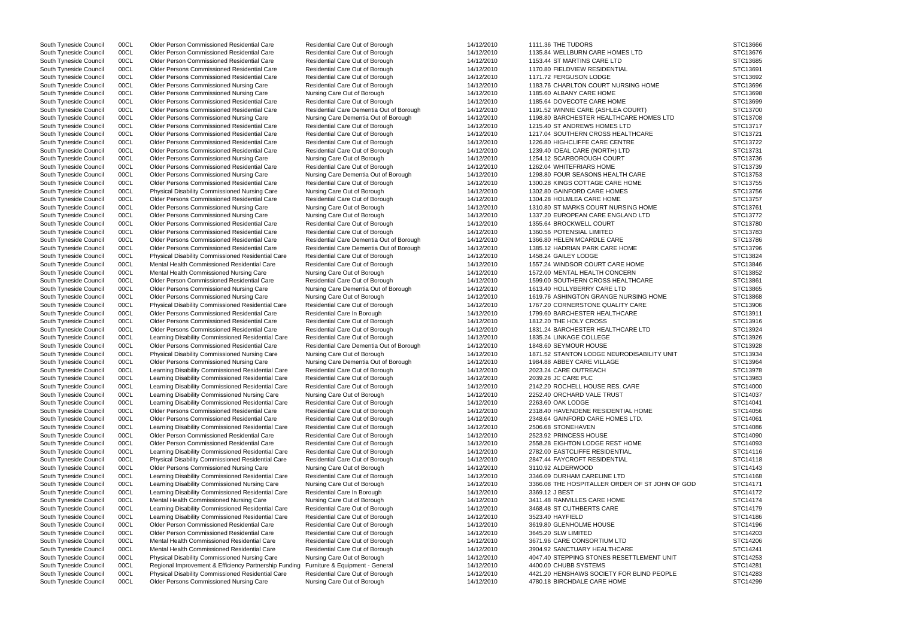South Tyneside Council 00CL Older Person Commissioned Residential Care Residential Care Out of Borough 14/12/2010 1111.36 THE TUDORS South Tyneside Council 00CL Older Persons Commissioned Residential Care Residential Care Out of Borough 14/12/2010 1171.72 FERGUSON LODGE South Tyneside Council 00CL Older Persons Commissioned Nursing Care Nursing Care Out of Borough 14/12/2010 1185.60 ALBANY CARE HOME South Tyneside Council 00CL Older Persons Commissioned Residential Care Residential Care Out of Borough 14/12/2010 1262.04 WHITEFRIARS HOME South Tyneside Council 00CL Older Persons Commissioned Residential Care Residential Care Out of Borough 14/12/2010 1355.64 BROCKWELL COURT South Tyneside Council 00CL Older Persons Commissioned Residential Care Residential Care Out of Borough 14/12/2010 1360.56 POTENSIAL LIMITED South Tyneside Council 00CL Physical Disability Commissioned Residential Care Residential Care Out of Borough 14/12/2010 14/12/2010 1458.24 GAILEY LODGE South Tyneside Council 00CL Older Persons Commissioned Residential Care Residential Care Out of Borough 14/12/2010 1812.20 THE HOLY CROSS South Tyneside Council 00CL Learning Disability Commissioned Residential Care Residential Care Out of Borough 14/12/2010 1835.24 LINKAGE COLLEGE South Tyneside Council 00CL Older Persons Commissioned Residential Care Residential Care Dementia Out of Borough 14/12/2010 1848.60 SEYMOUR HOUSE South Tyneside Council 00CL Learning Disability Commissioned Residential Care Residential Care Out of Borough 14/12/2010 2023.24 CARE OUTREACH South Tyneside Council 00CL Learning Disability Commissioned Residential Care Residential Care Out of Borough 14/12/2010 2039.28 JC CARE PLC South Tyneside Council 00CL Learning Disability Commissioned Residential Care Residential Care Out of Borough 14/12/2010 2263.60 OAK LODGE South Tyneside Council 00CL Learning Disability Commissioned Residential Care Residential Care Out of Borough 14/12/2010 2506.68 STONEHAVEN South Tyneside Council 00CL Older Person Commissioned Residential Care Residential Care Out of Borough 14/12/2010 2523.92 PRINCESS HOUSE South Tyneside Council 00CL Older Persons Commissioned Nursing Care Nursing Care Out of Borough 14/12/2010 3110.92 ALDERWOOD South Tyneside Council 00CL Learning Disability Commissioned Residential Care Residential Care In Borough 14/12/2010 3369.12 J BEST South Tyneside Council 00CL Learning Disability Commissioned Residential Care Residential Care Out of Borough 14/12/2010 3468.48 ST CUTHBERTS CARE South Tyneside Council 00CL Learning Disability Commissioned Residential Care Residential Care Out of Borough 14/12/2010 3523.40 HAYFIELD South Tyneside Council 00CL Older Person Commissioned Residential Care Residential Care Out of Borough 14/12/2010 3619.80 GLENHOLME HOUSE South Tyneside Council 00CL Older Person Commissioned Residential Care Residential Care Out of Borough 14/12/2010 3645.20 SLW LIMITED South Tyneside Council 00CL Regional Improvement & Efficiency Partnership Funding Furniture & Equipment - General 14/12/2010 4400.00 CHUBB SYSTEMS South Tyneside Council 00CL Older Persons Commissioned Nursing Care Nursing Care Out of Borough 14/12/2010 4780.18 BIRCHDALE CARE HOME STC14299

South Tyneside Council 00CL Older Person Commissioned Residential Care Residential Care Out of Borough 14/12/2010 1135.84 WELLBURN CARE HOMES LTD South Tyneside Council 00CL Older Person Commissioned Residential Care Residential Care Out of Borough 14/12/2010 1153.44 ST MARTINS CARE LTD South Tyneside Council 00CL Older Persons Commissioned Residential Care Residential Care Out of Borough 14/12/2010 1170.80 FIELDVIEW RESIDENTIAL South Tyneside Council 00CL Older Persons Commissioned Nursing Care Residential Care Out of Borough 14/12/2010 1183.76 CHARLTON COURT NURSING HOME South Tyneside Council 00CL Older Persons Commissioned Residential Care Residential Care Out of Borough 14/12/2010 1185.64 DOVECOTE CARE HOME South Tyneside Council 00CL Older Persons Commissioned Residential Care Residential Care Dementia Out of Borough 14/12/2010 1191.52 WINNIE CARE (ASHLEA COURT) South Tyneside Council 00CL Older Persons Commissioned Nursing Care Nursing Care Dementia Out of Borough 14/12/2010 1198.80 BARCHESTER HEALTHCARE HOMES LTD South Tyneside Council 00CL Older Persons Commissioned Residential Care Residential Care Out of Borough 14/12/2010 1215.40 ST ANDREWS HOMES LTD South Tyneside Council 00CL Older Persons Commissioned Residential Care Residential Care Out of Borough 14/12/2010 1217.04 SOUTHERN CROSS HEALTHCARE South Tyneside Council 00CL Older Persons Commissioned Residential Care Residential Care Out of Borough 14/12/2010 1226.80 HIGHCLIFFE CARE CENTRE South Tyneside Council 00CL Older Persons Commissioned Residential Care Residential Care Out of Borough 14/12/2010 1239.40 IDEAL CARE (NORTH) LTD South Tyneside Council 00CL Older Persons Commissioned Nursing Care Nursing Care Out of Borough 14/12/2010 1254.12 SCARBOROUGH COURT South Tyneside Council 00CL Older Persons Commissioned Nursing Care Nursing Care Dementia Out of Borough 14/12/2010 1298.80 FOUR SEASONS HEALTH CARE South Tyneside Council COOL Colder Persons Commissioned Residential Care Curre Residential Care Out of Borough 14/12/2010 1300.28 KINGS COTTAGE CARE HOME STARE HOME STARE HOME STARE HOME STARE HOME STARE STARE STARE STARE OOCL Physical Disability Commissioned Nursing Care Nursing Care Out of Borough 14/12/2010 1302.80 GAINFORD CARE HOMES South Tyneside Council 00CL Older Persons Commissioned Residential Care Residential Care Out of Borough 14/12/2010 1304.28 HOLMLEA CARE HOME South Tyneside Council 00CL Older Persons Commissioned Nursing Care Nursing Care Out of Borough 14/12/2010 1310.80 ST MARKS COURT NURSING HOME South Tyneside Council 00CL Older Persons Commissioned Nursing Care Nursing Care Out of Borough 14/12/2010 1337.20 EUROPEAN CARE ENGLAND LTD South Tyneside Council 00CL Older Persons Commissioned Residential Care Residential Care Dementia Out of Borough 14/12/2010 1366.80 HELEN MCARDLE CARE South Tyneside Council 00CL Older Persons Commissioned Residential Care Residential Care Dementia Out of Borough 14/12/2010 1385.12 HADRIAN PARK CARE HOME South Tyneside Council 00CL Mental Health Commissioned Residential Care Residential Care Out of Borough 14/12/2010 1557.24 WINDSOR COURT CARE HOME South Tyneside Council 00CL Mental Health Commissioned Nursing Care Nursing Care Out of Borough 14/12/2010 1572.00 MENTAL HEALTH CONCERN South Tyneside Council 00CL Older Person Commissioned Residential Care Residential Care Residential Care Out of Borough 14/12/2010 1599.00 SOUTHERN CROSS HEALTHCARE South Tyneside Council 00CL Older Persons Commissioned Nursing Care Nursing Care Dementia Out of Borough 14/12/2010 1613.40 HOLLYBERRY CARE LTD South Tyneside Council 00CL Older Persons Commissioned Nursing Care Nursing Care Out of Borough 14/12/2010 1619.76 ASHINGTON GRANGE NURSING HOME South Tyneside Council 00CL Physical Disability Commissioned Residential Care Residential Care Out of Borough 14/12/2010 1767.20 CORNERSTONE QUALITY CARE South Tyneside Council 00CL Older Persons Commissioned Residential Care Residential Care In Borough 14/12/2010 1799.60 BARCHESTER HEALTHCARE South Tyneside Council 00CL Older Persons Commissioned Residential Care Residential Care Out of Borough 14/12/2010 1831.24 BARCHESTER HEALTHCARE LTD South Tyneside Council 00CL Physical Disability Commissioned Nursing Care Nursing Care Out of Borough 14/12/2010 1871.52 STANTON LODGE NEURODISABILITY UNIT South Tyneside Council 00CL Older Persons Commissioned Nursing Care Nursing Care Dementia Out of Borough 14/12/2010 1984.88 ABBEY CARE VILLAGE South Tyneside Council 00CL Learning Disability Commissioned Residential Care Residential Care Out of Borough 14/12/2010 2142.20 ROCHELL HOUSE RES. CARE South Tyneside Council 00CL Learning Disability Commissioned Nursing Care Nursing Care Out of Borough 14/12/2010 2252.40 ORCHARD VALE TRUST South Tyneside Council 00CL Older Persons Commissioned Residential Care Residential Care Out of Borough 14/12/2010 2318.40 HAVENDENE RESIDENTIAL HOME South Tyneside Council 00CL Older Persons Commissioned Residential Care Residential Care Out of Borough 14/12/2010 2348.64 GAINFORD CARE HOMES LTD. South Tyneside Council 00CL Older Person Commissioned Residential Care Residential Care Out of Borough 14/12/2010 2558.28 EIGHTON LODGE REST HOME South Tyneside Council 00CL Learning Disability Commissioned Residential Care Residential Care Out of Borough 14/12/2010 2782.00 EASTCLIFFE RESIDENTIAL South Tyneside Council 00CL Physical Disability Commissioned Residential Care Residential Care Out of Borough 14/12/2010 2847.44 FAYCROFT RESIDENTIAL South Tyneside Council 00CL Learning Disability Commissioned Residential Care Residential Care Out of Borough 14/12/2010 3346.09 DURHAM CARELINE LTD South Tyneside Council 00CL Learning Disability Commissioned Nursing Care Nursing Care Out of Borough 14/12/2010 3366.08 THE HOSPITALLER ORDER OF ST JOHN OF GOD South Tyneside Council 00CL Mental Health Commissioned Nursing Care Nursing Care Out of Borough 14/12/2010 3411.48 RANVILLES CARE HOME South Tyneside Council 00CL Mental Health Commissioned Residential Care Residential Care Out of Borough 14/12/2010 3671.96 CARE CONSORTIUM LTD South Tyneside Council 00CL Mental Health Commissioned Residential Care Residential Care Out of Borough 14/12/2010 3904.92 SANCTUARY HEALTHCARE South Tyneside Council 00CL Physical Disability Commissioned Nursing Care Nursing Care Out of Borough 14/12/2010 4047.40 STEPPING STONES RESETTLEMENT UNIT South Tyneside Council 00CL Physical Disability Commissioned Residential Care Residential Care Out of Borough 14/12/2010 4421.20 HENSHAWS SOCIETY FOR BLIND PEOPLE

| STC13666                               |  |
|----------------------------------------|--|
| ን13676<br>š<br>(<br>T                  |  |
| C13685<br>2.<br>s<br>T                 |  |
| C13691                                 |  |
| ST                                     |  |
| C13692<br>S.<br>T                      |  |
| C13696<br>S<br>T                       |  |
| 13698<br>ć<br>;<br>΄(<br>T             |  |
| C13699<br>S<br>T                       |  |
| C13700<br>S.<br>T                      |  |
| C13708<br>S<br>T                       |  |
| S                                      |  |
| C13717<br>T                            |  |
| 313721<br>ć<br>₿<br>(<br>T             |  |
| 3722<br>C <sub>1</sub><br>S<br>T       |  |
| C13731<br>S.<br>I                      |  |
| C13736<br>S.<br>T                      |  |
| C13739<br>S<br>T                       |  |
| C13753<br>ć<br>š                       |  |
| T                                      |  |
| C13755<br>š<br>؛<br>٬<br>T             |  |
| C13756<br>S<br>T                       |  |
| S.<br>C13757<br>T                      |  |
| S<br>C13761<br>Ţ                       |  |
| C13772<br>ć<br>₿<br>T<br>(             |  |
| 3780<br>C <sub>1</sub><br>š<br>؛<br>T  |  |
| C13783                                 |  |
| s<br>3<br>Ī                            |  |
| S.<br>C13786<br>T                      |  |
| S<br>TC13796                           |  |
| C13824<br>ć<br>š<br>T                  |  |
| C13846<br>؛<br>š<br>៊<br>T             |  |
| C13852<br>S<br>T                       |  |
| S.<br>T                                |  |
| C13861                                 |  |
| S<br>C13865<br>T                       |  |
| 13868<br>ć<br>3<br>Ţ<br>ί              |  |
| 3906<br>$\dot{ }$<br>؛<br>;<br>T<br>(  |  |
| C13911<br>ST                           |  |
| S.<br>C13916<br>Ì                      |  |
| S<br>Ţ                                 |  |
| C13924<br>ć                            |  |
| ን13926<br>₿<br>΄<br>Ţ                  |  |
| C13928<br>؛<br>š<br>៊<br>T             |  |
| C13934<br>S.<br>T                      |  |
| C13964<br>S<br>Ī                       |  |
| S.<br>C13978<br>Ţ                      |  |
| 1<br>3983<br>J<br>I                    |  |
| STC14000<br>ć                          |  |
| STC14037                               |  |
|                                        |  |
| STC14041                               |  |
| TC14056<br>S                           |  |
| C14061<br>ć<br>;<br>Ţ                  |  |
|                                        |  |
| C14086<br>؛<br>š<br>T                  |  |
|                                        |  |
| C14090<br>ST                           |  |
| STC14093                               |  |
| S<br>TC14116<br>——                     |  |
| š<br>C14118<br>š<br>T                  |  |
| C14143<br>š<br>؟<br>T                  |  |
| C14168<br>ST                           |  |
| STC14171                               |  |
| S                                      |  |
| TC14172<br>ć                           |  |
| C14174<br>;<br>Ţ                       |  |
| C14179<br>؛<br>š<br>T<br>ί             |  |
| C14186<br>ST                           |  |
| C14196<br>S<br>Τ                       |  |
| S                                      |  |
| TC14203<br>--<br>C14206<br>;<br>š<br>I |  |
| C14241<br>؛<br>š<br>T                  |  |
|                                        |  |
| C14253<br>ST                           |  |
| C14281<br>S<br>I<br>C14283<br>S.<br>I  |  |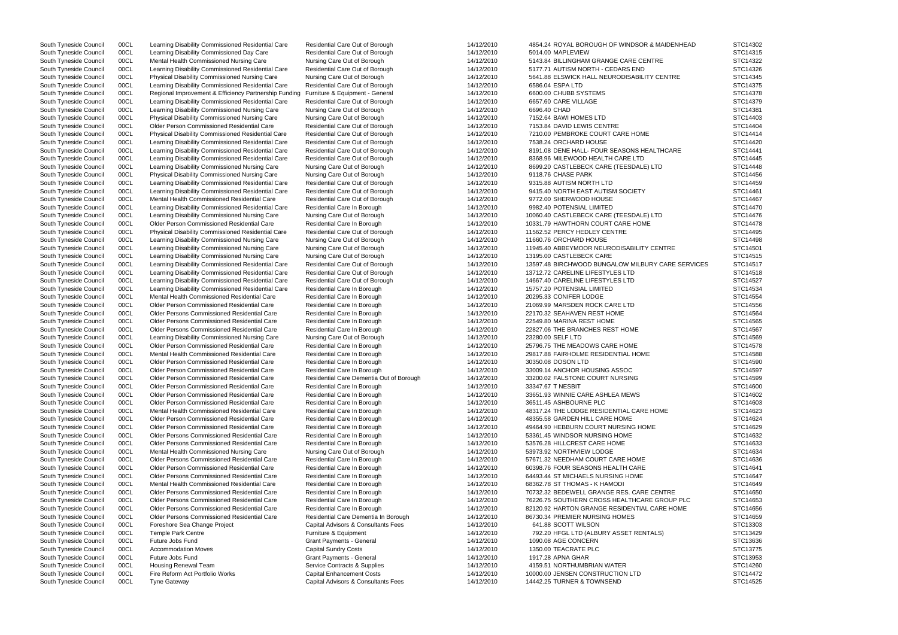South Tyneside Council 00CL Learning Disability Commissioned Residential Care Residential Care Out of Borough 14/12/2010 4854.24 ROYAL BOROUGH OF WINDSOR & MAIDEN South Tyneside Council 00CL Learning Disability Commissioned Day Care Residential Care Out of Borough 14/12/2010 5014.00 MAPLEVIEW South Tyneside Council 00CL Mental Health Commissioned Nursing Care Nursing Care Out of Borough 14/12/2010 5143.84 BILLINGHAM GRANGE CARE CENTRE South Tyneside Council 00CL Learning Disability Commissioned Residential Care Residential Care Out of Borough 14/12/2010 5177.71 AUTISM NORTH - CEDARS END South Tyneside Council 00CL Physical Disability Commissioned Nursing Care Nursing Care Out of Borough 14/12/2010 5641.88 ELSWICK HALL NEURODISABILITY CENTRE South Tyneside Council 00CL Learning Disability Commissioned Residential Care Residential Care Out of Borough 14/12/2010 6586.04 ESPA LTD South Tyneside Council 00CL Regional Improvement & Efficiency Partnership Funding Furniture & Equipment - General 14/12/2010 6600.00 CHUBB SYSTEMS South Tyneside Council 00CL Learning Disability Commissioned Residential Care Residential Care Out of Borough 14/12/2010 6657.60 CARE VILLAGE South Tyneside Council 00CL Learning Disability Commissioned Nursing Care Nursing Care Out of Borough 14/12/2010 6696.40 CHAD South Tyneside Council 00CL Physical Disability Commissioned Nursing Care Nursing Care Out of Borough 14/12/2010 7152.64 BAWI HOMES LTD South Tyneside Council 00CL Older Person Commissioned Residential Care Residential Care Out of Borough 14/12/2010 7153.84 DAVID LEWIS CENTRE South Tyneside Council 00CL Physical Disability Commissioned Residential Care Residential Care Out of Borough 14/12/2010 7210.00 PEMBROKE COURT CARE HOME South Tyneside Council 00CL Learning Disability Commissioned Residential Care Residential Care Out of Borough 14/12/2010 7538.24 ORCHARD HOUSE South Tyneside Council 00CL Learning Disability Commissioned Residential Care Residential Care Out of Borough 14/12/2010 8191.08 DENE HALL- FOUR SEASONS HEALTHCARE South Tyneside Council 00CL Learning Disability Commissioned Residential Care Residential Care Out of Borough 14/12/2010 8368.96 MILEWOOD HEALTH CARE LTD South Tyneside Council 00CL Learning Disability Commissioned Nursing Care Nursing Care Out of Borough 14/12/2010 8699.20 CASTLEBECK CARE (TEESDALE) LTD South Tyneside Council 00CL Physical Disability Commissioned Nursing Care Nursing Care Out of Borough 14/12/2010 9118.76 CHASE PARK South Tyneside Council 00CL Learning Disability Commissioned Residential Care Residential Care Out of Borough 14/12/2010 9315.88 AUTISM NORTH LTD South Tyneside Council 00CL Learning Disability Commissioned Residential Care Residential Care Out of Borough 14/12/2010 9415.40 NORTH EAST AUTISM SOCIETY South Tyneside Council 00CL Mental Health Commissioned Residential Care Residential Care Out of Borough 14/12/2010 9772.00 SHERWOOD HOUSE South Tyneside Council 00CL Learning Disability Commissioned Residential Care Residential Care In Borough 14/12/2010 9982.40 POTENSIAL LIMITED South Tyneside Council 00CL Learning Disability Commissioned Nursing Care Nursing Care Out of Borough 14/12/2010 10060.40 CASTLEBECK CARE (TEESDALE) LTD South Tyneside Council 00CL Older Person Commissioned Residential Care Residential Care In Borough 14/12/2010 14/12/2010 10331.79 HAWTHORN COURT CARE HOME South Tyneside Council 00CL Physical Disability Commissioned Residential Care Residential Care Out of Borough 14/12/2010 14/12/2010 11562.52 PERCY HEDLEY CENTRE South Tyneside Council 00CL Learning Disability Commissioned Nursing Care Nursing Care Out of Borough 14/12/2010 11660.76 ORCHARD HOUSE South Tyneside Council 00CL Learning Disability Commissioned Nursing Care Nursing Care Out of Borough 14/12/2010 14/12/2010 11945.40 ABBEYMOOR NEURODISABILITY CENTRE South Tyneside Council 00CL Learning Disability Commissioned Nursing Care Nursing Care Out of Borough 14/12/2010 14/12/2010 13195.00 CASTLEBECK CARE South Tyneside Council 00CL Learning Disability Commissioned Residential Care Residential Care Out of Borough 14/12/2010 13597.48 BIRCHWOOD BUNGALOW MILBURY CARE South Tyneside Council 00CL Learning Disability Commissioned Residential Care Residential Care Out of Borough 14/12/2010 13712.72 CARELINE LIFESTYLES LTD South Tyneside Council 00CL Learning Disability Commissioned Residential Care Residential Care Out of Borough 14/12/2010 14/12/2010 14667.40 CARELINE LIFESTYLES LTD South Tyneside Council 00CL Learning Disability Commissioned Residential Care Residential Care In Borough 14/12/2010 15757.20 POTENSIAL LIMITED South Tyneside Council 00CL Mental Health Commissioned Residential Care Residential Care In Borough 14/12/2010 20295.33 CONIFER LODGE South Tyneside Council 00CL Older Person Commissioned Residential Care Residential Care Residential Care In Borough 14/12/2010 21069.99 MARSDEN ROCK CARE LTD South Tyneside Council 00CL Older Persons Commissioned Residential Care Residential Care Residential Care In Borough 14/12/2010 22170.32 SEAHAVEN REST HOME South Tyneside Council 00CL Older Persons Commissioned Residential Care Residential Care In Borough 14/12/2010 22549.80 MARINA REST HOME South Tyneside Council 00CL Older Persons Commissioned Residential Care Residential Care In Borough 14/12/2010 22827.06 THE BRANCHES REST HOME South Tyneside Council 00CL Learning Disability Commissioned Nursing Care Nursing Care Out of Borough 14/12/2010 23280.00 SELF LTD South Tyneside Council 00CL Older Person Commissioned Residential Care Residential Care In Borough 14/12/2010 25796.75 THE MEADOWS CARE HOME South Tyneside Council 00CL Mental Health Commissioned Residential Care Residential Care Residential Care In Borough 14/12/2010 29817.88 FAIRHOLME RESIDENTIAL HOME South Tyneside Council 00CL Older Person Commissioned Residential Care Residential Care In Borough 14/12/2010 30350.08 DOSON LTD South Tyneside Council 00CL Older Person Commissioned Residential Care Residential Care Residential Care In Borough 14/12/2010 33009.14 ANCHOR HOUSING ASSOC South Tyneside Council 00CL Older Person Commissioned Residential Care Residential Care Dementia Out of Borough 14/12/2010 33200.02 FALSTONE COURT NURSING South Tyneside Council 00CL Older Person Commissioned Residential Care Residential Care In Borough 14/12/2010 33347.67 T NESBIT South Tyneside Council 00CL Older Person Commissioned Residential Care Residential Care Residential Care In Borough 14/12/2010 33651.93 WINNIE CARE ASHLEA MEWS South Tyneside Council 00CL Older Person Commissioned Residential Care Residential Care In Borough 14/12/2010 36511.45 ASHBOURNE PLC South Tyneside Council 00CL Mental Health Commissioned Residential Care Residential Care In Borough 14/12/2010 48317.24 THE LODGE RESIDENTIAL CARE HOME South Tyneside Council 00CL Older Person Commissioned Residential Care Residential Care In Borough 14/12/2010 48355.58 GARDEN HILL CARE HOME South Tyneside Council 00CL Older Person Commissioned Residential Care Residential Care Residential Care In Borough 14/12/2010 49464.90 HEBBURN COURT NURSING HOME South Tyneside Council 00CL Older Persons Commissioned Residential Care Residential Care Residential Care Residential Care Residential Care Residential Care In Borough 14/12/2010 53361.45 WINDSOR NURSING HOME South Tyneside Council 00CL Older Persons Commissioned Residential Care Residential Care Residential Care In Borough 14/12/2010 53576.28 HILLCREST CARE HOME South Tyneside Council 00CL Mental Health Commissioned Nursing Care Nursing Care Out of Borough 14/12/2010 53973.92 NORTHVIEW LODGE South Tyneside Council 00CL Older Persons Commissioned Residential Care Residential Care In Borough 14/12/2010 57671.32 NEEDHAM COURT CARE HOME South Tyneside Council 00CL Older Person Commissioned Residential Care Residential Care In Borough 14/12/2010 60398.76 FOUR SEASONS HEALTH CARE South Tyneside Council 00CL Older Persons Commissioned Residential Care Residential Care In Borough 14/12/2010 64493.44 ST MICHAELS NURSING HOME South Tyneside Council 00CL Mental Health Commissioned Residential Care Residential Care In Borough 14/12/2010 68362.78 ST THOMAS - K HAMODI South Tyneside Council 00CL Older Persons Commissioned Residential Care Residential Care In Borough 14/12/2010 70732.32 BEDEWELL GRANGE RES. CARE CENTRE South Tyneside Council 00CL Older Persons Commissioned Residential Care Residential Care In Borough 14/12/2010 76226.75 SOUTHERN CROSS HEALTHCARE GROUP South Tyneside Council 00CL Older Persons Commissioned Residential Care Residential Care In Borough 14/12/2010 82120.92 HARTON GRANGE RESIDENTIAL CARE HO South Tyneside Council 00CL Older Persons Commissioned Residential Care Residential Care Dementia In Borough 14/12/2010 86730.34 PREMIER NURSING HOMES South Tyneside Council 00CL Foreshore Sea Change Project Capital Advisors & Consultants Fees 641/12/2010 641.88 SCOTT WILSON South Tyneside Council 00CL Temple Park Centre **Furniture & Equipment** Furniture & Equipment 14/12/2010 792.20 HFGL LTD (ALBURY ASSET RENTALS) South Tyneside Council COOCL Future Jobs Fund Grant Grant Payments - General Grant Payments - 14/12/2010 1090.08 AGE CONCERN STC13636 South Tyneside Council 00CL Accommodation Moves Capital Sundry Costs 14/12/2010 1350.00 TEACRATE PLC STC13775 South Tyneside Council COOCL Future Jobs Fund Grant Grant Payments - General Grant Payments - 14/12/2010 1917.28 APNA GHAR STC13953 South Tyneside Council 00CL Housing Renewal Team Service Contracts & Supplies 14/12/2010 4159.51 NORTHUMBRIAN WATER South Tyneside Council 00CL Fire Reform Act Portfolio Works Capital Enhancement Costs 14/12/2010 10000.00 JENSEN CONSTRUCTION LTD South Tyneside Council 00CL Tyne Gateway Capital Advisors & Consultants Fees 14/12/2010 14442.25 TURNER & TOWNSEND

| HEAD     | STC14302 |
|----------|----------|
|          |          |
|          | STC14315 |
|          | STC14322 |
|          | STC14326 |
| Ξ        | STC14345 |
|          |          |
|          | STC14375 |
|          | STC14378 |
|          | STC14379 |
|          | STC14381 |
|          |          |
|          | STC14403 |
|          | STC14404 |
|          | STC14414 |
|          | STC14420 |
|          |          |
| Ξ        | STC14441 |
|          | STC14445 |
|          | STC14448 |
|          | STC14456 |
|          |          |
|          | STC14459 |
|          | STC14461 |
|          | STC14467 |
|          | STC14470 |
|          |          |
|          | STC14476 |
|          | STC14478 |
|          | STC14495 |
|          |          |
|          | STC14498 |
|          | STC14501 |
|          | STC14515 |
| SERVICES | STC14517 |
|          |          |
|          | STC14518 |
|          | STC14527 |
|          | STC14534 |
|          | STC14554 |
|          |          |
|          | STC14556 |
|          | STC14564 |
|          | STC14565 |
|          | STC14567 |
|          |          |
|          | STC14569 |
|          | STC14578 |
|          | STC14588 |
|          | STC14590 |
|          |          |
|          | STC14597 |
|          | STC14599 |
|          | STC14600 |
|          | STC14602 |
|          |          |
|          | STC14603 |
|          | STC14623 |
|          | STC14624 |
|          | STC14629 |
|          |          |
|          | STC14632 |
|          | STC14633 |
|          | STC14634 |
|          | STC14636 |
|          |          |
|          | STC14641 |
|          | STC14647 |
|          | STC14649 |
|          | STC14650 |
|          |          |
| PLC      | STC14653 |
| MЕ       | STC14656 |
|          | STC14659 |
|          |          |
|          | STC13303 |
|          | STC13429 |
|          | STC13636 |
|          | STC13775 |
|          |          |
|          | STC13953 |
|          | STC14260 |
|          | STC14472 |
|          | STC14525 |
|          |          |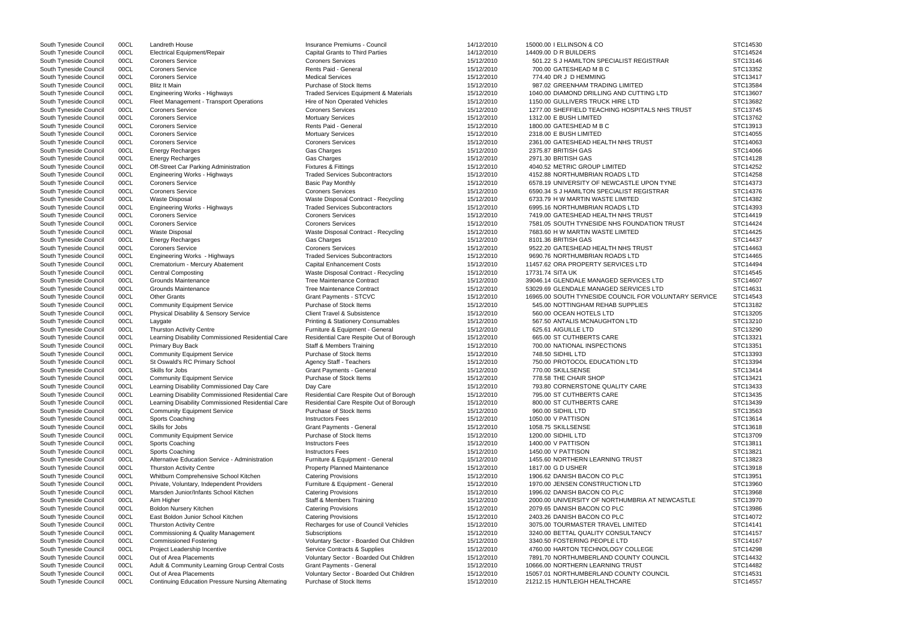| Insurance Premiums - Council                 | 14/12/2010 | 15000.00   ELLINSON & CO                     |
|----------------------------------------------|------------|----------------------------------------------|
| <b>Capital Grants to Third Parties</b>       | 14/12/2010 | 14409.00 D R BUILDERS                        |
| <b>Coroners Services</b>                     | 15/12/2010 | 501.22 S J HAMILTON SPECIALIST REGISTRAR     |
| Rents Paid - General                         | 15/12/2010 | 700.00 GATESHEAD M B C                       |
| <b>Medical Services</b>                      | 15/12/2010 | 774.40 DR J D HEMMING                        |
| Purchase of Stock Items                      | 15/12/2010 | 987.02 GREENHAM TRADING LIMITED              |
| Traded Services Equipment & Materials        | 15/12/2010 | 1040.00 DIAMOND DRILLING AND CUTTING LTD     |
| Hire of Non Operated Vehicles                | 15/12/2010 | 1150.00 GULLIVERS TRUCK HIRE LTD             |
| <b>Coroners Services</b>                     | 15/12/2010 | 1277.00 SHEFFIELD TEACHING HOSPITALS NHS TRI |
| <b>Mortuary Services</b>                     | 15/12/2010 | 1312.00 E BUSH LIMITED                       |
| Rents Paid - General                         | 15/12/2010 | 1800.00 GATESHEAD M B C                      |
| <b>Mortuary Services</b>                     | 15/12/2010 | 2318.00 E BUSH LIMITED                       |
| <b>Coroners Services</b>                     | 15/12/2010 | 2361.00 GATESHEAD HEALTH NHS TRUST           |
| Gas Charges                                  | 15/12/2010 | 2375.87 BRITISH GAS                          |
| Gas Charges                                  | 15/12/2010 | 2971.30 BRITISH GAS                          |
| <b>Fixtures &amp; Fittings</b>               | 15/12/2010 | 4040.52 METRIC GROUP LIMITED                 |
| <b>Traded Services Subcontractors</b>        | 15/12/2010 | 4152.88 NORTHUMBRIAN ROADS LTD               |
| <b>Basic Pay Monthly</b>                     | 15/12/2010 | 6578.19 UNIVERSITY OF NEWCASTLE UPON TYNE    |
| <b>Coroners Services</b>                     | 15/12/2010 | 6590.34 S J HAMILTON SPECIALIST REGISTRAR    |
| Waste Disposal Contract - Recycling          | 15/12/2010 | 6733.79 H W MARTIN WASTE LIMITED             |
| <b>Traded Services Subcontractors</b>        | 15/12/2010 | 6995.16 NORTHUMBRIAN ROADS LTD               |
| <b>Coroners Services</b>                     | 15/12/2010 | 7419.00 GATESHEAD HEALTH NHS TRUST           |
| <b>Coroners Services</b>                     | 15/12/2010 | 7581.05 SOUTH TYNESIDE NHS FOUNDATION TRUS   |
| Waste Disposal Contract - Recycling          | 15/12/2010 | 7683.60 H W MARTIN WASTE LIMITED             |
| Gas Charges                                  | 15/12/2010 | 8101.36 BRITISH GAS                          |
| <b>Coroners Services</b>                     | 15/12/2010 | 9522.20 GATESHEAD HEALTH NHS TRUST           |
| <b>Traded Services Subcontractors</b>        | 15/12/2010 | 9690.76 NORTHUMBRIAN ROADS LTD               |
| <b>Capital Enhancement Costs</b>             | 15/12/2010 | 11457.62 ORA PROPERTY SERVICES LTD           |
| Waste Disposal Contract - Recycling          | 15/12/2010 | 17731.74 SITA UK                             |
| <b>Tree Maintenance Contract</b>             | 15/12/2010 | 39046.14 GLENDALE MANAGED SERVICES LTD       |
| <b>Tree Maintenance Contract</b>             | 15/12/2010 | 53029.69 GLENDALE MANAGED SERVICES LTD       |
| <b>Grant Payments - STCVC</b>                | 15/12/2010 | 16965.00 SOUTH TYNESIDE COUNCIL FOR VOLUNTA  |
| Purchase of Stock Items                      | 15/12/2010 | 545.00 NOTTINGHAM REHAB SUPPLIES             |
| <b>Client Travel &amp; Subsistence</b>       | 15/12/2010 | 560.00 OCEAN HOTELS LTD                      |
| <b>Printing &amp; Stationery Consumables</b> | 15/12/2010 | 567.50 ANTALIS MCNAUGHTON LTD                |
| Furniture & Equipment - General              | 15/12/2010 | 625.61 AIGUILLE LTD                          |
| Residential Care Respite Out of Borough      | 15/12/2010 | 665.00 ST CUTHBERTS CARE                     |
| <b>Staff &amp; Members Training</b>          | 15/12/2010 | 700.00 NATIONAL INSPECTIONS                  |
| Purchase of Stock Items                      | 15/12/2010 | 748.50 SIDHIL LTD                            |
| <b>Agency Staff - Teachers</b>               | 15/12/2010 | 750.00 PROTOCOL EDUCATION LTD                |
| Grant Payments - General                     | 15/12/2010 | 770.00 SKILLSENSE                            |
| Purchase of Stock Items                      | 15/12/2010 | 778.58 THE CHAIR SHOP                        |
| Day Care                                     | 15/12/2010 | 793.80 CORNERSTONE QUALITY CARE              |
| Residential Care Respite Out of Borough      | 15/12/2010 | 795.00 ST CUTHBERTS CARE                     |
| Residential Care Respite Out of Borough      | 15/12/2010 | 800.00 ST CUTHBERTS CARE                     |
| Purchase of Stock Items                      | 15/12/2010 | 960.00 SIDHIL LTD                            |
| <b>Instructors Fees</b>                      | 15/12/2010 | 1050.00 V PATTISON                           |
| Grant Payments - General                     | 15/12/2010 | 1058.75 SKILLSENSE                           |
| Purchase of Stock Items                      | 15/12/2010 | 1200.00 SIDHIL LTD                           |
| <b>Instructors Fees</b>                      | 15/12/2010 | 1400.00 V PATTISON                           |
| <b>Instructors Fees</b>                      | 15/12/2010 | 1450.00 V PATTISON                           |
| Furniture & Equipment - General              | 15/12/2010 | 1455.60 NORTHERN LEARNING TRUST              |
| Property Planned Maintenance                 | 15/12/2010 | 1817.00 G D USHER                            |
| <b>Catering Provisions</b>                   | 15/12/2010 | 1906.62 DANISH BACON CO PLC                  |
| Furniture & Equipment - General              | 15/12/2010 | 1970.00 JENSEN CONSTRUCTION LTD              |
| <b>Catering Provisions</b>                   | 15/12/2010 | 1996.02 DANISH BACON CO PLC                  |
| Staff & Members Training                     | 15/12/2010 | 2000.00 UNIVERSITY OF NORTHUMBRIA AT NEWCA   |
| <b>Catering Provisions</b>                   | 15/12/2010 | 2079.65 DANISH BACON CO PLC                  |
| <b>Catering Provisions</b>                   | 15/12/2010 | 2403.26 DANISH BACON CO PLC                  |
| Recharges for use of Council Vehicles        | 15/12/2010 | 3075.00 TOURMASTER TRAVEL LIMITED            |
| Subscriptions                                | 15/12/2010 | 3240.00 BETTAL QUALITY CONSULTANCY           |
| Voluntary Sector - Boarded Out Children      | 15/12/2010 | 3340.50 FOSTERING PEOPLE LTD                 |
| Service Contracts & Supplies                 | 15/12/2010 | 4760.00 HARTON TECHNOLOGY COLLEGE            |
| Voluntary Sector - Boarded Out Children      | 15/12/2010 | 7891.70 NORTHUMBERLAND COUNTY COUNCIL        |
| <b>Grant Payments - General</b>              | 15/12/2010 | 10666.00 NORTHERN LEARNING TRUST             |
| Voluntary Sector - Boarded Out Children      | 15/12/2010 | 15057.01 NORTHUMBERLAND COUNTY COUNCIL       |
| Purchase of Stock Items                      | 15/12/2010 | 21212.15 HUNTI FIGH HEAI THCARE              |

| <b>UST</b>         | STC14530<br>STC14524<br>STC13146<br>STC13352<br>STC13417<br>STC13584<br>STC13607<br>STC13682<br>STC13745<br>STC13762<br>STC13913<br>STC14055<br>STC14063<br>STC14066<br>STC14128<br>STC14252<br>STC14258<br>STC14373                                                                                     |
|--------------------|----------------------------------------------------------------------------------------------------------------------------------------------------------------------------------------------------------------------------------------------------------------------------------------------------------|
| SТ                 | STC14376<br>STC14382<br>STC14393<br>STC14419<br>STC14424<br>STC14425<br>STC14437<br>STC14463<br>STC14465<br>STC14494                                                                                                                                                                                     |
| <b>ARY SERVICE</b> | STC14545<br>STC14607<br>STC14631<br>STC14543<br>STC13182<br>STC13205<br>STC13210<br>STC13290<br>STC13321<br>STC13351<br>STC13393<br>STC13394<br>STC13414<br>STC13421                                                                                                                                     |
| <b>\STLE</b>       | STC13433<br>STC13435<br>STC13439<br>STC13563<br>STC13614<br>STC13618<br>STC13709<br>STC13811<br>STC13821<br>STC13823<br>STC13918<br>STC13951<br>STC13960<br>STC13968<br>STC13970<br>STC13986<br>STC14072<br>STC14141<br>STC14157<br>STC14167<br>STC14298<br>STC14432<br>STC14482<br>STC14531<br>STC14557 |

| South Tyneside Council | 00CL | Landreth House                                           | Insurance Premiums - Council                     | 14/12/2010 | 15000.00 I ELLINSON & CO                              | STC14530 |
|------------------------|------|----------------------------------------------------------|--------------------------------------------------|------------|-------------------------------------------------------|----------|
| South Tyneside Council | 00CL | <b>Electrical Equipment/Repair</b>                       | <b>Capital Grants to Third Parties</b>           | 14/12/2010 | 14409.00 D R BUILDERS                                 | STC14524 |
| South Tyneside Council | 00CL | <b>Coroners Service</b>                                  | <b>Coroners Services</b>                         | 15/12/2010 | 501.22 S J HAMILTON SPECIALIST REGISTRAR              | STC13146 |
| South Tyneside Council | 00CL | <b>Coroners Service</b>                                  | Rents Paid - General                             | 15/12/2010 | 700.00 GATESHEAD M B C                                | STC13352 |
| South Tyneside Council | 00CL | <b>Coroners Service</b>                                  | <b>Medical Services</b>                          | 15/12/2010 | 774.40 DR J D HEMMING                                 | STC13417 |
|                        | 00CL | <b>Blitz It Main</b>                                     | Purchase of Stock Items                          | 15/12/2010 | 987.02 GREENHAM TRADING LIMITED                       | STC13584 |
| South Tyneside Council |      |                                                          |                                                  |            |                                                       |          |
| South Tyneside Council | 00CL | Engineering Works - Highways                             | <b>Traded Services Equipment &amp; Materials</b> | 15/12/2010 | 1040.00 DIAMOND DRILLING AND CUTTING LTD              | STC13607 |
| South Tyneside Council | 00CL | Fleet Management - Transport Operations                  | Hire of Non Operated Vehicles                    | 15/12/2010 | 1150.00 GULLIVERS TRUCK HIRE LTD                      | STC13682 |
| South Tyneside Council | 00CL | <b>Coroners Service</b>                                  | <b>Coroners Services</b>                         | 15/12/2010 | 1277.00 SHEFFIELD TEACHING HOSPITALS NHS TRUST        | STC13745 |
| South Tyneside Council | 00CL | <b>Coroners Service</b>                                  | <b>Mortuary Services</b>                         | 15/12/2010 | 1312.00 E BUSH LIMITED                                | STC13762 |
| South Tyneside Council | 00CL | <b>Coroners Service</b>                                  | Rents Paid - General                             | 15/12/2010 | 1800.00 GATESHEAD M B C                               | STC13913 |
| South Tyneside Council | 00CL | <b>Coroners Service</b>                                  | <b>Mortuary Services</b>                         | 15/12/2010 | 2318.00 E BUSH LIMITED                                | STC14055 |
|                        | 00CL | <b>Coroners Service</b>                                  | <b>Coroners Services</b>                         | 15/12/2010 | 2361.00 GATESHEAD HEALTH NHS TRUST                    | STC14063 |
| South Tyneside Council |      |                                                          |                                                  |            |                                                       |          |
| South Tyneside Council | 00CL | <b>Energy Recharges</b>                                  | Gas Charges                                      | 15/12/2010 | 2375.87 BRITISH GAS                                   | STC14066 |
| South Tyneside Council | 00CL | <b>Energy Recharges</b>                                  | Gas Charges                                      | 15/12/2010 | 2971.30 BRITISH GAS                                   | STC14128 |
| South Tyneside Council | 00CL | Off-Street Car Parking Administration                    | <b>Fixtures &amp; Fittings</b>                   | 15/12/2010 | 4040.52 METRIC GROUP LIMITED                          | STC14252 |
| South Tyneside Council | 00CL | <b>Engineering Works - Highways</b>                      | <b>Traded Services Subcontractors</b>            | 15/12/2010 | 4152.88 NORTHUMBRIAN ROADS LTD                        | STC14258 |
| South Tyneside Council | 00CL | <b>Coroners Service</b>                                  | <b>Basic Pay Monthly</b>                         | 15/12/2010 | 6578.19 UNIVERSITY OF NEWCASTLE UPON TYNE             | STC14373 |
| South Tyneside Council | 00CL | <b>Coroners Service</b>                                  | <b>Coroners Services</b>                         | 15/12/2010 | 6590.34 S J HAMILTON SPECIALIST REGISTRAR             | STC14376 |
| South Tyneside Council | 00CL | <b>Waste Disposal</b>                                    | Waste Disposal Contract - Recycling              | 15/12/2010 | 6733.79 H W MARTIN WASTE LIMITED                      | STC14382 |
|                        |      |                                                          |                                                  |            |                                                       |          |
| South Tyneside Council | 00CL | Engineering Works - Highways                             | <b>Traded Services Subcontractors</b>            | 15/12/2010 | 6995.16 NORTHUMBRIAN ROADS LTD                        | STC14393 |
| South Tyneside Council | 00CL | <b>Coroners Service</b>                                  | <b>Coroners Services</b>                         | 15/12/2010 | 7419.00 GATESHEAD HEALTH NHS TRUST                    | STC14419 |
| South Tyneside Council | 00CL | <b>Coroners Service</b>                                  | <b>Coroners Services</b>                         | 15/12/2010 | 7581.05 SOUTH TYNESIDE NHS FOUNDATION TRUST           | STC14424 |
| South Tyneside Council | 00CL | Waste Disposal                                           | Waste Disposal Contract - Recycling              | 15/12/2010 | 7683.60 H W MARTIN WASTE LIMITED                      | STC14425 |
| South Tyneside Council | 00CL | <b>Energy Recharges</b>                                  | Gas Charges                                      | 15/12/2010 | 8101.36 BRITISH GAS                                   | STC14437 |
| South Tyneside Council | 00CL | <b>Coroners Service</b>                                  | <b>Coroners Services</b>                         | 15/12/2010 | 9522.20 GATESHEAD HEALTH NHS TRUST                    | STC14463 |
|                        | 00CL | <b>Engineering Works - Highways</b>                      | <b>Traded Services Subcontractors</b>            | 15/12/2010 | 9690.76 NORTHUMBRIAN ROADS LTD                        | STC14465 |
| South Tyneside Council |      |                                                          |                                                  |            |                                                       |          |
| South Tyneside Council | 00CL | Crematorium - Mercury Abatement                          | <b>Capital Enhancement Costs</b>                 | 15/12/2010 | 11457.62 ORA PROPERTY SERVICES LTD                    | STC14494 |
| South Tyneside Council | 00CL | <b>Central Composting</b>                                | Waste Disposal Contract - Recycling              | 15/12/2010 | 17731.74 SITA UK                                      | STC14545 |
| South Tyneside Council | 00CL | Grounds Maintenance                                      | <b>Tree Maintenance Contract</b>                 | 15/12/2010 | 39046.14 GLENDALE MANAGED SERVICES LTD                | STC14607 |
| South Tyneside Council | 00CL | Grounds Maintenance                                      | <b>Tree Maintenance Contract</b>                 | 15/12/2010 | 53029.69 GLENDALE MANAGED SERVICES LTD                | STC14631 |
| South Tyneside Council | 00CL | <b>Other Grants</b>                                      | <b>Grant Payments - STCVC</b>                    | 15/12/2010 | 16965.00 SOUTH TYNESIDE COUNCIL FOR VOLUNTARY SERVICE | STC14543 |
| South Tyneside Council | 00CL | <b>Community Equipment Service</b>                       | Purchase of Stock Items                          | 15/12/2010 | 545.00 NOTTINGHAM REHAB SUPPLIES                      | STC13182 |
| South Tyneside Council | 00CL | Physical Disability & Sensory Service                    | <b>Client Travel &amp; Subsistence</b>           | 15/12/2010 | 560.00 OCEAN HOTELS LTD                               | STC13205 |
|                        |      |                                                          |                                                  |            |                                                       |          |
| South Tyneside Council | 00CL | Laygate                                                  | <b>Printing &amp; Stationery Consumables</b>     | 15/12/2010 | 567.50 ANTALIS MCNAUGHTON LTD                         | STC13210 |
| South Tyneside Council | 00CL | <b>Thurston Activity Centre</b>                          | Furniture & Equipment - General                  | 15/12/2010 | 625.61 AIGUILLE LTD                                   | STC13290 |
| South Tyneside Council | 00CL | Learning Disability Commissioned Residential Care        | Residential Care Respite Out of Borough          | 15/12/2010 | 665.00 ST CUTHBERTS CARE                              | STC13321 |
| South Tyneside Council | 00CL | Primary Buy Back                                         | Staff & Members Training                         | 15/12/2010 | 700.00 NATIONAL INSPECTIONS                           | STC13351 |
| South Tyneside Council | 00CL | <b>Community Equipment Service</b>                       | Purchase of Stock Items                          | 15/12/2010 | 748.50 SIDHIL LTD                                     | STC13393 |
| South Tyneside Council | 00CL | St Oswald's RC Primary School                            | <b>Agency Staff - Teachers</b>                   | 15/12/2010 | 750.00 PROTOCOL EDUCATION LTD                         | STC13394 |
| South Tyneside Council | 00CL | Skills for Jobs                                          | <b>Grant Payments - General</b>                  | 15/12/2010 | 770.00 SKILLSENSE                                     | STC13414 |
| South Tyneside Council | 00CL | <b>Community Equipment Service</b>                       | Purchase of Stock Items                          | 15/12/2010 | 778.58 THE CHAIR SHOP                                 | STC13421 |
|                        |      |                                                          |                                                  |            |                                                       |          |
| South Tyneside Council | 00CL | Learning Disability Commissioned Day Care                | Day Care                                         | 15/12/2010 | 793.80 CORNERSTONE QUALITY CARE                       | STC13433 |
| South Tyneside Council | 00CL | Learning Disability Commissioned Residential Care        | Residential Care Respite Out of Borough          | 15/12/2010 | 795.00 ST CUTHBERTS CARE                              | STC13435 |
| South Tyneside Council | 00CL | Learning Disability Commissioned Residential Care        | Residential Care Respite Out of Borough          | 15/12/2010 | 800.00 ST CUTHBERTS CARE                              | STC13439 |
| South Tyneside Council | 00CL | <b>Community Equipment Service</b>                       | Purchase of Stock Items                          | 15/12/2010 | 960.00 SIDHIL LTD                                     | STC13563 |
| South Tyneside Council | 00CL | Sports Coaching                                          | <b>Instructors Fees</b>                          | 15/12/2010 | 1050.00 V PATTISON                                    | STC13614 |
| South Tyneside Council | 00CL | Skills for Jobs                                          | <b>Grant Payments - General</b>                  | 15/12/2010 | 1058.75 SKILLSENSE                                    | STC13618 |
| South Tyneside Council | 00CL | <b>Community Equipment Service</b>                       | Purchase of Stock Items                          | 15/12/2010 | 1200.00 SIDHIL LTD                                    | STC13709 |
|                        |      |                                                          |                                                  |            |                                                       |          |
| South Tyneside Council | 00CL | Sports Coaching                                          | <b>Instructors Fees</b>                          | 15/12/2010 | 1400.00 V PATTISON                                    | STC13811 |
| South Tyneside Council | 00CL | Sports Coaching                                          | <b>Instructors Fees</b>                          | 15/12/2010 | 1450.00 V PATTISON                                    | STC13821 |
| South Tyneside Council | 00CL | Alternative Education Service - Administration           | Furniture & Equipment - General                  | 15/12/2010 | 1455.60 NORTHERN LEARNING TRUST                       | STC13823 |
| South Tyneside Council | 00CL | <b>Thurston Activity Centre</b>                          | <b>Property Planned Maintenance</b>              | 15/12/2010 | 1817.00 G D USHER                                     | STC13918 |
| South Tyneside Council | 00CL | Whitburn Comprehensive School Kitchen                    | <b>Catering Provisions</b>                       | 15/12/2010 | 1906.62 DANISH BACON CO PLC                           | STC13951 |
| South Tyneside Council | 00CL | Private, Voluntary, Independent Providers                | Furniture & Equipment - General                  | 15/12/2010 | 1970.00 JENSEN CONSTRUCTION LTD                       | STC13960 |
|                        |      |                                                          |                                                  |            |                                                       |          |
| South Tyneside Council | 00CL | Marsden Junior/Infants School Kitchen                    | <b>Catering Provisions</b>                       | 15/12/2010 | 1996.02 DANISH BACON CO PLC                           | STC13968 |
| South Tyneside Council | 00CL | Aim Higher                                               | <b>Staff &amp; Members Training</b>              | 15/12/2010 | 2000.00 UNIVERSITY OF NORTHUMBRIA AT NEWCASTLE        | STC13970 |
| South Tyneside Council | 00CL | Boldon Nursery Kitchen                                   | <b>Catering Provisions</b>                       | 15/12/2010 | 2079.65 DANISH BACON CO PLC                           | STC13986 |
| South Tyneside Council | 00CL | East Boldon Junior School Kitchen                        | <b>Catering Provisions</b>                       | 15/12/2010 | 2403.26 DANISH BACON CO PLC                           | STC14072 |
| South Tyneside Council | 00CL | <b>Thurston Activity Centre</b>                          | Recharges for use of Council Vehicles            | 15/12/2010 | 3075.00 TOURMASTER TRAVEL LIMITED                     | STC14141 |
| South Tyneside Council | 00CL | Commissioning & Quality Management                       | Subscriptions                                    | 15/12/2010 | 3240.00 BETTAL QUALITY CONSULTANCY                    | STC14157 |
| South Tyneside Council | 00CL | <b>Commissioned Fostering</b>                            | Voluntary Sector - Boarded Out Children          | 15/12/2010 | 3340.50 FOSTERING PEOPLE LTD                          | STC14167 |
|                        |      |                                                          |                                                  |            | 4760.00 HARTON TECHNOLOGY COLLEGE                     | STC14298 |
| South Tyneside Council | 00CL | Project Leadership Incentive                             | Service Contracts & Supplies                     | 15/12/2010 |                                                       |          |
| South Tyneside Council | 00CL | Out of Area Placements                                   | Voluntary Sector - Boarded Out Children          | 15/12/2010 | 7891.70 NORTHUMBERLAND COUNTY COUNCIL                 | STC14432 |
| South Tyneside Council | 00CL | Adult & Community Learning Group Central Costs           | <b>Grant Payments - General</b>                  | 15/12/2010 | 10666.00 NORTHERN LEARNING TRUST                      | STC14482 |
| South Tyneside Council | 00CL | Out of Area Placements                                   | Voluntary Sector - Boarded Out Children          | 15/12/2010 | 15057.01 NORTHUMBERLAND COUNTY COUNCIL                | STC14531 |
| South Tyneside Council | 00CL | <b>Continuing Education Pressure Nursing Alternating</b> | Purchase of Stock Items                          | 15/12/2010 | 21212.15 HUNTLEIGH HEALTHCARE                         | STC14557 |
|                        |      |                                                          |                                                  |            |                                                       |          |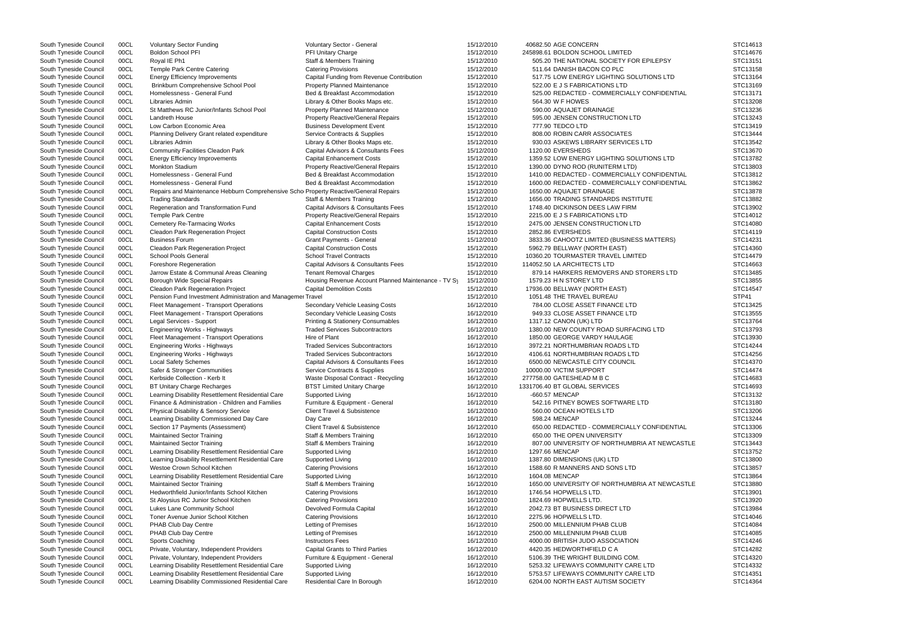|                                                  | 00CL         | <b>Voluntary Sector Funding</b>                                                                        | Voluntary Sector - General                          | 15/12/2010               | 40682.50 AGE CONCERN                                                     | STC14613             |
|--------------------------------------------------|--------------|--------------------------------------------------------------------------------------------------------|-----------------------------------------------------|--------------------------|--------------------------------------------------------------------------|----------------------|
| South Tyneside Council                           | 00CL         | <b>Boldon School PFI</b>                                                                               | PFI Unitary Charge                                  | 15/12/2010               | 245898.61 BOLDON SCHOOL LIMITED                                          | STC14676             |
| South Tyneside Council                           | 00CL         | Royal IE Ph1                                                                                           | Staff & Members Training                            | 15/12/2010               | 505.20 THE NATIONAL SOCIETY FOR EPILEPSY                                 | STC13151             |
| South Tyneside Council                           | 00CL         | Temple Park Centre Catering                                                                            | <b>Catering Provisions</b>                          | 15/12/2010               | 511.64 DANISH BACON CO PLC                                               | STC13158             |
| South Tyneside Council                           | 00CL         | <b>Energy Efficiency Improvements</b>                                                                  | Capital Funding from Revenue Contribution           | 15/12/2010               | 517.75 LOW ENERGY LIGHTING SOLUTIONS LTD                                 | STC13164             |
| South Tyneside Council                           | 00CL         | Brinkburn Comprehensive School Pool                                                                    | Property Planned Maintenance                        | 15/12/2010               | 522.00 E J S FABRICATIONS LTD                                            | STC13169             |
| South Tyneside Council                           | 00CL         | Homelessness - General Fund                                                                            | Bed & Breakfast Accommodation                       | 15/12/2010               | 525.00 REDACTED - COMMERCIALLY CONFIDENTIAL                              | STC13171             |
| South Tyneside Council                           | 00CL         | Libraries Admin                                                                                        | Library & Other Books Maps etc.                     | 15/12/2010               | 564.30 W F HOWES                                                         | STC13208             |
|                                                  | 00CL         | St Matthews RC Junior/Infants School Pool                                                              | Property Planned Maintenance                        | 15/12/2010               | 590.00 AQUAJET DRAINAGE                                                  | STC13236             |
| South Tyneside Council                           |              |                                                                                                        |                                                     |                          |                                                                          |                      |
| South Tyneside Council                           | 00CL         | <b>Landreth House</b>                                                                                  | Property Reactive/General Repairs                   | 15/12/2010               | 595.00 JENSEN CONSTRUCTION LTD                                           | STC13243             |
| South Tyneside Council                           | 00CL         | Low Carbon Economic Area                                                                               | <b>Business Development Event</b>                   | 15/12/2010               | 777.90 TEDCO LTD                                                         | STC13419             |
| South Tyneside Council                           | 00CL         | Planning Delivery Grant related expenditure                                                            | Service Contracts & Supplies                        | 15/12/2010               | 808.00 ROBIN CARR ASSOCIATES                                             | STC13444             |
| South Tyneside Council                           | 00CL         | Libraries Admin                                                                                        | Library & Other Books Maps etc.                     | 15/12/2010               | 930.03 ASKEWS LIBRARY SERVICES LTD                                       | STC13542             |
| South Tyneside Council                           | 00CL         | <b>Community Facilities Cleadon Park</b>                                                               | Capital Advisors & Consultants Fees                 | 15/12/2010               | 1120.00 EVERSHEDS                                                        | STC13670             |
| South Tyneside Council                           | 00CL         | <b>Energy Efficiency Improvements</b>                                                                  | <b>Capital Enhancement Costs</b>                    | 15/12/2010               | 1359.52 LOW ENERGY LIGHTING SOLUTIONS LTD                                | STC13782             |
| South Tyneside Council                           | 00CL         | <b>Monkton Stadium</b>                                                                                 | <b>Property Reactive/General Repairs</b>            | 15/12/2010               | 1390.00 DYNO ROD (RUNITERM LTD)                                          | STC13803             |
| South Tyneside Council                           | 00CL         | Homelessness - General Fund                                                                            | Bed & Breakfast Accommodation                       | 15/12/2010               | 1410.00 REDACTED - COMMERCIALLY CONFIDENTIAL                             | STC13812             |
| South Tyneside Council                           | 00CL         | Homelessness - General Fund                                                                            | Bed & Breakfast Accommodation                       | 15/12/2010               | 1600.00 REDACTED - COMMERCIALLY CONFIDENTIAL                             | STC13862             |
| South Tyneside Council                           | 00CL         | Repairs and Maintenance Hebburn Comprehensive Scho Property Reactive/General Repairs                   |                                                     | 15/12/2010               | 1650.00 AQUAJET DRAINAGE                                                 | STC13878             |
| South Tyneside Council                           | 00CL         | <b>Trading Standards</b>                                                                               | <b>Staff &amp; Members Training</b>                 | 15/12/2010               | 1656.00 TRADING STANDARDS INSTITUTE                                      | STC13882             |
| South Tyneside Council                           | 00CL         | Regeneration and Transformation Fund                                                                   | Capital Advisors & Consultants Fees                 | 15/12/2010               | 1748.40 DICKINSON DEES LAW FIRM                                          | STC13902             |
| South Tyneside Council                           | 00CL         | Temple Park Centre                                                                                     | <b>Property Reactive/General Repairs</b>            | 15/12/2010               | 2215.00 E J S FABRICATIONS LTD                                           | STC14012             |
| South Tyneside Council                           | 00CL         | <b>Cemetery Re-Tarmacing Works</b>                                                                     | <b>Capital Enhancement Costs</b>                    | 15/12/2010               | 2475.00 JENSEN CONSTRUCTION LTD                                          | STC14080             |
| South Tyneside Council                           | 00CL         | Cleadon Park Regeneration Project                                                                      | <b>Capital Construction Costs</b>                   | 15/12/2010               | 2852.86 EVERSHEDS                                                        | STC14119             |
|                                                  | 00CL         | <b>Business Forum</b>                                                                                  | <b>Grant Payments - General</b>                     | 15/12/2010               | 3833.36 CAHOOTZ LIMITED (BUSINESS MATTERS)                               | STC14231             |
| South Tyneside Council                           |              |                                                                                                        |                                                     |                          |                                                                          |                      |
| South Tyneside Council                           | 00CL         | Cleadon Park Regeneration Project                                                                      | <b>Capital Construction Costs</b>                   | 15/12/2010               | 5962.79 BELLWAY (NORTH EAST)                                             | STC14360             |
| South Tyneside Council                           | 00CL         | School Pools General                                                                                   | <b>School Travel Contracts</b>                      | 15/12/2010               | 10360.20 TOURMASTER TRAVEL LIMITED                                       | STC14479             |
| South Tyneside Council                           | 00CL         | Foreshore Regeneration                                                                                 | Capital Advisors & Consultants Fees                 | 15/12/2010               | 114052.50 LA ARCHITECTS LTD                                              | STC14663             |
| South Tyneside Council                           | 00CL         | Jarrow Estate & Communal Areas Cleaning                                                                | <b>Tenant Removal Charges</b>                       | 15/12/2010               | 879.14 HARKERS REMOVERS AND STORERS LTD                                  | STC13485             |
| South Tyneside Council                           | 00CL         | Borough Wide Special Repairs                                                                           | Housing Revenue Account Planned Maintenance - TV Sy | 15/12/2010               | 1579.23 H N STOREY LTD                                                   | STC13855             |
| South Tyneside Council                           | 00CL         | <b>Cleadon Park Regeneration Project</b>                                                               | <b>Capital Demolition Costs</b>                     | 15/12/2010               | 17936.00 BELLWAY (NORTH EAST)                                            | STC14547             |
| South Tyneside Council                           | 00CL         | Pension Fund Investment Administration and Managemer Travel                                            |                                                     | 15/12/2010               | 1051.48 THE TRAVEL BUREAU                                                | STP41                |
| South Tyneside Council                           | 00CL         | Fleet Management - Transport Operations                                                                | Secondary Vehicle Leasing Costs                     | 16/12/2010               | 784.00 CLOSE ASSET FINANCE LTD                                           | STC13425             |
| South Tyneside Council                           | 00CL         | Fleet Management - Transport Operations                                                                | Secondary Vehicle Leasing Costs                     | 16/12/2010               | 949.33 CLOSE ASSET FINANCE LTD                                           | STC13555             |
| South Tyneside Council                           | 00CL         | Legal Services - Support                                                                               | <b>Printing &amp; Stationery Consumables</b>        | 16/12/2010               | 1317.12 CANON (UK) LTD                                                   | STC13764             |
| South Tyneside Council                           | 00CL         | Engineering Works - Highways                                                                           | <b>Traded Services Subcontractors</b>               | 16/12/2010               | 1380.00 NEW COUNTY ROAD SURFACING LTD                                    | STC13793             |
| South Tyneside Council                           | 00CL         | Fleet Management - Transport Operations                                                                | Hire of Plant                                       | 16/12/2010               | 1850.00 GEORGE VARDY HAULAGE                                             | STC13930             |
| South Tyneside Council                           | 00CL         | Engineering Works - Highways                                                                           | <b>Traded Services Subcontractors</b>               | 16/12/2010               | 3972.21 NORTHUMBRIAN ROADS LTD                                           | STC14244             |
|                                                  |              |                                                                                                        | <b>Traded Services Subcontractors</b>               | 16/12/2010               | 4106.61 NORTHUMBRIAN ROADS LTD                                           | STC14256             |
|                                                  |              |                                                                                                        |                                                     |                          |                                                                          |                      |
| South Tyneside Council                           | 00CL         | <b>Engineering Works - Highways</b>                                                                    |                                                     |                          |                                                                          |                      |
| South Tyneside Council                           | 00CL         | <b>Local Safety Schemes</b>                                                                            | Capital Advisors & Consultants Fees                 | 16/12/2010               | 6500.00 NEWCASTLE CITY COUNCIL                                           | STC14370             |
| South Tyneside Council                           | 00CL         | Safer & Stronger Communities                                                                           | Service Contracts & Supplies                        | 16/12/2010               | 10000.00 VICTIM SUPPORT                                                  | STC14474             |
| South Tyneside Council                           | 00CL         | Kerbside Collection - Kerb It                                                                          | Waste Disposal Contract - Recycling                 | 16/12/2010               | 277758.00 GATESHEAD M B C                                                | STC14683             |
| South Tyneside Council                           | 00CL         | BT Unitary Charge Recharges                                                                            | <b>BTST Limited Unitary Charge</b>                  | 16/12/2010               | 1331706.40 BT GLOBAL SERVICES                                            | STC14693             |
| South Tyneside Council                           | 00CL         | Learning Disability Resettlement Residential Care                                                      | Supported Living                                    | 16/12/2010               | -660.57 MENCAP                                                           | STC13132             |
| South Tyneside Council                           | 00CL         | Finance & Administration - Children and Families                                                       | Furniture & Equipment - General                     | 16/12/2010               | 542.16 PITNEY BOWES SOFTWARE LTD                                         | STC13180             |
| South Tyneside Council                           | 00CL         | Physical Disability & Sensory Service                                                                  | <b>Client Travel &amp; Subsistence</b>              | 16/12/2010               | 560.00 OCEAN HOTELS LTD                                                  | STC13206             |
| South Tyneside Council                           | 00CL         | Learning Disability Commissioned Day Care                                                              | Day Care                                            | 16/12/2010               | 598.24 MENCAP                                                            |                      |
| South Tyneside Council                           | 00CL         | Section 17 Payments (Assessment)                                                                       | <b>Client Travel &amp; Subsistence</b>              | 16/12/2010               | 650.00 REDACTED - COMMERCIALLY CONFIDENTIAL                              | STC13306             |
| South Tyneside Council                           | 00CL         | <b>Maintained Sector Training</b>                                                                      | <b>Staff &amp; Members Training</b>                 | 16/12/2010               | 650.00 THE OPEN UNIVERSITY                                               | STC13244<br>STC13309 |
| South Tyneside Council                           | 00CL         | <b>Maintained Sector Training</b>                                                                      | <b>Staff &amp; Members Training</b>                 | 16/12/2010               | 807.00 UNIVERSITY OF NORTHUMBRIA AT NEWCASTLE                            | STC13443             |
| South Tyneside Council                           | 00CL         | Learning Disability Resettlement Residential Care                                                      | Supported Living                                    | 16/12/2010               | 1297.66 MENCAP                                                           | STC13752             |
| South Tyneside Council                           | 00CL         | Learning Disability Resettlement Residential Care                                                      | Supported Living                                    | 16/12/2010               | 1387.80 DIMENSIONS (UK) LTD                                              | STC13800             |
| South Tyneside Council                           | 00CL         | Westoe Crown School Kitchen                                                                            | <b>Catering Provisions</b>                          | 16/12/2010               | 1588.60 R MANNERS AND SONS LTD                                           | STC13857             |
| South Tyneside Council                           |              |                                                                                                        |                                                     | 16/12/2010               | 1604.08 MENCAP                                                           | STC13864             |
|                                                  | 00CL         | Learning Disability Resettlement Residential Care                                                      | Supported Living                                    |                          | 1650.00 UNIVERSITY OF NORTHUMBRIA AT NEWCASTLE                           |                      |
| South Tyneside Council                           | 00CL         | Maintained Sector Training                                                                             | <b>Staff &amp; Members Training</b>                 | 16/12/2010               |                                                                          | STC13880             |
| South Tyneside Council                           | 00CL         | Hedworthfield Junior/Infants School Kitchen                                                            | <b>Catering Provisions</b>                          | 16/12/2010               | 1746.54 HOPWELLS LTD.                                                    | STC13901             |
| South Tyneside Council                           | 00CL         | St Aloysius RC Junior School Kitchen                                                                   | <b>Catering Provisions</b>                          | 16/12/2010               | 1824.69 HOPWELLS LTD.                                                    | STC13920             |
| South Tyneside Council                           | 00CL         | Lukes Lane Community School                                                                            | Devolved Formula Capital                            | 16/12/2010               | 2042.73 BT BUSINESS DIRECT LTD                                           | STC13984             |
| South Tyneside Council                           | 00CL         | Toner Avenue Junior School Kitchen                                                                     | <b>Catering Provisions</b>                          | 16/12/2010               | 2275.96 HOPWELLS LTD.                                                    | STC14046             |
| South Tyneside Council                           | 00CL         | PHAB Club Day Centre                                                                                   | Letting of Premises                                 | 16/12/2010               | 2500.00 MILLENNIUM PHAB CLUB                                             | STC14084             |
| South Tyneside Council                           | 00CL         | PHAB Club Day Centre                                                                                   | Letting of Premises                                 | 16/12/2010               | 2500.00 MILLENNIUM PHAB CLUB                                             | STC14085             |
| South Tyneside Council                           | 00CL         | Sports Coaching                                                                                        | <b>Instructors Fees</b>                             | 16/12/2010               | 4000.00 BRITISH JUDO ASSOCIATION                                         | STC14246             |
| South Tyneside Council                           | 00CL         | Private, Voluntary, Independent Providers                                                              | <b>Capital Grants to Third Parties</b>              | 16/12/2010               | 4420.35 HEDWORTHFIELD C A                                                | STC14282             |
| South Tyneside Council                           | 00CL         | Private, Voluntary, Independent Providers                                                              | Furniture & Equipment - General                     | 16/12/2010               | 5106.39 THE WRIGHT BUILDING COM.                                         | STC14320             |
| South Tyneside Council                           | 00CL         | Learning Disability Resettlement Residential Care                                                      | Supported Living                                    | 16/12/2010               | 5253.32 LIFEWAYS COMMUNITY CARE LTD                                      | STC14332             |
| South Tyneside Council<br>South Tyneside Council | 00CL<br>00CL | Learning Disability Resettlement Residential Care<br>Learning Disability Commissioned Residential Care | Supported Living<br>Residential Care In Borough     | 16/12/2010<br>16/12/2010 | 5753.57 LIFEWAYS COMMUNITY CARE LTD<br>6204.00 NORTH EAST AUTISM SOCIETY | STC14351<br>STC14364 |

|              | STC14613             |
|--------------|----------------------|
|              | STC14676             |
|              | STC13151             |
|              | STC13158             |
|              | STC13164             |
|              | STC13169             |
| IAL          | STC13171             |
|              | STC13208             |
|              | STC13236             |
|              | STC13243             |
|              | STC13419             |
|              | STC13444             |
|              | STC13542             |
|              | STC13670             |
|              | STC13782             |
|              | STC13803             |
| IAL          | STC13812             |
| IAL          | STC13862             |
|              | STC13878             |
|              | STC13882             |
|              | STC13902             |
|              | STC14012             |
|              | STC14080             |
|              | STC14119             |
|              | STC14231             |
|              | STC14360             |
|              | STC14479             |
|              | STC14663             |
|              | STC13485             |
|              | STC13855             |
|              | STC14547             |
|              | STP41                |
|              | STC13425             |
|              | STC13555             |
|              | STC13764             |
|              | STC13793             |
|              | STC13930             |
|              | STC14244             |
|              | STC14256             |
|              | STC14370             |
|              | STC14474             |
|              | STC14683             |
|              | STC14693             |
|              | STC13132             |
|              | STC13180             |
|              | STC13206             |
|              | STC13244             |
| IAL          | STC13306             |
|              | STC13309             |
| <b>STLE</b>  | STC13443             |
|              | STC13752             |
|              | STC13800             |
|              | STC13857             |
|              | STC13864             |
| <b>\STLE</b> | STC13880             |
|              | STC13901             |
|              |                      |
|              | STC13920<br>STC13984 |
|              | STC14046             |
|              | STC14084             |
|              |                      |
|              | STC14085             |
|              | STC14246             |
|              | STC14282<br>STC14320 |
|              | STC14332             |
|              |                      |
|              | STC14351             |
|              | STC14364             |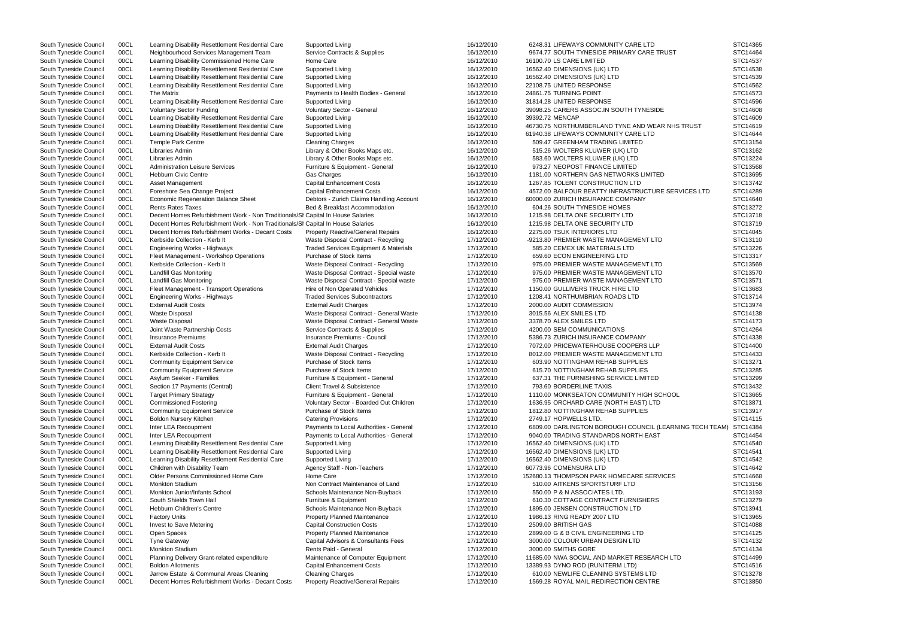| South Tyneside Council | 00CL | Learning Disability Resettlement Residential Care                               | Supported Living                         | 16/12/2010 | 6248.31 LIFEWAYS COMMUNITY CARE LTD                              | STC14365 |
|------------------------|------|---------------------------------------------------------------------------------|------------------------------------------|------------|------------------------------------------------------------------|----------|
| South Tyneside Council | 00CL | Neighbourhood Services Management Team                                          | Service Contracts & Supplies             | 16/12/2010 | 9674.77 SOUTH TYNESIDE PRIMARY CARE TRUST                        | STC14464 |
| South Tyneside Council | 00CL | Learning Disability Commissioned Home Care                                      | Home Care                                | 16/12/2010 | 16100.70 LS CARE LIMITED                                         | STC14537 |
| South Tyneside Council | 00CL | Learning Disability Resettlement Residential Care                               | Supported Living                         | 16/12/2010 | 16562.40 DIMENSIONS (UK) LTD                                     | STC14538 |
| South Tyneside Council | 00CL | Learning Disability Resettlement Residential Care                               | Supported Living                         | 16/12/2010 | 16562.40 DIMENSIONS (UK) LTD                                     | STC14539 |
| South Tyneside Council | 00CL | Learning Disability Resettlement Residential Care                               | Supported Living                         | 16/12/2010 | 22108.75 UNITED RESPONSE                                         | STC14562 |
|                        |      |                                                                                 |                                          |            |                                                                  | STC14573 |
| South Tyneside Council | 00CL | The Matrix                                                                      | Payments to Health Bodies - General      | 16/12/2010 | 24861.75 TURNING POINT                                           | STC14596 |
| South Tyneside Council | 00CL | Learning Disability Resettlement Residential Care                               | Supported Living                         | 16/12/2010 | 31814.28 UNITED RESPONSE                                         |          |
| South Tyneside Council | 00CL | <b>Voluntary Sector Funding</b>                                                 | Voluntary Sector - General               | 16/12/2010 | 39098.25 CARERS ASSOC.IN SOUTH TYNESIDE                          | STC14608 |
| South Tyneside Council | 00CL | Learning Disability Resettlement Residential Care                               | Supported Living                         | 16/12/2010 | 39392.72 MENCAP                                                  | STC14609 |
| South Tyneside Council | 00CL | Learning Disability Resettlement Residential Care                               | Supported Living                         | 16/12/2010 | 46730.75 NORTHUMBERLAND TYNE AND WEAR NHS TRUST                  | STC14619 |
| South Tyneside Council | 00CL | Learning Disability Resettlement Residential Care                               | Supported Living                         | 16/12/2010 | 61940.38 LIFEWAYS COMMUNITY CARE LTD                             | STC14644 |
| South Tyneside Council | 00CL | <b>Temple Park Centre</b>                                                       | <b>Cleaning Charges</b>                  | 16/12/2010 | 509.47 GREENHAM TRADING LIMITED                                  | STC13154 |
| South Tyneside Council | 00CL | Libraries Admin                                                                 | Library & Other Books Maps etc.          | 16/12/2010 | 515.26 WOLTERS KLUWER (UK) LTD                                   | STC13162 |
| South Tyneside Council | 00CL | Libraries Admin                                                                 | Library & Other Books Maps etc.          | 16/12/2010 | 583.60 WOLTERS KLUWER (UK) LTD                                   | STC13224 |
| South Tyneside Council | 00CL | <b>Administration Leisure Services</b>                                          | Furniture & Equipment - General          | 16/12/2010 | 973.27 NEOPOST FINANCE LIMITED                                   | STC13568 |
| South Tyneside Council | 00CL | <b>Hebburn Civic Centre</b>                                                     | Gas Charges                              | 16/12/2010 | 1181.00 NORTHERN GAS NETWORKS LIMITED                            | STC13695 |
| South Tyneside Council | 00CL | Asset Management                                                                | <b>Capital Enhancement Costs</b>         | 16/12/2010 | 1267.85 TOLENT CONSTRUCTION LTD                                  | STC13742 |
| South Tyneside Council | 00CL | Foreshore Sea Change Project                                                    | <b>Capital Enhancement Costs</b>         | 16/12/2010 | 4572.00 BALFOUR BEATTY INFRASTRUCTURE SERVICES LTD               | STC14289 |
| South Tyneside Council | 00CL | <b>Economic Regeneration Balance Sheet</b>                                      | Debtors - Zurich Claims Handling Account | 16/12/2010 | 60000.00 ZURICH INSURANCE COMPANY                                | STC14640 |
| South Tyneside Council | 00CL | <b>Rents Rates Taxes</b>                                                        | Bed & Breakfast Accommodation            | 16/12/2010 | 604.26 SOUTH TYNESIDE HOMES                                      | STC13272 |
| South Tyneside Council | 00CL | Decent Homes Refurbishment Work - Non Traditionals/SI Capital In House Salaries |                                          | 16/12/2010 | 1215.98 DELTA ONE SECURITY LTD                                   | STC13718 |
| South Tyneside Council | 00CL | Decent Homes Refurbishment Work - Non Traditionals/SI Capital In House Salaries |                                          | 16/12/2010 | 1215.98 DELTA ONE SECURITY LTD                                   | STC13719 |
| South Tyneside Council | 00CL | Decent Homes Refurbishment Works - Decant Costs                                 | <b>Property Reactive/General Repairs</b> | 16/12/2010 | 2275.00 TSUK INTERIORS LTD                                       | STC14045 |
| South Tyneside Council | 00CL | Kerbside Collection - Kerb It                                                   | Waste Disposal Contract - Recycling      | 17/12/2010 | -9213.80 PREMIER WASTE MANAGEMENT LTD                            | STC13110 |
| South Tyneside Council |      | Engineering Works - Highways                                                    |                                          |            |                                                                  | STC13226 |
|                        | 00CL |                                                                                 | Traded Services Equipment & Materials    | 17/12/2010 | 585.20 CEMEX UK MATERIALS LTD                                    |          |
| South Tyneside Council | 00CL | Fleet Management - Workshop Operations                                          | Purchase of Stock Items                  | 17/12/2010 | 659.60 ECON ENGINEERING LTD                                      | STC13317 |
| South Tyneside Council | 00CL | Kerbside Collection - Kerb It                                                   | Waste Disposal Contract - Recycling      | 17/12/2010 | 975.00 PREMIER WASTE MANAGEMENT LTD                              | STC13569 |
| South Tyneside Council | 00CL | Landfill Gas Monitoring                                                         | Waste Disposal Contract - Special waste  | 17/12/2010 | 975.00 PREMIER WASTE MANAGEMENT LTD                              | STC13570 |
| South Tyneside Council | 00CL | <b>Landfill Gas Monitoring</b>                                                  | Waste Disposal Contract - Special waste  | 17/12/2010 | 975.00 PREMIER WASTE MANAGEMENT LTD                              | STC13571 |
| South Tyneside Council | 00CL | Fleet Management - Transport Operations                                         | Hire of Non Operated Vehicles            | 17/12/2010 | 1150.00 GULLIVERS TRUCK HIRE LTD                                 | STC13683 |
| South Tyneside Council | 00CL | Engineering Works - Highways                                                    | <b>Traded Services Subcontractors</b>    | 17/12/2010 | 1208.41 NORTHUMBRIAN ROADS LTD                                   | STC13714 |
| South Tyneside Council | 00CL | <b>External Audit Costs</b>                                                     | <b>External Audit Charges</b>            | 17/12/2010 | 2000.00 AUDIT COMMISSION                                         | STC13974 |
| South Tyneside Council | 00CL | <b>Waste Disposal</b>                                                           | Waste Disposal Contract - General Waste  | 17/12/2010 | 3015.56 ALEX SMILES LTD                                          | STC14138 |
| South Tyneside Council | 00CL | <b>Waste Disposal</b>                                                           | Waste Disposal Contract - General Waste  | 17/12/2010 | 3378.70 ALEX SMILES LTD                                          | STC14173 |
| South Tyneside Council | 00CL | Joint Waste Partnership Costs                                                   | Service Contracts & Supplies             | 17/12/2010 | 4200.00 SEM COMMUNICATIONS                                       | STC14264 |
| South Tyneside Council | 00CL | <b>Insurance Premiums</b>                                                       | Insurance Premiums - Council             | 17/12/2010 | 5386.73 ZURICH INSURANCE COMPANY                                 | STC14338 |
| South Tyneside Council | 00CL | <b>External Audit Costs</b>                                                     | <b>External Audit Charges</b>            | 17/12/2010 | 7072.00 PRICEWATERHOUSE COOPERS LLP                              | STC14400 |
| South Tyneside Council | 00CL | Kerbside Collection - Kerb It                                                   | Waste Disposal Contract - Recycling      | 17/12/2010 | 8012.00 PREMIER WASTE MANAGEMENT LTD                             | STC14433 |
| South Tyneside Council | 00CL | <b>Community Equipment Service</b>                                              | Purchase of Stock Items                  | 17/12/2010 | 603.90 NOTTINGHAM REHAB SUPPLIES                                 | STC13271 |
| South Tyneside Council | 00CL | <b>Community Equipment Service</b>                                              | Purchase of Stock Items                  | 17/12/2010 | 615.70 NOTTINGHAM REHAB SUPPLIES                                 | STC13285 |
| South Tyneside Council | 00CL | Asylum Seeker - Families                                                        | Furniture & Equipment - General          | 17/12/2010 | 637.31 THE FURNISHING SERVICE LIMITED                            | STC13299 |
| South Tyneside Council | 00CL | Section 17 Payments (Central)                                                   | <b>Client Travel &amp; Subsistence</b>   | 17/12/2010 | 793.60 BORDERLINE TAXIS                                          | STC13432 |
| South Tyneside Council | 00CL | <b>Target Primary Strategy</b>                                                  | Furniture & Equipment - General          | 17/12/2010 | 1110.00 MONKSEATON COMMUNITY HIGH SCHOOL                         | STC13665 |
| South Tyneside Council | 00CL | <b>Commissioned Fostering</b>                                                   | Voluntary Sector - Boarded Out Children  | 17/12/2010 | 1636.95 ORCHARD CARE (NORTH EAST) LTD                            | STC13871 |
| South Tyneside Council | 00CL | <b>Community Equipment Service</b>                                              | Purchase of Stock Items                  | 17/12/2010 | 1812.80 NOTTINGHAM REHAB SUPPLIES                                | STC13917 |
|                        |      | <b>Boldon Nursery Kitchen</b>                                                   | <b>Catering Provisions</b>               | 17/12/2010 | 2749.17 HOPWELLS LTD.                                            | STC14115 |
| South Tyneside Council | 00CL | Inter LEA Recoupment                                                            |                                          |            |                                                                  |          |
| South Tyneside Council | 00CL |                                                                                 | Payments to Local Authorities - General  | 17/12/2010 | 6809.00 DARLINGTON BOROUGH COUNCIL (LEARNING TECH TEAM) STC14384 |          |
| South Tyneside Council | 00CL | Inter LEA Recoupment                                                            | Payments to Local Authorities - General  | 17/12/2010 | 9040.00 TRADING STANDARDS NORTH EAST                             | STC14454 |
| South Tyneside Council | 00CL | Learning Disability Resettlement Residential Care                               | Supported Living                         | 17/12/2010 | 16562.40 DIMENSIONS (UK) LTD                                     | STC14540 |
| South Tyneside Council | 00CL | Learning Disability Resettlement Residential Care                               | Supported Living                         | 17/12/2010 | 16562.40 DIMENSIONS (UK) LTD                                     | STC14541 |
| South Tyneside Council | 00CL | Learning Disability Resettlement Residential Care                               | Supported Living                         | 17/12/2010 | 16562.40 DIMENSIONS (UK) LTD                                     | STC14542 |
| South Tyneside Council | 00CL | Children with Disability Team                                                   | Agency Staff - Non-Teachers              | 17/12/2010 | 60773.96 COMENSURA LTD                                           | STC14642 |
| South Tyneside Council | 00CL | Older Persons Commissioned Home Care                                            | Home Care                                | 17/12/2010 | 152680.13 THOMPSON PARK HOMECARE SERVICES                        | STC14668 |
| South Tyneside Council | 00CL | <b>Monkton Stadium</b>                                                          | Non Contract Maintenance of Land         | 17/12/2010 | 510.00 AITKENS SPORTSTURF LTD                                    | STC13156 |
| South Tyneside Council | 00CL | Monkton Junior/Infants School                                                   | Schools Maintenance Non-Buyback          | 17/12/2010 | 550.00 P & N ASSOCIATES LTD.                                     | STC13193 |
| South Tyneside Council | 00CL | South Shields Town Hall                                                         | Furniture & Equipment                    | 17/12/2010 | 610.30 COTTAGE CONTRACT FURNISHERS                               | STC13279 |
| South Tyneside Council | 00CL | <b>Hebburn Children's Centre</b>                                                | Schools Maintenance Non-Buyback          | 17/12/2010 | 1895.00 JENSEN CONSTRUCTION LTD                                  | STC13941 |
| South Tyneside Council | 00CL | <b>Factory Units</b>                                                            | <b>Property Planned Maintenance</b>      | 17/12/2010 | 1986.13 RING READY 2007 LTD                                      | STC13965 |
| South Tyneside Council | 00CL | Invest to Save Metering                                                         | <b>Capital Construction Costs</b>        | 17/12/2010 | 2509.00 BRITISH GAS                                              | STC14088 |
| South Tyneside Council | 00CL | Open Spaces                                                                     | <b>Property Planned Maintenance</b>      | 17/12/2010 | 2899.00 G & B CIVIL ENGINEERING LTD                              | STC14125 |
| South Tyneside Council | 00CL | <b>Tyne Gateway</b>                                                             | Capital Advisors & Consultants Fees      | 17/12/2010 | 3000.00 COLOUR URBAN DESIGN LTD                                  | STC14132 |
| South Tyneside Council | 00CL | <b>Monkton Stadium</b>                                                          | Rents Paid - General                     | 17/12/2010 | 3000.00 SMITHS GORE                                              | STC14134 |
| South Tyneside Council | 00CL | Planning Delivery Grant-related expenditure                                     | Maintenance of Computer Equipment        | 17/12/2010 | 11685.00 NWA SOCIAL AND MARKET RESEARCH LTD                      | STC14499 |
| South Tyneside Council | 00CL | <b>Boldon Allotments</b>                                                        | <b>Capital Enhancement Costs</b>         | 17/12/2010 | 13389.93 DYNO ROD (RUNITERM LTD)                                 | STC14516 |
| South Tyneside Council | 00CL | Jarrow Estate & Communal Areas Cleaning                                         | <b>Cleaning Charges</b>                  | 17/12/2010 | 610.00 NEWLIFE CLEANING SYSTEMS LTD                              | STC13278 |
|                        |      |                                                                                 |                                          |            |                                                                  |          |
| South Tyneside Council | 00CL | Decent Homes Refurbishment Works - Decant Costs                                 | <b>Property Reactive/General Repairs</b> | 17/12/2010 | 1569.28 ROYAL MAIL REDIRECTION CENTRE                            | STC13850 |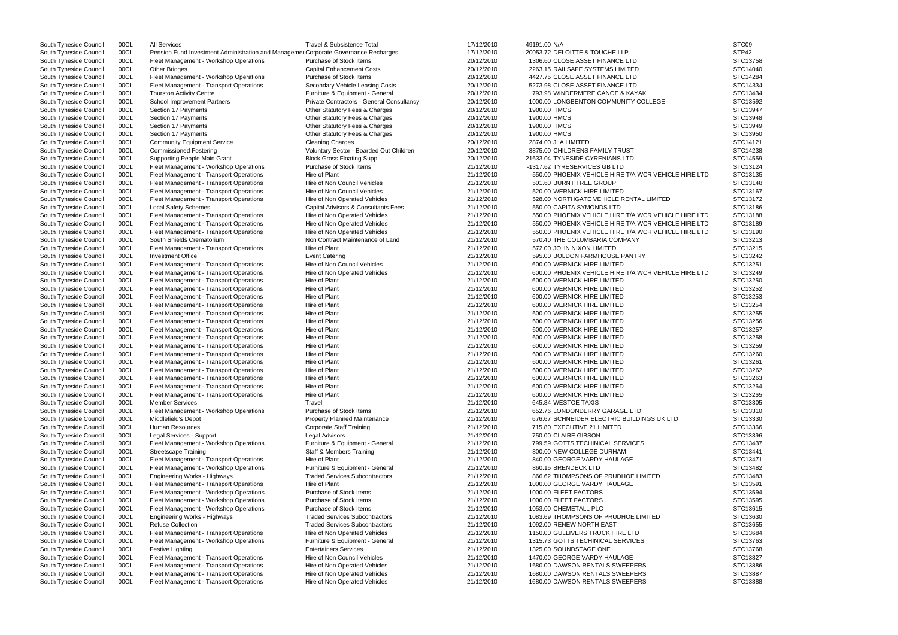| South Tyneside Council | 00CL | All Services                                                                        | <b>Travel &amp; Subsistence Total</b>     | 17/12/2010 | 49191.00 N/A                                          | STC09    |
|------------------------|------|-------------------------------------------------------------------------------------|-------------------------------------------|------------|-------------------------------------------------------|----------|
|                        |      |                                                                                     |                                           |            |                                                       |          |
| South Tyneside Council | 00CL | Pension Fund Investment Administration and Managemer Corporate Governance Recharges |                                           | 17/12/2010 | 20053.72 DELOITTE & TOUCHE LLP                        | STP42    |
| South Tyneside Council | 00CL | Fleet Management - Workshop Operations                                              | Purchase of Stock Items                   | 20/12/2010 | 1306.60 CLOSE ASSET FINANCE LTD                       | STC13758 |
| South Tyneside Council | 00CL | <b>Other Bridges</b>                                                                | <b>Capital Enhancement Costs</b>          | 20/12/2010 | 2263.15 RAILSAFE SYSTEMS LIMITED                      | STC14040 |
| South Tyneside Council | 00CL | Fleet Management - Workshop Operations                                              | Purchase of Stock Items                   | 20/12/2010 | 4427.75 CLOSE ASSET FINANCE LTD                       | STC14284 |
| South Tyneside Council | 00CL | Fleet Management - Transport Operations                                             | Secondary Vehicle Leasing Costs           | 20/12/2010 | 5273.98 CLOSE ASSET FINANCE LTD                       | STC14334 |
| South Tyneside Council | 00CL | <b>Thurston Activity Centre</b>                                                     | Furniture & Equipment - General           | 20/12/2010 | 793.98 WINDERMERE CANOE & KAYAK                       | STC13434 |
| South Tyneside Council | 00CL | <b>School Improvement Partners</b>                                                  | Private Contractors - General Consultancy | 20/12/2010 | 1000.00 LONGBENTON COMMUNITY COLLEGE                  | STC13592 |
|                        |      |                                                                                     |                                           |            |                                                       |          |
| South Tyneside Council | 00CL | Section 17 Payments                                                                 | Other Statutory Fees & Charges            | 20/12/2010 | 1900.00 HMCS                                          | STC13947 |
| South Tyneside Council | 00CL | Section 17 Payments                                                                 | Other Statutory Fees & Charges            | 20/12/2010 | 1900.00 HMCS                                          | STC13948 |
| South Tyneside Council | 00CL | Section 17 Payments                                                                 | Other Statutory Fees & Charges            | 20/12/2010 | 1900.00 HMCS                                          | STC13949 |
| South Tyneside Council | 00CL | Section 17 Payments                                                                 | Other Statutory Fees & Charges            | 20/12/2010 | 1900.00 HMCS                                          | STC13950 |
| South Tyneside Council | 00CL | <b>Community Equipment Service</b>                                                  | <b>Cleaning Charges</b>                   | 20/12/2010 | 2874.00 JLA LIMITED                                   | STC14121 |
| South Tyneside Council | 00CL | <b>Commissioned Fostering</b>                                                       | Voluntary Sector - Boarded Out Children   | 20/12/2010 | 3875.00 CHILDRENS FAMILY TRUST                        | STC14238 |
| South Tyneside Council | 00CL | Supporting People Main Grant                                                        | <b>Block Gross Floating Supp</b>          | 20/12/2010 | 21633.04 TYNESIDE CYRENIANS LTD                       | STC14559 |
| South Tyneside Council | 00CL | Fleet Management - Workshop Operations                                              | Purchase of Stock Items                   | 21/12/2010 | -1317.62 TYRESERVICES GB LTD                          | STC13124 |
|                        |      |                                                                                     |                                           |            |                                                       | STC13135 |
| South Tyneside Council | 00CL | Fleet Management - Transport Operations                                             | Hire of Plant                             | 21/12/2010 | -550.00 PHOENIX VEHICLE HIRE T/A WCR VEHICLE HIRE LTD |          |
| South Tyneside Council | 00CL | Fleet Management - Transport Operations                                             | Hire of Non Council Vehicles              | 21/12/2010 | 501.60 BURNT TREE GROUP                               | STC13148 |
| South Tyneside Council | 00CL | Fleet Management - Transport Operations                                             | Hire of Non Council Vehicles              | 21/12/2010 | 520.00 WERNICK HIRE LIMITED                           | STC13167 |
| South Tyneside Council | 00CL | Fleet Management - Transport Operations                                             | Hire of Non Operated Vehicles             | 21/12/2010 | 528.00 NORTHGATE VEHICLE RENTAL LIMITED               | STC13172 |
| South Tyneside Council | 00CL | <b>Local Safety Schemes</b>                                                         | Capital Advisors & Consultants Fees       | 21/12/2010 | 550.00 CAPITA SYMONDS LTD                             | STC13186 |
| South Tyneside Council | 00CL | Fleet Management - Transport Operations                                             | Hire of Non Operated Vehicles             | 21/12/2010 | 550.00 PHOENIX VEHICLE HIRE T/A WCR VEHICLE HIRE LTD  | STC13188 |
| South Tyneside Council | 00CL | Fleet Management - Transport Operations                                             | Hire of Non Operated Vehicles             | 21/12/2010 | 550.00 PHOENIX VEHICLE HIRE T/A WCR VEHICLE HIRE LTD  | STC13189 |
|                        |      | Fleet Management - Transport Operations                                             |                                           |            | 550.00 PHOENIX VEHICLE HIRE T/A WCR VEHICLE HIRE LTD  | STC13190 |
| South Tyneside Council | 00CL |                                                                                     | Hire of Non Operated Vehicles             | 21/12/2010 |                                                       |          |
| South Tyneside Council | 00CL | South Shields Crematorium                                                           | Non Contract Maintenance of Land          | 21/12/2010 | 570.40 THE COLUMBARIA COMPANY                         | STC13213 |
| South Tyneside Council | 00CL | Fleet Management - Transport Operations                                             | Hire of Plant                             | 21/12/2010 | 572.00 JOHN NIXON LIMITED                             | STC13215 |
| South Tyneside Council | 00CL | <b>Investment Office</b>                                                            | <b>Event Catering</b>                     | 21/12/2010 | 595.00 BOLDON FARMHOUSE PANTRY                        | STC13242 |
| South Tyneside Council | 00CL | Fleet Management - Transport Operations                                             | Hire of Non Council Vehicles              | 21/12/2010 | 600.00 WERNICK HIRE LIMITED                           | STC13251 |
| South Tyneside Council | 00CL | Fleet Management - Transport Operations                                             | Hire of Non Operated Vehicles             | 21/12/2010 | 600.00 PHOENIX VEHICLE HIRE T/A WCR VEHICLE HIRE LTD  | STC13249 |
| South Tyneside Council | 00CL | Fleet Management - Transport Operations                                             | Hire of Plant                             | 21/12/2010 | 600.00 WERNICK HIRE LIMITED                           | STC13250 |
| South Tyneside Council | 00CL | Fleet Management - Transport Operations                                             | Hire of Plant                             | 21/12/2010 | 600.00 WERNICK HIRE LIMITED                           | STC13252 |
|                        |      |                                                                                     |                                           |            |                                                       |          |
| South Tyneside Council | 00CL | Fleet Management - Transport Operations                                             | Hire of Plant                             | 21/12/2010 | 600.00 WERNICK HIRE LIMITED                           | STC13253 |
| South Tyneside Council | 00CL | Fleet Management - Transport Operations                                             | Hire of Plant                             | 21/12/2010 | 600.00 WERNICK HIRE LIMITED                           | STC13254 |
| South Tyneside Council | 00CL | Fleet Management - Transport Operations                                             | Hire of Plant                             | 21/12/2010 | 600.00 WERNICK HIRE LIMITED                           | STC13255 |
| South Tyneside Council | 00CL | Fleet Management - Transport Operations                                             | Hire of Plant                             | 21/12/2010 | 600.00 WERNICK HIRE LIMITED                           | STC13256 |
| South Tyneside Council | 00CL | Fleet Management - Transport Operations                                             | Hire of Plant                             | 21/12/2010 | 600.00 WERNICK HIRE LIMITED                           | STC13257 |
| South Tyneside Council | 00CL | Fleet Management - Transport Operations                                             | Hire of Plant                             | 21/12/2010 | 600.00 WERNICK HIRE LIMITED                           | STC13258 |
| South Tyneside Council | 00CL | Fleet Management - Transport Operations                                             | Hire of Plant                             | 21/12/2010 | 600.00 WERNICK HIRE LIMITED                           | STC13259 |
| South Tyneside Council |      |                                                                                     | Hire of Plant                             |            | 600.00 WERNICK HIRE LIMITED                           | STC13260 |
|                        | 00CL | Fleet Management - Transport Operations                                             |                                           | 21/12/2010 |                                                       |          |
| South Tyneside Council | 00CL | Fleet Management - Transport Operations                                             | Hire of Plant                             | 21/12/2010 | 600.00 WERNICK HIRE LIMITED                           | STC13261 |
| South Tyneside Council | 00CL | Fleet Management - Transport Operations                                             | Hire of Plant                             | 21/12/2010 | 600.00 WERNICK HIRE LIMITED                           | STC13262 |
| South Tyneside Council | 00CL | Fleet Management - Transport Operations                                             | Hire of Plant                             | 21/12/2010 | 600.00 WERNICK HIRE LIMITED                           | STC13263 |
| South Tyneside Council | 00CL | Fleet Management - Transport Operations                                             | Hire of Plant                             | 21/12/2010 | 600.00 WERNICK HIRE LIMITED                           | STC13264 |
| South Tyneside Council | 00CL | Fleet Management - Transport Operations                                             | Hire of Plant                             | 21/12/2010 | 600.00 WERNICK HIRE LIMITED                           | STC13265 |
| South Tyneside Council | 00CL | <b>Member Services</b>                                                              | Travel                                    | 21/12/2010 | 645.84 WESTOE TAXIS                                   | STC13305 |
| South Tyneside Council | 00CL | Fleet Management - Workshop Operations                                              | Purchase of Stock Items                   | 21/12/2010 | 652.76 LONDONDERRY GARAGE LTD                         | STC13310 |
|                        |      |                                                                                     |                                           |            |                                                       |          |
| South Tyneside Council | 00CL | Middlefield's Depot                                                                 | <b>Property Planned Maintenance</b>       | 21/12/2010 | 676.67 SCHNEIDER ELECTRIC BUILDINGS UK LTD            | STC13330 |
| South Tyneside Council | 00CL | Human Resources                                                                     | <b>Corporate Staff Training</b>           | 21/12/2010 | 715.80 EXECUTIVE 21 LIMITED                           | STC13366 |
| South Tyneside Council | 00CL | Legal Services - Support                                                            | <b>Legal Advisors</b>                     | 21/12/2010 | 750.00 CLAIRE GIBSON                                  | STC13396 |
| South Tyneside Council | 00CL | Fleet Management - Workshop Operations                                              | Furniture & Equipment - General           | 21/12/2010 | 799.59 GOTTS TECHINICAL SERVICES                      | STC13437 |
| South Tyneside Council | 00CL | <b>Streetscape Training</b>                                                         | <b>Staff &amp; Members Training</b>       | 21/12/2010 | 800.00 NEW COLLEGE DURHAM                             | STC13441 |
| South Tyneside Council | 00CL | Fleet Management - Transport Operations                                             | Hire of Plant                             | 21/12/2010 | 840.00 GEORGE VARDY HAULAGE                           | STC13471 |
| South Tyneside Council | 00CL | Fleet Management - Workshop Operations                                              | Furniture & Equipment - General           | 21/12/2010 | 860.15 BRENDECK LTD                                   | STC13482 |
|                        |      |                                                                                     | <b>Traded Services Subcontractors</b>     |            | 866.62 THOMPSONS OF PRUDHOE LIMITED                   | STC13483 |
| South Tyneside Council | 00CL | Engineering Works - Highways                                                        |                                           | 21/12/2010 |                                                       |          |
| South Tyneside Council | 00CL | Fleet Management - Transport Operations                                             | Hire of Plant                             | 21/12/2010 | 1000.00 GEORGE VARDY HAULAGE                          | STC13591 |
| South Tyneside Council | 00CL | Fleet Management - Workshop Operations                                              | Purchase of Stock Items                   | 21/12/2010 | 1000.00 FLEET FACTORS                                 | STC13594 |
| South Tyneside Council | 00CL | Fleet Management - Workshop Operations                                              | Purchase of Stock Items                   | 21/12/2010 | 1000.00 FLEET FACTORS                                 | STC13595 |
| South Tyneside Council | 00CL | Fleet Management - Workshop Operations                                              | Purchase of Stock Items                   | 21/12/2010 | 1053.00 CHEMETALL PLC                                 | STC13615 |
| South Tyneside Council | 00CL | Engineering Works - Highways                                                        | <b>Traded Services Subcontractors</b>     | 21/12/2010 | 1083.69 THOMPSONS OF PRUDHOE LIMITED                  | STC13630 |
| South Tyneside Council | 00CL | <b>Refuse Collection</b>                                                            | <b>Traded Services Subcontractors</b>     | 21/12/2010 | 1092.00 RENEW NORTH EAST                              | STC13655 |
| South Tyneside Council | 00CL | Fleet Management - Transport Operations                                             | Hire of Non Operated Vehicles             | 21/12/2010 | 1150.00 GULLIVERS TRUCK HIRE LTD                      | STC13684 |
|                        |      |                                                                                     |                                           |            |                                                       |          |
| South Tyneside Council | 00CL | Fleet Management - Workshop Operations                                              | Furniture & Equipment - General           | 21/12/2010 | 1315.73 GOTTS TECHINICAL SERVICES                     | STC13763 |
| South Tyneside Council | 00CL | Festive Lighting                                                                    | <b>Entertainers Services</b>              | 21/12/2010 | 1325.00 SOUNDSTAGE ONE                                | STC13768 |
| South Tyneside Council | 00CL | Fleet Management - Transport Operations                                             | Hire of Non Council Vehicles              | 21/12/2010 | 1470.00 GEORGE VARDY HAULAGE                          | STC13827 |
| South Tyneside Council | 00CL | Fleet Management - Transport Operations                                             | Hire of Non Operated Vehicles             | 21/12/2010 | 1680.00 DAWSON RENTALS SWEEPERS                       | STC13886 |
| South Tyneside Council | 00CL | Fleet Management - Transport Operations                                             | Hire of Non Operated Vehicles             | 21/12/2010 | 1680.00 DAWSON RENTALS SWEEPERS                       | STC13887 |
| South Tyneside Council | 00CL | Fleet Management - Transport Operations                                             | Hire of Non Operated Vehicles             | 21/12/2010 | 1680.00 DAWSON RENTALS SWEEPERS                       | STC13888 |
|                        |      |                                                                                     |                                           |            |                                                       |          |

|                                         | STC09<br>STP42<br>STC13758<br>STC14040<br>STC14284<br>STC14334<br>STC13434<br>STC13592<br>STC13947<br>STC13948<br>STC13949<br>STC13950<br>STC14121<br>STC14238<br>STC14559                                                                                                                                                                                                                                                                                                                   |
|-----------------------------------------|----------------------------------------------------------------------------------------------------------------------------------------------------------------------------------------------------------------------------------------------------------------------------------------------------------------------------------------------------------------------------------------------------------------------------------------------------------------------------------------------|
| <b>HIRE LTD</b>                         | STC13124<br>STC13135<br>STC13148<br>STC13167<br>STC13172<br>STC13186                                                                                                                                                                                                                                                                                                                                                                                                                         |
| <b>HIRE LTD</b><br>HIRE LTD<br>HIRE LTD | STC13188<br>STC13189<br>STC13190<br>STC13213<br>STC13215<br>STC13242                                                                                                                                                                                                                                                                                                                                                                                                                         |
| <b>HIRE LTD</b>                         | STC13251<br>STC13249<br>STC13250<br>STC13252<br>STC13253<br>STC13254<br>STC13255<br>STC13256<br>STC13257<br>STC13258<br>STC13259<br>STC13260<br>STC13261<br>STC13262<br>STC13263<br>STC13264<br>STC13265<br>STC13305<br>STC13310<br>STC13330<br>STC13366<br>STC13396<br>STC13437<br>STC13441<br>STC13471<br>STC13482<br>STC13483<br>STC13591<br>STC13594<br>STC13595<br>STC13615<br>STC13630<br>STC13655<br>STC13684<br>STC13763<br>STC13768<br>STC13827<br>STC13886<br>STC13887<br>STC13888 |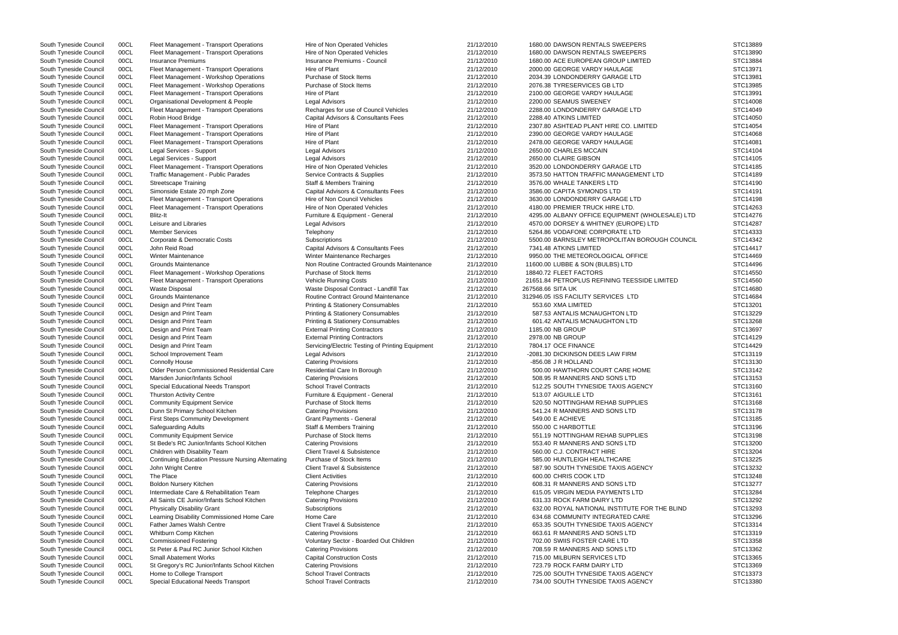South Tyneside Council 00CL Fleet Management - Transport Operations Hire of Non Operated Vehicles 21/12/2010 1680.00 DAWSON RENTALS SWEEPERS South Tyneside Council 00CL Fleet Management - Transport Operations Hire of Plant 21/12/2010 2000.00 GEORGE VARDY HAULAGE South Tyneside Council COOL Fleet Management - Workshop Operations Purchase of Stock Items 21/12/2010 2034.39 LONDONDERRY GARAGE LTD South Tyneside Council COOL Fleet Management - Workshop Operations Purchase of Stock Item South Tyneside Council 00CL Fleet Management - Transport Operations Hire of Plant 21/12/2010 21/12/2010 2100.00 GEORGE VARDY HAULAGE South Tyneside Council 00CL Organisational Development & People Legal Advisors Current 21/12/2010 2200.00 SEAMUS SWEENEY South Tyneside Council 00CL Fleet Management - Transport Operations Recharges for use of Council Vehicles 21/12/2010 2288.00 LONDONDERRY GARAGE LTD South Tyneside Council 00CL Robin Hood Bridge Capital Advisors & Consultants Fees 21/12/2010 2288.40 ATKINS LIMITED South Tyneside Council 00CL Fleet Management - Transport Operations Hire of Plant 21/12/2010 2390.00 GEORGE VARDY HAULAGE South Tyneside Council 00CL Fleet Management - Transport Operations Hire of Plant 21/12/2010 2478.00 GEORGE VARDY HAULAGE South Tyneside Council 00CL Fleet Management - Transport Operations Hire of Non Operated Vehicles 21/12/2010 3520.00 LONDONDERRY GARAGE LTD South Tyneside Council 00CL Streetscape Training Company Staff & Members Training 21/12/2010 3576.00 WHALE TANKERS LTD South Tyneside Council 00CL Simonside Estate 20 mph Zone Capital Advisors & Consultants Fees 21/12/2010 3586.00 CAPITA SYMONDS LTD South Tyneside Council 00CL Fleet Management - Transport Operations Hire of Non Council Vehicles 21/12/2010 3630.00 LONDONDERRY GARAGE LTD South Tyneside Council 00CL Fleet Management - Transport Operations Hire of Non Operated Vehicles 21/12/2010 4180.00 PREMIER TRUCK HIRE LTD. South Tyneside Council 00CL Member Services Telephony Telephony 7 Clement 21/12/2010 5264.86 VODAFONE CORPORATE LTD South Tyneside Council 00CL John Reid Road Capital Advisors & Consultants Fees 21/12/2010 7341.48 ATKINS LIMITED South Tyneside Council 00CL Winter Maintenance Number Maintenance Recharges 21/12/2010 9950.00 THE METEOROLOGICAL OFFICE South Tyneside Council 00CL Grounds Maintenance Non Routine Contracted Grounds Maintenance 21/12/2010 11600.00 LUBBE & SON (BULBS) LTD South Tyneside Council 00CL Fleet Management - Workshop Operations Purchase of Stock Items 21/12/2010 18840.72 FLEET FACTORS South Tyneside Council 00CL Waste Disposal Contract - Landfill Tax 21/12/2010 267568.66 SITA UK South Tyneside Council 00CL Grounds Maintenance and research and Routine Contract Ground Maintenance 21/12/2010 312946.05 ISS FACILITY SERVICES LTD South Tyneside Council 00CL Design and Print Team **Printing & Stationery Consumables** 21/12/2010 553.60 XMA LIMITED South Tyneside Council 00CL Design and Print Team example and Printing & Stationery Consumables 21/12/2010 587.53 ANTALIS MCNAUGHTON LTD South Tyneside Council 00CL Design and Print Team example 21/12/2010 601.42 ANTALIS MCNAUGHTON LTD Stationery Consumables 21/12/2010 601.42 ANTALIS MCNAUGHTON LTD South Tyneside Council 00CL Design and Print Team Servicing/Electric Testing of Printing Equipment 21/12/2010 7804.17 OCE FINANCE South Tyneside Council 00CL School Improvement Team Legal Advisors Legal Advisors 21/12/2010 -2081.30 DICKINSON DEES LAW FIRM South Tyneside Council 00CL Marsden Junior/Infants School Catering Provisions Catering Provisions 21/12/2010 508.95 R MANNERS AND SONS LTD South Tyneside Council 00CL Thurston Activity Centre The Furniture & Equipment - General 21/12/2010 513.07 AIGUILLE LTD South Tyneside Council 00CL Community Equipment Service Purchase of Stock Items 21/12/2010 520.50 NOTTINGHAM REHAB SUPPLIES South Tyneside Council 00CL Dunn St Primary School Kitchen Catering Provisions Catering Provisions 21/12/2010 541.24 R MANNERS AND SONS LTD South Tyneside Council 00CL First Steps Community Development Grant Payments - General 21/12/2010 549.00 E ACHIEVE South Tyneside Council 00CL Community Equipment Service Purchase of Stock Items 21/12/2010 551.19 NOTTINGHAM REHAB SUPPLIES South Tyneside Council 00CL St Bede's RC Junior/Infants School Kitchen Catering Provisions 21/12/2010 553.40 R MANNERS AND SONS LTD South Tyneside Council 00CL Continuing Education Pressure Nursing Alternating Purchase of Stock Items 21/12/2010 585.00 HUNTLEIGH HEALTHCARE South Tyneside Council 00CL Boldon Nursery Kitchen Catering Provisions Catering Provisions 21/12/2010 608.31 R MANNERS AND SONS LTD South Tyneside Council 00CL Intermediate Care & Rehabilitation Team Telephone Charges 21/12/2010 615.05 VIRGIN MEDIA PAYMENTS LTD South Tyneside Council 00CL All Saints CE Junior/Infants School Kitchen Catering Provisions 21/12/2010 631.33 ROCK FARM DAIRY LTD South Tyneside Council 00CL Whitburn Comp Kitchen Catering Provisions Catering Provisions Catering Provisions 21/12/2010 663.61 R MANNERS AND SONS LTD South Tyneside Council 00CL Commissioned Fostering Voluntary Sector - Boarded Out Children 21/12/2010 702.00 SWIIS FOSTER CARE LTD South Tyneside Council 00CL St Peter & Paul RC Junior School Kitchen Catering Provisions 21/12/2010 708.59 R MANNERS AND SONS LTD South Tyneside Council 00CL Small Abatement Works Capital Construction Costs 21/12/2010 715.00 MILBURN SERVICES LTD South Tyneside Council 00CL St Gregory's RC Junior/Infants School Kitchen Catering Provisions 21/12/2010 723.79 ROCK FARM DAIRY LTD South Tyneside Council 00CL Special Educational Needs Transport School Travel Contracts 21/12/2010 734.00 SOUTH TYNESIDE TAXIS AGENCY

South Tyneside Council 00CL Fleet Management - Transport Operations Hire of Non Operated Vehicles 21/12/2010 1680.00 DAWSON RENTALS SWEEPERS South Tyneside Council 00CL Insurance Premiums Material Council Council 21/12/2010 1680.00 ACE EUROPEAN GROUP LIMITED STC13884 OOCL Fleet Management - Workshop Operations Purchase of Stock Items 21/12/2010 2076.38 TYRESERVICES GB LTD South Tyneside Council 00CL Fleet Management - Transport Operations Hire of Plant 21/12/2010 2307.80 ASHTEAD PLANT HIRE CO. LIMITED South Tyneside Council 00CL Legal Services - Support Legal Advisors 21/12/2010 2650.00 CHARLES MCCAIN STC14104 South Tyneside Council 00CL Legal Services - Support Legal Advisors 21/12/2010 2650.00 CLAIRE GIBSON STC14105 South Tyneside Council 00CL Traffic Management - Public Parades Service Contracts & Supplies 21/12/2010 3573.50 HATTON TRAFFIC MANAGEMENT LTD South Tyneside Council 00CL Blitz-It Furniture 3. Equipment - General 21/12/2010 4295.00 ALBANY OFFICE EQUIPMENT (WHOLESALE South Tyneside Council 00CL Leisure and Libraries COUNCILLED And Legal Advisors Council 21/12/2010 4570.00 DORSEY & WHITNEY (EUROPE) LTD South Tyneside Council 00CL Corporate & Democratic Costs Subscriptions Subscriptions 21/12/2010 5500.00 BARNSLEY METROPOLITAN BOROUGH CO South Tyneside Council 00CL Fleet Management - Transport Operations Vehicle Running Costs 21/12/2010 21651.84 PETROPLUS REFINING TEESSIDE LIMITED South Tyneside Council COOCL Design and Print Team External Printing Contractors 21/12/2010 1185.00 NB GROUP STC13697 STC13697 South Tyneside Council COOCL Design and Print Team External Printing Contractors 21/12/2010 2978.00 NB GROUP STC14129 STC14129 South Tyneside Council COOCL Connolly House Catering Provisions Catering Provisions 21/12/2010 -856.08 J R HOLLAND STC13130 South Tyneside Council 00CL Older Person Commissioned Residential Care Residential Care In Borough 21/12/2010 500.00 HAWTHORN COURT CARE HOME South Tyneside Council 00CL Special Educational Needs Transport School Travel Contracts 21/12/2010 512.25 SOUTH TYNESIDE TAXIS AGENCY South Tyneside Council 00CL Safeguarding Adults State Staff & Members Training 21/12/2010 550.00 C HARBOTTLE STC13196 South Tyneside Council 00CL Children with Disability Team Client Travel & Subsistence 21/12/2010 560.00 C.J. CONTRACT HIRE STC13204 South Tyneside Council 00CL John Wright Centre Client Centre Client Travel & Subsistence 21/12/2010 587.90 SOUTH TYNESIDE TAXIS AGENCY South Tyneside Council COOL The Place Council The Place Client Activities 21/12/2010 600.00 CHRIS COOK LTD STC13248 South Tyneside Council 00CL Physically Disability Grant Subscriptions Subscriptions 21/12/2010 632.00 ROYAL NATIONAL INSTITUTE FOR THE BLI South Tyneside Council 00CL Learning Disability Commissioned Home Care Home Care Home Care 21/12/2010 634.68 COMMUNITY INTEGRATED CARE South Tyneside Council 00CL Father James Walsh Centre Client Travel & Subsistence 21/12/2010 653.35 SOUTH TYNESIDE TAXIS AGENCY South Tyneside Council 00CL Home to College Transport School Travel Contracts Contracts 21/12/2010 725.00 SOUTH TYNESIDE TAXIS AGENCY

|               | STC1388              |
|---------------|----------------------|
|               |                      |
|               | STC1389              |
|               | STC1388              |
|               |                      |
|               | STC1397              |
|               | STC1398              |
|               | STC1398              |
|               |                      |
|               | STC1399              |
|               | STC1400              |
|               | STC1404!             |
|               |                      |
|               | STC1405              |
|               | STC1405              |
|               | STC1406              |
|               |                      |
|               | STC1408              |
|               | STC1410 <sub>'</sub> |
|               |                      |
|               | STC1410              |
|               | STC1418              |
|               | STC1418              |
|               |                      |
|               | STC1419              |
|               | STC1419              |
|               | STC1419              |
|               |                      |
|               | STC1426:             |
| E) LTD        | STC1427              |
|               |                      |
|               | STC1428              |
|               | STC1433:             |
| <b>)UNCIL</b> | STC1434              |
|               |                      |
|               | STC1441              |
|               | STC1446              |
|               | STC1449              |
|               |                      |
|               | STC1455              |
|               | STC1456              |
|               |                      |
|               | STC1468              |
|               | STC1468              |
|               | STC1320              |
|               |                      |
|               | STC1322              |
|               | STC1326              |
|               | STC1369              |
|               |                      |
|               | STC1412              |
|               | STC1442              |
|               |                      |
|               | STC1311              |
|               | STC1313              |
|               | STC1314              |
|               |                      |
|               | STC1315              |
|               | STC1316              |
|               |                      |
|               | STC1316              |
|               | STC1316              |
|               | STC1317              |
|               |                      |
|               | STC1318              |
|               | STC1319              |
|               | STC1319              |
|               |                      |
|               | STC1320              |
|               | STC1320              |
|               | STC1322              |
|               |                      |
|               | STC1323              |
|               | STC1324              |
|               |                      |
|               | STC1327              |
|               | STC1328              |
|               | STC1329              |
|               |                      |
| ΙND           | STC1329              |
|               | STC1329              |
|               | STC1331              |
|               |                      |
|               | STC1331              |
|               | STC1335              |
|               |                      |
|               | STC1336              |
|               | STC1336              |
|               | STC1336              |
|               |                      |
|               | STC1337              |
|               | STC1338              |
|               |                      |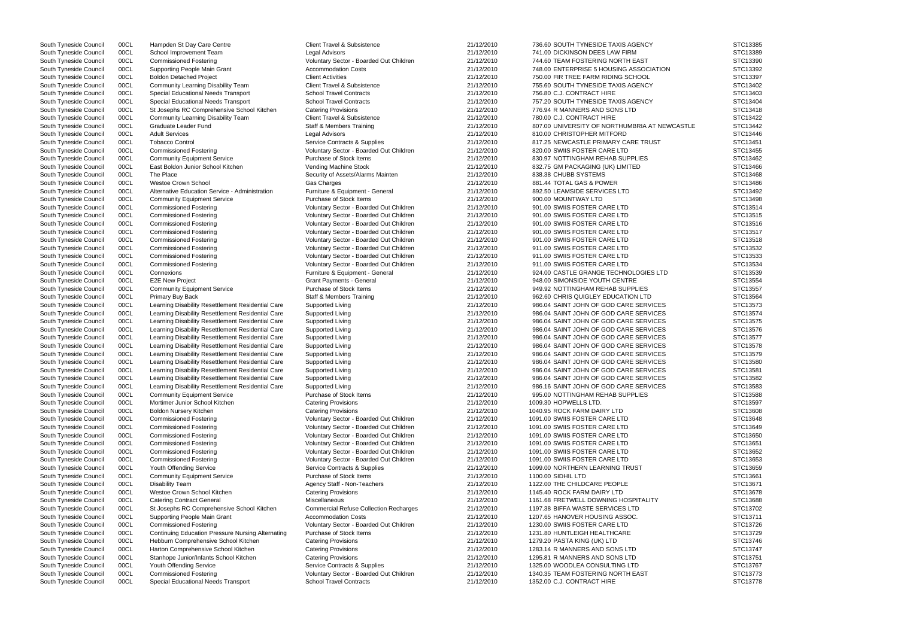| South Tyneside Council | 00CL | Hampden St Day Care Centre                               | <b>Client Travel &amp; Subsistence</b>        | 21/12/2010               | 736.60 SOUTH TYNESIDE TAXIS AGENCY            | STC13385 |
|------------------------|------|----------------------------------------------------------|-----------------------------------------------|--------------------------|-----------------------------------------------|----------|
| South Tyneside Council | 00CL | School Improvement Team                                  | Legal Advisors                                | 21/12/2010               | 741.00 DICKINSON DEES LAW FIRM                | STC13389 |
| South Tyneside Council | 00CL | <b>Commissioned Fostering</b>                            | Voluntary Sector - Boarded Out Children       | 21/12/2010               | 744.60 TEAM FOSTERING NORTH EAST              | STC13390 |
| South Tyneside Council | 00CL | Supporting People Main Grant                             | <b>Accommodation Costs</b>                    | 21/12/2010               | 748.00 ENTERPRISE 5 HOUSING ASSOCIATION       | STC13392 |
| South Tyneside Council | 00CL | <b>Boldon Detached Project</b>                           | <b>Client Activities</b>                      | 21/12/2010               | 750.00 FIR TREE FARM RIDING SCHOOL            | STC13397 |
| South Tyneside Council | 00CL | <b>Community Learning Disability Team</b>                | <b>Client Travel &amp; Subsistence</b>        | 21/12/2010               | 755.60 SOUTH TYNESIDE TAXIS AGENCY            | STC13402 |
| South Tyneside Council | 00CL | Special Educational Needs Transport                      | <b>School Travel Contracts</b>                | 21/12/2010               | 756.80 C.J. CONTRACT HIRE                     | STC13403 |
| South Tyneside Council | 00CL | Special Educational Needs Transport                      | <b>School Travel Contracts</b>                | 21/12/2010               | 757.20 SOUTH TYNESIDE TAXIS AGENCY            | STC13404 |
| South Tyneside Council | 00CL | St Josephs RC Comprehensive School Kitchen               | <b>Catering Provisions</b>                    | 21/12/2010               | 776.94 R MANNERS AND SONS LTD                 | STC13418 |
| South Tyneside Council | 00CL | Community Learning Disability Team                       | <b>Client Travel &amp; Subsistence</b>        | 21/12/2010               | 780.00 C.J. CONTRACT HIRE                     | STC13422 |
| South Tyneside Council | 00CL | Graduate Leader Fund                                     | <b>Staff &amp; Members Training</b>           | 21/12/2010               | 807.00 UNIVERSITY OF NORTHUMBRIA AT NEWCASTLE | STC13442 |
| South Tyneside Council | 00CL | <b>Adult Services</b>                                    | Legal Advisors                                | 21/12/2010               | 810.00 CHRISTOPHER MITFORD                    | STC13446 |
| South Tyneside Council | 00CL | <b>Tobacco Control</b>                                   | Service Contracts & Supplies                  | 21/12/2010               | 817.25 NEWCASTLE PRIMARY CARE TRUST           | STC13451 |
| South Tyneside Council | 00CL | <b>Commissioned Fostering</b>                            | Voluntary Sector - Boarded Out Children       | 21/12/2010               | 820.00 SWIIS FOSTER CARE LTD                  | STC13455 |
| South Tyneside Council | 00CL | <b>Community Equipment Service</b>                       | Purchase of Stock Items                       | 21/12/2010               | 830.97 NOTTINGHAM REHAB SUPPLIES              | STC13462 |
| South Tyneside Council | 00CL | East Boldon Junior School Kitchen                        | Vending Machine Stock                         | 21/12/2010               | 832.75 GM PACKAGING (UK) LIMITED              | STC13466 |
| South Tyneside Council | 00CL | The Place                                                | Security of Assets/Alarms Mainten             | 21/12/2010               | 838.38 CHUBB SYSTEMS                          | STC13468 |
| South Tyneside Council | 00CL | <b>Westoe Crown School</b>                               | <b>Gas Charges</b>                            | 21/12/2010               | 881.44 TOTAL GAS & POWER                      | STC13486 |
| South Tyneside Council | 00CL | Alternative Education Service - Administration           | Furniture & Equipment - General               | 21/12/2010               | 892.50 LEAMSIDE SERVICES LTD                  | STC13492 |
| South Tyneside Council | 00CL | <b>Community Equipment Service</b>                       | Purchase of Stock Items                       | 21/12/2010               | 900.00 MOUNTWAY LTD                           | STC13498 |
| South Tyneside Council | 00CL | <b>Commissioned Fostering</b>                            | Voluntary Sector - Boarded Out Children       | 21/12/2010               | 901.00 SWIIS FOSTER CARE LTD                  | STC13514 |
| South Tyneside Council | 00CL | <b>Commissioned Fostering</b>                            | Voluntary Sector - Boarded Out Children       | 21/12/2010               | 901.00 SWIIS FOSTER CARE LTD                  | STC13515 |
| South Tyneside Council | 00CL | <b>Commissioned Fostering</b>                            | Voluntary Sector - Boarded Out Children       | 21/12/2010               | 901.00 SWIIS FOSTER CARE LTD                  | STC13516 |
| South Tyneside Council | 00CL | <b>Commissioned Fostering</b>                            | Voluntary Sector - Boarded Out Children       | 21/12/2010               | 901.00 SWIIS FOSTER CARE LTD                  | STC13517 |
| South Tyneside Council | 00CL | <b>Commissioned Fostering</b>                            | Voluntary Sector - Boarded Out Children       | 21/12/2010               | 901.00 SWIIS FOSTER CARE LTD                  | STC13518 |
| South Tyneside Council | 00CL | <b>Commissioned Fostering</b>                            | Voluntary Sector - Boarded Out Children       | 21/12/2010               | 911.00 SWIIS FOSTER CARE LTD                  | STC13532 |
| South Tyneside Council | 00CL | <b>Commissioned Fostering</b>                            | Voluntary Sector - Boarded Out Children       | 21/12/2010               | 911.00 SWIIS FOSTER CARE LTD                  | STC13533 |
|                        |      |                                                          |                                               |                          |                                               |          |
| South Tyneside Council | 00CL | <b>Commissioned Fostering</b>                            | Voluntary Sector - Boarded Out Children       | 21/12/2010<br>21/12/2010 | 911.00 SWIIS FOSTER CARE LTD                  | STC13534 |
| South Tyneside Council | 00CL | Connexions                                               | Furniture & Equipment - General               |                          | 924.00 CASTLE GRANGE TECHNOLOGIES LTD         | STC13539 |
| South Tyneside Council | 00CL | <b>E2E New Project</b>                                   | <b>Grant Payments - General</b>               | 21/12/2010               | 948.00 SIMONSIDE YOUTH CENTRE                 | STC13554 |
| South Tyneside Council | 00CL | <b>Community Equipment Service</b>                       | Purchase of Stock Items                       | 21/12/2010               | 949.92 NOTTINGHAM REHAB SUPPLIES              | STC13557 |
| South Tyneside Council | 00CL | Primary Buy Back                                         | Staff & Members Training                      | 21/12/2010               | 962.60 CHRIS QUIGLEY EDUCATION LTD            | STC13564 |
| South Tyneside Council | 00CL | Learning Disability Resettlement Residential Care        | Supported Living                              | 21/12/2010               | 986.04 SAINT JOHN OF GOD CARE SERVICES        | STC13573 |
| South Tyneside Council | 00CL | Learning Disability Resettlement Residential Care        | Supported Living                              | 21/12/2010               | 986.04 SAINT JOHN OF GOD CARE SERVICES        | STC13574 |
| South Tyneside Council | 00CL | Learning Disability Resettlement Residential Care        | Supported Living                              | 21/12/2010               | 986.04 SAINT JOHN OF GOD CARE SERVICES        | STC13575 |
| South Tyneside Council | 00CL | Learning Disability Resettlement Residential Care        | Supported Living                              | 21/12/2010               | 986.04 SAINT JOHN OF GOD CARE SERVICES        | STC13576 |
| South Tyneside Council | 00CL | Learning Disability Resettlement Residential Care        | Supported Living                              | 21/12/2010               | 986.04 SAINT JOHN OF GOD CARE SERVICES        | STC13577 |
| South Tyneside Council | 00CL | Learning Disability Resettlement Residential Care        | Supported Living                              | 21/12/2010               | 986.04 SAINT JOHN OF GOD CARE SERVICES        | STC13578 |
| South Tyneside Council | 00CL | Learning Disability Resettlement Residential Care        | Supported Living                              | 21/12/2010               | 986.04 SAINT JOHN OF GOD CARE SERVICES        | STC13579 |
| South Tyneside Council | 00CL | Learning Disability Resettlement Residential Care        | Supported Living                              | 21/12/2010               | 986.04 SAINT JOHN OF GOD CARE SERVICES        | STC13580 |
| South Tyneside Council | 00CL | Learning Disability Resettlement Residential Care        | Supported Living                              | 21/12/2010               | 986.04 SAINT JOHN OF GOD CARE SERVICES        | STC13581 |
| South Tyneside Council | 00CL | Learning Disability Resettlement Residential Care        | Supported Living                              | 21/12/2010               | 986.04 SAINT JOHN OF GOD CARE SERVICES        | STC13582 |
| South Tyneside Council | 00CL | Learning Disability Resettlement Residential Care        | Supported Living                              | 21/12/2010               | 986.16 SAINT JOHN OF GOD CARE SERVICES        | STC13583 |
| South Tyneside Council | 00CL | <b>Community Equipment Service</b>                       | Purchase of Stock Items                       | 21/12/2010               | 995.00 NOTTINGHAM REHAB SUPPLIES              | STC13588 |
| South Tyneside Council | 00CL | Mortimer Junior School Kitchen                           | <b>Catering Provisions</b>                    | 21/12/2010               | 1009.30 HOPWELLS LTD.                         | STC13597 |
| South Tyneside Council | 00CL | <b>Boldon Nursery Kitchen</b>                            | <b>Catering Provisions</b>                    | 21/12/2010               | 1040.95 ROCK FARM DAIRY LTD                   | STC13608 |
| South Tyneside Council | 00CL | <b>Commissioned Fostering</b>                            | Voluntary Sector - Boarded Out Children       | 21/12/2010               | 1091.00 SWIIS FOSTER CARE LTD                 | STC13648 |
| South Tyneside Council | 00CL | <b>Commissioned Fostering</b>                            | Voluntary Sector - Boarded Out Children       | 21/12/2010               | 1091.00 SWIIS FOSTER CARE LTD                 | STC13649 |
| South Tyneside Council | 00CL | <b>Commissioned Fostering</b>                            | Voluntary Sector - Boarded Out Children       | 21/12/2010               | 1091.00 SWIIS FOSTER CARE LTD                 | STC13650 |
| South Tyneside Council | 00CL | <b>Commissioned Fostering</b>                            | Voluntary Sector - Boarded Out Children       | 21/12/2010               | 1091.00 SWIIS FOSTER CARE LTD                 | STC13651 |
| South Tyneside Council | 00CL | <b>Commissioned Fostering</b>                            | Voluntary Sector - Boarded Out Children       | 21/12/2010               | 1091.00 SWIIS FOSTER CARE LTD                 | STC13652 |
| South Tyneside Council | 00CL | <b>Commissioned Fostering</b>                            | Voluntary Sector - Boarded Out Children       | 21/12/2010               | 1091.00 SWIIS FOSTER CARE LTD                 | STC13653 |
| South Tyneside Council | 00CL |                                                          | Service Contracts & Supplies                  | 21/12/2010               | 1099.00 NORTHERN LEARNING TRUST               | STC13659 |
|                        |      | Youth Offending Service                                  |                                               |                          |                                               |          |
| South Tyneside Council | 00CL | <b>Community Equipment Service</b>                       | Purchase of Stock Items                       | 21/12/2010               | 1100.00 SIDHIL LTD                            | STC13661 |
| South Tyneside Council | 00CL | <b>Disability Team</b>                                   | Agency Staff - Non-Teachers                   | 21/12/2010               | 1122.00 THE CHILDCARE PEOPLE                  | STC13671 |
| South Tyneside Council | 00CL | Westoe Crown School Kitchen                              | <b>Catering Provisions</b>                    | 21/12/2010               | 1145.40 ROCK FARM DAIRY LTD                   | STC13678 |
| South Tyneside Council | 00CL | <b>Catering Contract General</b>                         | Miscellaneous                                 | 21/12/2010               | 1161.68 FRETWELL DOWNING HOSPITALITY          | STC13688 |
| South Tyneside Council | 00CL | St Josephs RC Comprehensive School Kitchen               | <b>Commercial Refuse Collection Recharges</b> | 21/12/2010               | 1197.38 BIFFA WASTE SERVICES LTD              | STC13702 |
| South Tyneside Council | 00CL | Supporting People Main Grant                             | <b>Accommodation Costs</b>                    | 21/12/2010               | 1207.65 HANOVER HOUSING ASSOC.                | STC13711 |
| South Tyneside Council | 00CL | <b>Commissioned Fostering</b>                            | Voluntary Sector - Boarded Out Children       | 21/12/2010               | 1230.00 SWIIS FOSTER CARE LTD                 | STC13726 |
| South Tyneside Council | 00CL | <b>Continuing Education Pressure Nursing Alternating</b> | Purchase of Stock Items                       | 21/12/2010               | 1231.80 HUNTLEIGH HEALTHCARE                  | STC13729 |
| South Tyneside Council | 00CL | Hebburn Comprehensive School Kitchen                     | <b>Catering Provisions</b>                    | 21/12/2010               | 1279.20 PASTA KING (UK) LTD                   | STC13746 |
| South Tyneside Council | 00CL | Harton Comprehensive School Kitchen                      | <b>Catering Provisions</b>                    | 21/12/2010               | 1283.14 R MANNERS AND SONS LTD                | STC13747 |
| South Tyneside Council | 00CL | Stanhope Junior/Infants School Kitchen                   | <b>Catering Provisions</b>                    | 21/12/2010               | 1295.81 R MANNERS AND SONS LTD                | STC13751 |
| South Tyneside Council | 00CL | Youth Offending Service                                  | Service Contracts & Supplies                  | 21/12/2010               | 1325.00 WOODLEA CONSULTING LTD                | STC13767 |
| South Tyneside Council | 00CL | <b>Commissioned Fostering</b>                            | Voluntary Sector - Boarded Out Children       | 21/12/2010               | 1340.35 TEAM FOSTERING NORTH EAST             | STC13773 |
| South Tyneside Council | 00CL | Special Educational Needs Transport                      | <b>School Travel Contracts</b>                | 21/12/2010               | 1352.00 C.J. CONTRACT HIRE                    | STC13778 |
|                        |      |                                                          |                                               |                          |                                               |          |

| × |  |  |
|---|--|--|

|           | STC13385             |
|-----------|----------------------|
|           | STC13389             |
|           | STC13390             |
|           | STC13392             |
|           | STC13397             |
|           | STC13402             |
|           | STC13403             |
|           |                      |
|           | STC13404             |
|           | STC13418             |
| s<br>зT   | C13422               |
|           | STC13442             |
|           | STC13446             |
|           | STC13451             |
|           | STC13455             |
|           | STC13462             |
|           |                      |
|           | STC13466             |
|           | STC13468             |
|           | STC13486             |
|           | STC13492             |
|           | STC13498             |
|           | STC13514             |
|           | STC13515             |
|           |                      |
|           | STC13516             |
|           | STC13517             |
|           | STC13518             |
|           | STC13532             |
|           | STC13533             |
|           | STC13534             |
|           | STC13539             |
| ST        | C13554               |
|           | STC13557             |
|           |                      |
| <b>ST</b> | C13564               |
|           | STC13573             |
|           | STC13574             |
|           |                      |
|           |                      |
| <b>ST</b> | C13575               |
|           | STC13576             |
| <b>ST</b> | C13577               |
|           | STC13578             |
|           | STC13579             |
|           | STC13580             |
|           | STC13581             |
|           | STC13582             |
|           |                      |
| S.        | STC13583             |
| ć         | TC13588              |
| š         | TC13597              |
|           | STC13608             |
|           | STC13648             |
|           | STC13649             |
|           | STC13650             |
| S<br>T    | C13651               |
|           | STC13652             |
|           | STC13653             |
|           |                      |
|           | STC13659             |
| S.        | TC13661              |
| s         | STC13671             |
|           | STC13678             |
|           | STC13688             |
|           | STC13702             |
|           | STC13711             |
| S.<br>T   | C13726               |
|           | STC13729             |
|           |                      |
|           | STC13746             |
|           | STC13747             |
|           | STC13751             |
| ؟<br>š    | TC13767              |
|           | STC13773<br>STC13778 |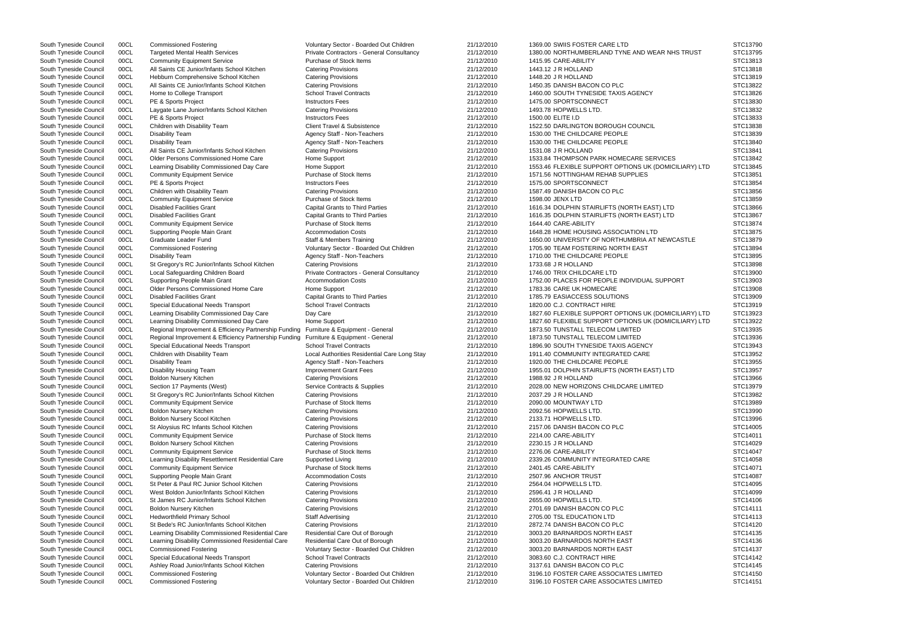| South Tyneside Council                           | 00CL         | <b>Commissioned Fostering</b>                                  | Voluntary Sector - Boarded Out Children                                            | 21/12/2010               | 1369.00 SWIIS FOSTER CARE LTD                                                    | STC13790             |
|--------------------------------------------------|--------------|----------------------------------------------------------------|------------------------------------------------------------------------------------|--------------------------|----------------------------------------------------------------------------------|----------------------|
| South Tyneside Council                           | 00CL         | <b>Targeted Mental Health Services</b>                         | Private Contractors - General Consultancy                                          | 21/12/2010               | 1380.00 NORTHUMBERLAND TYNE AND WEAR NHS TRUST                                   | STC13795             |
| South Tyneside Council                           | 00CL         | <b>Community Equipment Service</b>                             | Purchase of Stock Items                                                            | 21/12/2010               | 1415.95 CARE-ABILITY                                                             | STC13813             |
| South Tyneside Council                           | 00CL         | All Saints CE Junior/Infants School Kitchen                    | <b>Catering Provisions</b>                                                         | 21/12/2010               | 1443.12 J R HOLLAND                                                              | STC13818             |
|                                                  |              |                                                                |                                                                                    |                          |                                                                                  |                      |
| South Tyneside Council                           | 00CL         | Hebburn Comprehensive School Kitchen                           | <b>Catering Provisions</b>                                                         | 21/12/2010               | 1448.20 J R HOLLAND                                                              | STC13819             |
| South Tyneside Council                           | 00CL         | All Saints CE Junior/Infants School Kitchen                    | <b>Catering Provisions</b>                                                         | 21/12/2010               | 1450.35 DANISH BACON CO PLC                                                      | STC13822             |
| South Tyneside Council                           | 00CL         | Home to College Transport                                      | <b>School Travel Contracts</b>                                                     | 21/12/2010               | 1460.00 SOUTH TYNESIDE TAXIS AGENCY                                              | STC13826             |
| South Tyneside Council                           | 00CL         | PE & Sports Project                                            | <b>Instructors Fees</b>                                                            | 21/12/2010               | 1475.00 SPORTSCONNECT                                                            | STC13830             |
| South Tyneside Council                           | 00CL         | Laygate Lane Junior/Infants School Kitchen                     | <b>Catering Provisions</b>                                                         | 21/12/2010               | 1493.78 HOPWELLS LTD.                                                            | STC13832             |
| South Tyneside Council                           | 00CL         | PE & Sports Project                                            | <b>Instructors Fees</b>                                                            | 21/12/2010               | 1500.00 ELITE I.D                                                                | STC13833             |
| South Tyneside Council                           | 00CL         | Children with Disability Team                                  | Client Travel & Subsistence                                                        | 21/12/2010               | 1522.50 DARLINGTON BOROUGH COUNCIL                                               | STC13838             |
|                                                  |              |                                                                |                                                                                    |                          |                                                                                  |                      |
| South Tyneside Council                           | 00CL         | <b>Disability Team</b>                                         | Agency Staff - Non-Teachers                                                        | 21/12/2010               | 1530.00 THE CHILDCARE PEOPLE                                                     | STC13839             |
| South Tyneside Council                           | 00CL         | <b>Disability Team</b>                                         | Agency Staff - Non-Teachers                                                        | 21/12/2010               | 1530.00 THE CHILDCARE PEOPLE                                                     | STC13840             |
| South Tyneside Council                           | 00CL         | All Saints CE Junior/Infants School Kitchen                    | <b>Catering Provisions</b>                                                         | 21/12/2010               | 1531.08 J R HOLLAND                                                              | STC13841             |
| South Tyneside Council                           | 00CL         | Older Persons Commissioned Home Care                           | Home Support                                                                       | 21/12/2010               | 1533.84 THOMPSON PARK HOMECARE SERVICES                                          | STC13842             |
| South Tyneside Council                           | 00CL         | Learning Disability Commissioned Day Care                      | Home Support                                                                       | 21/12/2010               | 1553.46 FLEXIBLE SUPPORT OPTIONS UK (DOMICILIARY) LTD                            | STC13845             |
| South Tyneside Council                           | 00CL         | <b>Community Equipment Service</b>                             | Purchase of Stock Items                                                            | 21/12/2010               | 1571.56 NOTTINGHAM REHAB SUPPLIES                                                | STC13851             |
| South Tyneside Council                           | 00CL         | PE & Sports Project                                            | <b>Instructors Fees</b>                                                            | 21/12/2010               | 1575.00 SPORTSCONNECT                                                            | STC13854             |
| South Tyneside Council                           | 00CL         | Children with Disability Team                                  | <b>Catering Provisions</b>                                                         | 21/12/2010               | 1587.49 DANISH BACON CO PLC                                                      | STC13856             |
|                                                  |              |                                                                |                                                                                    |                          |                                                                                  |                      |
| South Tyneside Council                           | 00CL         | <b>Community Equipment Service</b>                             | Purchase of Stock Items                                                            | 21/12/2010               | 1598.00 JENX LTD                                                                 | STC13859             |
| South Tyneside Council                           | 00CL         | <b>Disabled Facilities Grant</b>                               | <b>Capital Grants to Third Parties</b>                                             | 21/12/2010               | 1616.34 DOLPHIN STAIRLIFTS (NORTH EAST) LTD                                      | STC13866             |
| South Tyneside Council                           | 00CL         | <b>Disabled Facilities Grant</b>                               | <b>Capital Grants to Third Parties</b>                                             | 21/12/2010               | 1616.35 DOLPHIN STAIRLIFTS (NORTH EAST) LTD                                      | STC13867             |
| South Tyneside Council                           | 00CL         | <b>Community Equipment Service</b>                             | Purchase of Stock Items                                                            | 21/12/2010               | 1644.40 CARE-ABILITY                                                             | STC13874             |
| South Tyneside Council                           | 00CL         | Supporting People Main Grant                                   | <b>Accommodation Costs</b>                                                         | 21/12/2010               | 1648.28 HOME HOUSING ASSOCIATION LTD                                             | STC13875             |
| South Tyneside Council                           | 00CL         | Graduate Leader Fund                                           | <b>Staff &amp; Members Training</b>                                                | 21/12/2010               | 1650.00 UNIVERSITY OF NORTHUMBRIA AT NEWCASTLE                                   | STC13879             |
|                                                  |              |                                                                |                                                                                    |                          | 1705.90 TEAM FOSTERING NORTH EAST                                                |                      |
| South Tyneside Council                           | 00CL         | <b>Commissioned Fostering</b>                                  | Voluntary Sector - Boarded Out Children                                            | 21/12/2010               |                                                                                  | STC13894             |
| South Tyneside Council                           | 00CL         | <b>Disability Team</b>                                         | Agency Staff - Non-Teachers                                                        | 21/12/2010               | 1710.00 THE CHILDCARE PEOPLE                                                     | STC13895             |
| South Tyneside Council                           | 00CL         | St Gregory's RC Junior/Infants School Kitchen                  | <b>Catering Provisions</b>                                                         | 21/12/2010               | 1733.68 J R HOLLAND                                                              | STC13898             |
| South Tyneside Council                           | 00CL         | Local Safeguarding Children Board                              | Private Contractors - General Consultancy                                          | 21/12/2010               | 1746.00 TRIX CHILDCARE LTD                                                       | STC13900             |
| South Tyneside Council                           | 00CL         | Supporting People Main Grant                                   | <b>Accommodation Costs</b>                                                         | 21/12/2010               | 1752.00 PLACES FOR PEOPLE INDIVIDUAL SUPPORT                                     | STC13903             |
| South Tyneside Council                           | 00CL         | Older Persons Commissioned Home Care                           | Home Support                                                                       | 21/12/2010               | 1783.36 CARE UK HOMECARE                                                         | STC13908             |
| South Tyneside Council                           | 00CL         | <b>Disabled Facilities Grant</b>                               | <b>Capital Grants to Third Parties</b>                                             | 21/12/2010               | 1785.79 EASIACCESS SOLUTIONS                                                     | STC13909             |
| South Tyneside Council                           | 00CL         | Special Educational Needs Transport                            | <b>School Travel Contracts</b>                                                     | 21/12/2010               | 1820.00 C.J. CONTRACT HIRE                                                       | STC13919             |
|                                                  |              |                                                                |                                                                                    |                          |                                                                                  |                      |
| South Tyneside Council                           | 00CL         | Learning Disability Commissioned Day Care                      | Day Care                                                                           | 21/12/2010               | 1827.60 FLEXIBLE SUPPORT OPTIONS UK (DOMICILIARY) LTD                            | STC13923             |
| South Tyneside Council                           | 00CL         | Learning Disability Commissioned Day Care                      | Home Support                                                                       | 21/12/2010               | 1827.60 FLEXIBLE SUPPORT OPTIONS UK (DOMICILIARY) LTD                            | STC13922             |
| South Tyneside Council                           | 00CL         | Regional Improvement & Efficiency Partnership Funding          | Furniture & Equipment - General                                                    | 21/12/2010               | 1873.50 TUNSTALL TELECOM LIMITED                                                 | STC13935             |
| South Tyneside Council                           | 00CL         | Regional Improvement & Efficiency Partnership Funding          | Furniture & Equipment - General                                                    | 21/12/2010               | 1873.50 TUNSTALL TELECOM LIMITED                                                 | STC13936             |
| South Tyneside Council                           | 00CL         | Special Educational Needs Transport                            | <b>School Travel Contracts</b>                                                     | 21/12/2010               | 1896.90 SOUTH TYNESIDE TAXIS AGENCY                                              | STC13943             |
| South Tyneside Council                           | 00CL         | Children with Disability Team                                  | Local Authorities Residential Care Long Stay                                       | 21/12/2010               | 1911.40 COMMUNITY INTEGRATED CARE                                                | STC13952             |
| South Tyneside Council                           | 00CL         | <b>Disability Team</b>                                         | Agency Staff - Non-Teachers                                                        | 21/12/2010               | 1920.00 THE CHILDCARE PEOPLE                                                     | STC13955             |
| South Tyneside Council                           | 00CL         |                                                                | Improvement Grant Fees                                                             | 21/12/2010               | 1955.01 DOLPHIN STAIRLIFTS (NORTH EAST) LTD                                      | STC13957             |
|                                                  |              | Disability Housing Team                                        |                                                                                    |                          |                                                                                  |                      |
| South Tyneside Council                           | 00CL         | Boldon Nursery Kitchen                                         | <b>Catering Provisions</b>                                                         | 21/12/2010               | 1988.92 J R HOLLAND                                                              | STC13966             |
| South Tyneside Council                           | 00CL         | Section 17 Payments (West)                                     | Service Contracts & Supplies                                                       | 21/12/2010               | 2028.00 NEW HORIZONS CHILDCARE LIMITED                                           | STC13979             |
| South Tyneside Council                           | 00CL         | St Gregory's RC Junior/Infants School Kitchen                  | <b>Catering Provisions</b>                                                         | 21/12/2010               | 2037.29 J R HOLLAND                                                              | STC13982             |
| South Tyneside Council                           | 00CL         | <b>Community Equipment Service</b>                             | Purchase of Stock Items                                                            | 21/12/2010               | 2090.00 MOUNTWAY LTD                                                             | STC13989             |
| South Tyneside Council                           | 00CL         | <b>Boldon Nursery Kitchen</b>                                  | <b>Catering Provisions</b>                                                         | 21/12/2010               | 2092.56 HOPWELLS LTD.                                                            | STC13990             |
| South Tyneside Council                           | 00CL         | Boldon Nursery Scool Kitchen                                   | <b>Catering Provisions</b>                                                         | 21/12/2010               | 2133.71 HOPWELLS LTD.                                                            | STC13996             |
| South Tyneside Council                           | 00CL         | St Aloysius RC Infants School Kitchen                          | <b>Catering Provisions</b>                                                         | 21/12/2010               | 2157.06 DANISH BACON CO PLC                                                      | STC14005             |
|                                                  |              |                                                                |                                                                                    |                          |                                                                                  | STC14011             |
| South Tyneside Council                           | 00CL         | <b>Community Equipment Service</b>                             | Purchase of Stock Items                                                            | 21/12/2010               | 2214.00 CARE-ABILITY                                                             |                      |
| South Tyneside Council                           | 00CL         | Boldon Nursery School Kitchen                                  | <b>Catering Provisions</b>                                                         | 21/12/2010               | 2230.15 J R HOLLAND                                                              | STC14029             |
| South Tyneside Council                           | 00CL         | <b>Community Equipment Service</b>                             | Purchase of Stock Items                                                            | 21/12/2010               | 2276.06 CARE-ABILITY                                                             | STC14047             |
| South Tyneside Council                           | 00CL         | Learning Disability Resettlement Residential Care              | Supported Living                                                                   | 21/12/2010               | 2339.26 COMMUNITY INTEGRATED CARE                                                | STC14058             |
| South Tyneside Council                           | 00CL         | <b>Community Equipment Service</b>                             | Purchase of Stock Items                                                            | 21/12/2010               | 2401.45 CARE-ABILITY                                                             | STC14071             |
| South Tyneside Council                           | 00CL         | Supporting People Main Grant                                   | <b>Accommodation Costs</b>                                                         | 21/12/2010               | 2507.96 ANCHOR TRUST                                                             | STC14087             |
| South Tyneside Council                           | 00CL         | St Peter & Paul RC Junior School Kitchen                       | <b>Catering Provisions</b>                                                         | 21/12/2010               | 2564.04 HOPWELLS LTD.                                                            | STC14095             |
| South Tyneside Council                           | 00CL         | West Boldon Junior/Infants School Kitchen                      | <b>Catering Provisions</b>                                                         | 21/12/2010               | 2596.41 J R HOLLAND                                                              | STC14099             |
|                                                  |              |                                                                |                                                                                    |                          |                                                                                  |                      |
| South Tyneside Council                           | 00CL         | St James RC Junior/Infants School Kitchen                      | <b>Catering Provisions</b>                                                         | 21/12/2010               | 2655.00 HOPWELLS LTD.                                                            | STC14106             |
| South Tyneside Council                           | 00CL         | <b>Boldon Nursery Kitchen</b>                                  | <b>Catering Provisions</b>                                                         | 21/12/2010               | 2701.69 DANISH BACON CO PLC                                                      | STC14111             |
| South Tyneside Council                           | 00CL         | <b>Hedworthfield Primary School</b>                            | <b>Staff Advertising</b>                                                           | 21/12/2010               | 2705.00 TSL EDUCATION LTD                                                        | STC14113             |
| South Tyneside Council                           | 00CL         | St Bede's RC Junior/Infants School Kitchen                     | <b>Catering Provisions</b>                                                         | 21/12/2010               | 2872.74 DANISH BACON CO PLC                                                      | STC14120             |
| South Tyneside Council                           | 00CL         | Learning Disability Commissioned Residential Care              | Residential Care Out of Borough                                                    | 21/12/2010               | 3003.20 BARNARDOS NORTH EAST                                                     | STC14135             |
| South Tyneside Council                           | 00CL         | Learning Disability Commissioned Residential Care              | Residential Care Out of Borough                                                    | 21/12/2010               | 3003.20 BARNARDOS NORTH EAST                                                     | STC14136             |
|                                                  |              |                                                                |                                                                                    | 21/12/2010               |                                                                                  | STC14137             |
|                                                  |              |                                                                |                                                                                    |                          |                                                                                  |                      |
| South Tyneside Council                           | 00CL         | <b>Commissioned Fostering</b>                                  | Voluntary Sector - Boarded Out Children                                            |                          | 3003.20 BARNARDOS NORTH EAST                                                     |                      |
| South Tyneside Council                           | 00CL         | Special Educational Needs Transport                            | <b>School Travel Contracts</b>                                                     | 21/12/2010               | 3083.60 C.J. CONTRACT HIRE                                                       | STC14142             |
| South Tyneside Council                           | 00CL         | Ashley Road Junior/Infants School Kitchen                      | <b>Catering Provisions</b>                                                         | 21/12/2010               | 3137.61 DANISH BACON CO PLC                                                      | STC14145             |
| South Tyneside Council<br>South Tyneside Council | 00CL<br>00CL | <b>Commissioned Fostering</b><br><b>Commissioned Fostering</b> | Voluntary Sector - Boarded Out Children<br>Voluntary Sector - Boarded Out Children | 21/12/2010<br>21/12/2010 | 3196.10 FOSTER CARE ASSOCIATES LIMITED<br>3196.10 FOSTER CARE ASSOCIATES LIMITED | STC14150<br>STC14151 |

|                          | STC13790             |
|--------------------------|----------------------|
| AND WEAR NHS TRUST       | STC13795             |
|                          | STC13813             |
|                          | STC13818             |
|                          | STC13819             |
|                          | STC13822             |
| GENCY                    | STC13826             |
|                          | STC13830             |
|                          | STC13832             |
|                          | STC13833             |
| OUNCIL                   | STC13838             |
|                          | STC13839             |
|                          | STC13840<br>STC13841 |
| <b>ARE SERVICES</b>      | STC13842             |
| INS UK (DOMICILIARY) LTD | STC13845             |
| <b>PLIES</b>             | STC13851             |
|                          | STC13854             |
|                          | STC13856             |
|                          | STC13859             |
| TH EAST) LTD             | STC13866             |
| TH EAST) LTD             | STC13867             |
|                          | STC13874             |
| <b>TION LTD</b>          | STC13875             |
| <b>BRIA AT NEWCASTLE</b> | STC13879             |
| <b>EAST</b>              | STC13894             |
|                          | STC13895             |
|                          | STC13898             |
|                          | STC13900             |
| VIDUAL SUPPORT           | STC13903             |
|                          | STC13908             |
|                          | STC13909             |
|                          | STC13919             |
| NS UK (DOMICILIARY) LTD  | STC13923             |
| INS UK (DOMICILIARY) LTD | STC13922             |
| ED                       | STC13935             |
| ED                       | STC13936             |
| GENCY                    | STC13943             |
| CARE                     | STC13952             |
|                          | STC13955             |
| TH EAST) LTD             | STC13957             |
|                          | STC13966             |
| RE LIMITED               | STC13979             |
|                          | STC13982             |
|                          | STC13989             |
|                          | STC13990             |
|                          | STC13996             |
|                          | STC14005             |
|                          | STC14011             |
|                          | STC14029             |
|                          | STC14047             |
| CARE                     | STC14058             |
|                          | STC14071             |
|                          | STC14087             |
|                          | STC14095             |
|                          | STC14099             |
|                          | STC14106             |
|                          | STC14111             |
|                          | STC14113             |
|                          | STC14120             |
|                          | STC14135             |
|                          | STC14136             |
|                          | STC14137             |
|                          | STC14142             |
|                          | STC14145             |
| S LIMITED                | STC14150             |
| S LIMITED                | STC14151             |
|                          |                      |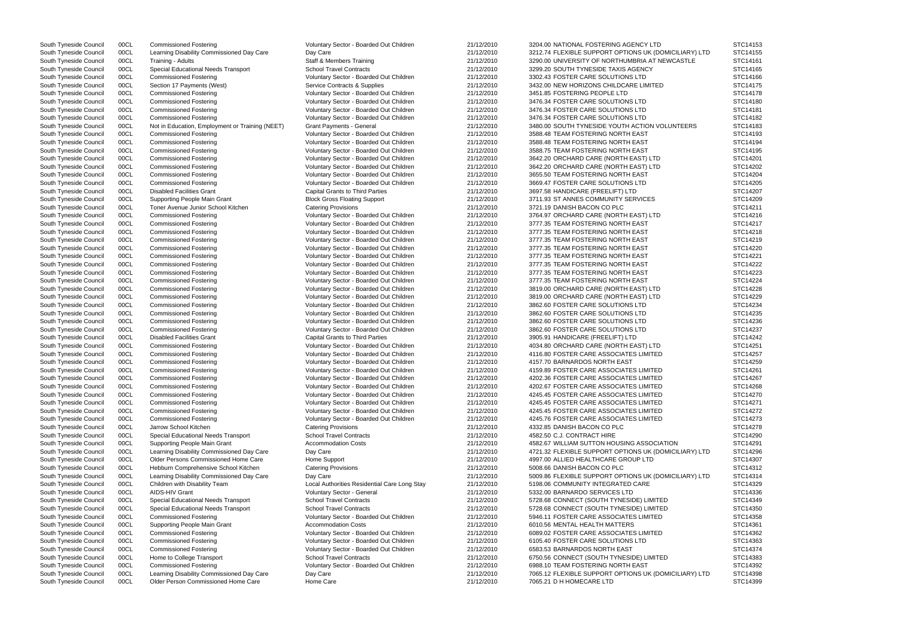South Tyneside Council 00CL Learning Disability Commissioned Day Care Day Care Day Care 21/12/2010 3212.74 FLEXIBLE SUPPORT OPTIONS UK (DOMICIL South Tyneside Council 00CL Training - Adults **Staff & Members Training** 21/12/2010 3290.00 UNIVERSITY OF NORTHUMBRIA AT NEWCA South Tyneside Council 00CL Special Educational Needs Transport School Travel Contracts 21/12/2010 3299.20 SOUTH TYNESIDE TAXIS AGENCY South Tyneside Council 00CL Commissioned Fostering Voluntary Sector - Boarded Out Children 21/12/2010 3302.43 FOSTER CARE SOLUTIONS LTD South Tyneside Council 00CL Section 17 Payments (West) Service Contracts & Supplies 21/12/2010 3432.00 NEW HORIZONS CHILDCARE LIMITED South Tyneside Council 00CL Commissioned Fostering values of Voluntary Sector - Boarded Out Children 21/12/2010 3451.85 FOSTERING PEOPLE LTD South Tyneside Council 00CL Commissioned Fostering Voluntary Sector - Boarded Out Children 21/12/2010 3476.34 FOSTER CARE SOLUTIONS LTD South Tyneside Council 00CL Commissioned Fostering Voluntary Sector - Boarded Out Children 21/12/2010 3476.34 FOSTER CARE SOLUTIONS LTD South Tyneside Council 00CL Commissioned Fostering Voluntary Sector - Boarded Out Children 21/12/2010 3476.34 FOSTER CARE SOLUTIONS LTD South Tyneside Council 00CL Not in Education, Employment or Training (NEET) Grant Payments - General 21/12/2010 3480.00 SOUTH TYNESIDE YOUTH ACTION VOLUNT South Tyneside Council 00CL Commissioned Fostering values of Voluntary Sector - Boarded Out Children 21/12/2010 3588.48 TEAM FOSTERING NORTH EAST South Tyneside Council Corporation Commissioned Fostering and Moteration and Voluntary Sector - Boarded Out Children 21/12/2010 3588.48 TEAM FOSTERING NORTH EAST State of Commissioned Fostering Corporation of Children Stat South Tyneside Council 00CL Commissioned Fostering The Voluntary Sector - Boarded Out Children 21/12/2010 3588.75 TEAM FOSTERING NORTH EAST South Tyneside Council 00CL Commissioned Fostering Voluntary Sector - Boarded Out Children 21/12/2010 3642.20 ORCHARD CARE (NORTH EAST) LTD South Tyneside Council 00CL Commissioned Fostering vanculation voluntary Sector - Boarded Out Children 21/12/2010 3642.20 ORCHARD CARE (NORTH EAST) LTD South Tyneside Council 00CL Commissioned Fostering vanculation volunta South Tyneside Council 00CL Commissioned Fostering Voluntary Sector - Boarded Out Children 21/12/2010 3655.50 TEAM FOSTERING NORTH EAST South Tyneside Council 00CL Commissioned Fostering variable voluntary Sector - Boarded Out Children 21/12/2010 3669.47 FOSTER CARE SOLUTIONS LTD South Tyneside Council 00CL Disabled Facilities Grant Capital Grants to Third Parties 21/12/2010 3697.58 HANDICARE (FREELIFT) LTD South Tyneside Council 00CL Supporting People Main Grant Block Gross Floating Support 21/12/2010 3711.93 ST ANNES COMMUNITY SERVICES South Tyneside Council 00CL Toner Avenue Junior School Kitchen Catering Provisions 21/12/2010 3721.19 DANISH BACON CO PLC South Tyneside Council 00CL Commissioned Fostering Voluntary Sector - Boarded Out Children 21/12/2010 3764.97 ORCHARD CARE (NORTH EAST) LTD South Tyneside Council 00CL Commissioned Fostering The Step of Voluntary Sector - Boarded Out Children 21/12/2010 3777.35 TEAM FOSTERING NORTH EAST South Tyneside Council 00CL Commissioned Fostering Voluntary Sector - Boarded Out Children 21/12/2010 3777.35 TEAM FOSTERING NORTH EAST South Tyneside Council 00CL Commissioned Fostering Voluntary Sector - Boarded Out Children 21/12/2010 3777.35 TEAM FOSTERING NORTH EAST South Tyneside Council 00CL Commissioned Fostering The Step of Voluntary Sector - Boarded Out Children 21/12/2010 3777.35 TEAM FOSTERING NORTH EAST South Tyneside Council 00CL Commissioned Fostering verally voluntary Sector - Boarded Out Children 21/12/2010 3777.35 TEAM FOSTERING NORTH EAST South Tyneside Council 00CL Commissioned Fostering The Voluntary Sector - Boarded Out Children 21/12/2010 3777.35 TEAM FOSTERING NORTH EAST South Tyneside Council 00CL Commissioned Fostering The Voluntary Sector - Boarded Out Children 21/12/2010 3777.35 TEAM FOSTERING NORTH EAST South Tyneside Council 00CL Commissioned Fostering Voluntary Sector - Boarded Out Children 21/12/2010 3777.35 TEAM FOSTERING NORTH EAST South Tyneside Council 00CL Commissioned Fostering Voluntary Sector - Boarded Out Children 21/12/2010 3819.00 ORCHARD CARE (NORTH EAST) LTD South Tyneside Council 00CL Commissioned Fostering Voluntary Sector - Boarded Out Children 21/12/2010 3819.00 ORCHARD CARE (NORTH EAST) LTD South Tyneside Council 00CL Commissioned Fostering verbation of Voluntary Sector - Boarded Out Children 21/12/2010 3862.60 FOSTER CARE SOLUTIONS LTD South Tyneside Council 00CL Commissioned Fostering variable voluntary Sector - Boarded Out Children 21/12/2010 3862.60 FOSTER CARE SOLUTIONS LTD South Tyneside Council 00CL Commissioned Fostering Voluntary Sector - Boarded Out Children 21/12/2010 3862.60 FOSTER CARE SOLUTIONS LTD South Tyneside Council 00CL Commissioned Fostering Voluntary Sector - Boarded Out Children 21/12/2010 3862.60 FOSTER CARE SOLUTIONS LTD South Tyneside Council 00CL Disabled Facilities Grant Capital Grants to Third Parties 21/12/2010 3905.91 HANDICARE (FREELIFT) LTD South Tyneside Council 00CL Commissioned Fostering Voluntary Sector - Boarded Out Children 21/12/2010 4034.80 ORCHARD CARE (NORTH EAST) LTD South Tyneside Council 00CL Commissioned Fostering versus voluntary Sector - Boarded Out Children 21/12/2010 4116.80 FOSTER CARE ASSOCIATES LIMITED South Tyneside Council 00CL Commissioned Fostering Commissioned Fostering Voluntary Sector - Boarded Out Children 21/12/2010 4157.70 BARNARDOS NORTH EAST South Tyneside Council 00CL Commissioned Fostering values and Voluntary Sector - Boarded Out Children 21/12/2010 4159.89 FOSTER CARE ASSOCIATES LIMITED South Tyneside Council 00CL Commissioned Fostering values and Voluntar South Tyneside Council 00CL Commissioned Fostering variable voluntary Sector - Boarded Out Children 21/12/2010 4202.36 FOSTER CARE ASSOCIATES LIMITED South Tyneside Council 00CL Commissioned Fostering versus voluntary Sector - Boarded Out Children 21/12/2010 4202.67 FOSTER CARE ASSOCIATES LIMITED South Tyneside Council 00Cl Commissioned Fostering versus Voluntary Sector South Tyneside Council 00CL Commissioned Fostering values and Voluntary Sector - Boarded Out Children 21/12/2010 4245.45 FOSTER CARE ASSOCIATES LIMITED South Tyneside Council 00CL Commissioned Fostering values Voluntary Se South Tyneside Council 00CL Commissioned Fostering Voluntary Sector - Boarded Out Children 21/12/2010 4245.45 FOSTER CARE ASSOCIATES LIMITED South Tyneside Council 00CL Commissioned Fostering values of Voluntary Sector - Boarded Out Children 21/12/2010 4245.45 FOSTER CARE ASSOCIATES LIMITED South Tyneside Council 00CL Commissioned Fostering values and Voluntary South Tyneside Council 00CL Commissioned Fostering versus voluntary Sector - Boarded Out Children 21/12/2010 4245.76 FOSTER CARE ASSOCIATES LIMITED South Tyneside Council 00CL Jarrow School Kitchen Catering Provisions Catering Provisions 21/12/2010 4332.85 DANISH BACON CO PLC South Tyneside Council 00CL Special Educational Needs Transport School Travel Contracts 21/12/2010 4582.50 C.J. CONTRACT HIRE South Tyneside Council 00CL Supporting People Main Grant Accommodation Costs 21/12/2010 4582.67 WILLIAM SUTTON HOUSING ASSOCIATION South Tyneside Council 00CL Learning Disability Commissioned Day Care Day Care Day Care 21/12/2010 4721.32 FLEXIBLE SUPPORT OPTIONS UK (DOMICIL South Tyneside Council 00CL Older Persons Commissioned Home Care Home Support 21/12/2010 4997.00 ALLIED HEALTHCARE GROUP LTD South Tyneside Council 00CL Hebburn Comprehensive School Kitchen Catering Provisions 21/12/2010 5008.66 DANISH BACON CO PLC South Tyneside Council 00CL Learning Disability Commissioned Day Care Day Care Day Care 21/12/2010 5009.86 FLEXIBLE SUPPORT OPTIONS UK (DOMICIL South Tyneside Council 00CL Children with Disability Team Local Authorities Residential Care Long Stay 21/12/2010 5198.06 COMMUNITY INTEGRATED CARE South Tyneside Council 00CL AIDS-HIV Grant Cancel 2001 Voluntary Sector - General 21/12/2010 5332.00 BARNARDO SERVICES LTD South Tyneside Council 00CL Special Educational Needs Transport School Travel Contracts 21/12/2010 5728.68 CONNECT (SOUTH TYNESIDE) LIMITED South Tyneside Council 00CL Special Educational Needs Transport School Travel Contracts 21/12/2010 5728.68 CONNECT (SOUTH TYNESIDE) LIMITED South Tyneside Council 00CL Commissioned Fostering voluntary Sector - Boarded Out Children 21/12/2010 5946.11 FOSTER CARE ASSOCIATES LIMITED South Tyneside Council 00CL Supporting People Main Grant Accommodation Costs 21/12/2010 6010.56 MENTAL HEALTH MATTERS South Tyneside Council 00CL Commissioned Fostering variable voluntary Sector - Boarded Out Children 21/12/2010 6089.02 FOSTER CARE ASSOCIATES LIMITED South Tyneside Council 00CL Commissioned Fostering Voluntary Sector - Boarded Out Children 21/12/2010 6105.40 FOSTER CARE SOLUTIONS LTD South Tyneside Council 00CL Commissioned Fostering Commissioned Fostering Voluntary Sector - Boarded Out Children 21/12/2010 6583.53 BARNARDOS NORTH EAST South Tyneside Council 00CL Home to College Transport School Travel Contracts Contracts 21/12/2010 6750.56 CONNECT (SOUTH TYNESIDE) LIMITED South Tyneside Council 00CL Commissioned Fostering Voluntary Sector - Boarded Out Children 21/12/2010 6988.10 TEAM FOSTERING NORTH EAST South Tyneside Council 00CL Learning Disability Commissioned Day Care Day Care Day Care 21/12/2010 7065.12 FLEXIBLE SUPPORT OPTIONS UK (DOMICIL South Tyneside Council 00CL Older Person Commissioned Home Care Home Care 1999 Home Care 21/12/2010 7065.21 D H HOMECARE LTD

South Tyneside Council 00CL Commissioned Fostering Voluntary Sector - Boarded Out Children 21/12/2010 3204.00 NATIONAL FOSTERING AGENCY LTD

|              | STC14153             |
|--------------|----------------------|
| LIARY) LTD   | STC14155             |
| <b>\STLE</b> | STC14161<br>STC14165 |
|              | STC14166             |
|              | STC14175             |
|              | STC14178             |
|              | STC14180             |
|              | STC14181             |
|              | STC14182             |
| TEERS        | STC14183<br>STC14193 |
|              | STC14194             |
|              | STC14195             |
|              | STC14201             |
|              | STC14202             |
|              | STC14204<br>STC14205 |
|              | STC14207             |
|              | STC14209             |
|              | STC14211             |
|              | STC14216             |
|              | STC14217             |
|              | STC14218             |
|              | STC14219<br>STC14220 |
|              | STC14221             |
|              | STC14222             |
|              | STC14223             |
|              | STC14224             |
|              | STC14228<br>STC14229 |
|              | STC14234             |
|              | STC14235             |
|              | STC14236             |
|              | STC14237             |
|              | STC14242<br>STC14251 |
|              | STC14257             |
|              | STC14259             |
|              | STC14261             |
|              | STC<br>14267         |
|              | STC14268<br>STC14270 |
|              | STC14271             |
|              | STC14272             |
|              | STC14273             |
|              | STC14278             |
|              | STC14290<br>STC14291 |
| LIARY) LTD   | STC14296             |
|              | STC14307             |
|              | STC14312             |
| LIARY) LTD   | STC14314             |
|              | STC14329<br>STC14336 |
|              | STC14349             |
|              | STC14350             |
|              | STC14358             |
|              | STC14361             |
|              | STC14362<br>STC14363 |
|              | STC14374             |
|              | STC14383             |
|              | STC14392             |
| LIARY) LTD   | STC14398             |
|              | STC14399             |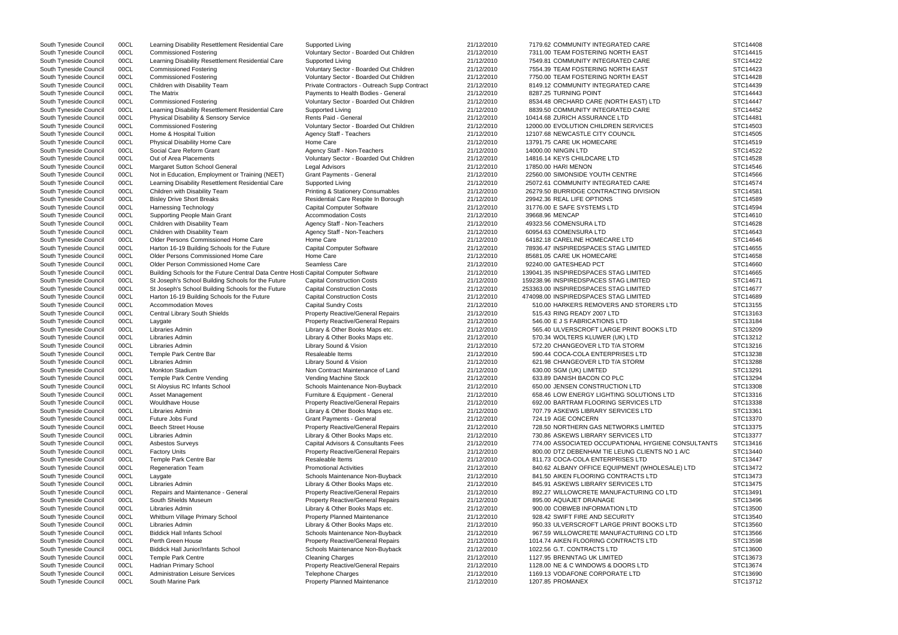| South Tyneside Council | 00CL | Learning Disability Resettlement Residential Care                                   | Supported Living                             | 21/12/2010               | 7179.62 COMMUNITY INTEGRATED CARE                  | STC14408 |
|------------------------|------|-------------------------------------------------------------------------------------|----------------------------------------------|--------------------------|----------------------------------------------------|----------|
| South Tyneside Council | 00CL | <b>Commissioned Fostering</b>                                                       | Voluntary Sector - Boarded Out Children      | 21/12/2010               | 7311.00 TEAM FOSTERING NORTH EAST                  | STC14415 |
| South Tyneside Council | 00CL | Learning Disability Resettlement Residential Care                                   | Supported Living                             | 21/12/2010               | 7549.81 COMMUNITY INTEGRATED CARE                  | STC14422 |
| South Tyneside Council | 00CL | <b>Commissioned Fostering</b>                                                       | Voluntary Sector - Boarded Out Children      | 21/12/2010               | 7554.39 TEAM FOSTERING NORTH EAST                  | STC14423 |
| South Tyneside Council | 00CL | <b>Commissioned Fostering</b>                                                       | Voluntary Sector - Boarded Out Children      | 21/12/2010               | 7750.00 TEAM FOSTERING NORTH EAST                  | STC14428 |
| South Tyneside Council | 00CL | Children with Disability Team                                                       | Private Contractors - Outreach Supp Contract | 21/12/2010               | 8149.12 COMMUNITY INTEGRATED CARE                  | STC14439 |
| South Tyneside Council | 00CL | The Matrix                                                                          | Payments to Health Bodies - General          | 21/12/2010               | 8287.25 TURNING POINT                              | STC14443 |
| South Tyneside Council | 00CL | <b>Commissioned Fostering</b>                                                       | Voluntary Sector - Boarded Out Children      | 21/12/2010               | 8534.48 ORCHARD CARE (NORTH EAST) LTD              | STC14447 |
| South Tyneside Council | 00CL | Learning Disability Resettlement Residential Care                                   | Supported Living                             | 21/12/2010               | 8839.50 COMMUNITY INTEGRATED CARE                  | STC14452 |
| South Tyneside Council | 00CL | Physical Disability & Sensory Service                                               | Rents Paid - General                         | 21/12/2010               | 10414.68 ZURICH ASSURANCE LTD                      | STC14481 |
| South Tyneside Council | 00CL | <b>Commissioned Fostering</b>                                                       | Voluntary Sector - Boarded Out Children      | 21/12/2010               | 12000.00 EVOLUTION CHILDREN SERVICES               | STC14503 |
| South Tyneside Council | 00CL | Home & Hospital Tuition                                                             | Agency Staff - Teachers                      | 21/12/2010               | 12107.68 NEWCASTLE CITY COUNCIL                    | STC14505 |
| South Tyneside Council | 00CL | Physical Disability Home Care                                                       | Home Care                                    | 21/12/2010               | 13791.75 CARE UK HOMECARE                          | STC14519 |
| South Tyneside Council | 00CL | Social Care Reform Grant                                                            | Agency Staff - Non-Teachers                  | 21/12/2010               | 14000.00 NINGIN LTD                                | STC14522 |
| South Tyneside Council | 00CL | Out of Area Placements                                                              | Voluntary Sector - Boarded Out Children      | 21/12/2010               | 14816.14 KEYS CHILDCARE LTD                        | STC14528 |
| South Tyneside Council | 00CL | Margaret Sutton School General                                                      | <b>Legal Advisors</b>                        | 21/12/2010               | 17850.00 HARI MENON                                | STC14546 |
| South Tyneside Council | 00CL | Not in Education, Employment or Training (NEET)                                     | <b>Grant Payments - General</b>              | 21/12/2010               | 22560.00 SIMONSIDE YOUTH CENTRE                    | STC14566 |
| South Tyneside Council | 00CL | Learning Disability Resettlement Residential Care                                   | Supported Living                             | 21/12/2010               | 25072.61 COMMUNITY INTEGRATED CARE                 | STC14574 |
| South Tyneside Council | 00CL | Children with Disability Team                                                       | <b>Printing &amp; Stationery Consumables</b> | 21/12/2010               | 26279.50 BURRIDGE CONTRACTING DIVISION             | STC14581 |
| South Tyneside Council | 00CL | <b>Bisley Drive Short Breaks</b>                                                    | Residential Care Respite In Borough          | 21/12/2010               | 29942.36 REAL LIFE OPTIONS                         | STC14589 |
| South Tyneside Council | 00CL | Harnessing Technology                                                               | <b>Capital Computer Software</b>             | 21/12/2010               | 31776.00 E SAFE SYSTEMS LTD                        | STC14594 |
| South Tyneside Council | 00CL | Supporting People Main Grant                                                        | <b>Accommodation Costs</b>                   | 21/12/2010               | 39668.96 MENCAP                                    | STC14610 |
| South Tyneside Council | 00CL | Children with Disability Team                                                       | Agency Staff - Non-Teachers                  | 21/12/2010               | 49323.56 COMENSURA LTD                             | STC14628 |
| South Tyneside Council | 00CL | Children with Disability Team                                                       | Agency Staff - Non-Teachers                  | 21/12/2010               | 60954.63 COMENSURA LTD                             | STC14643 |
| South Tyneside Council | 00CL | Older Persons Commissioned Home Care                                                | Home Care                                    | 21/12/2010               | 64182.18 CARELINE HOMECARE LTD                     | STC14646 |
| South Tyneside Council | 00CL | Harton 16-19 Building Schools for the Future                                        | <b>Capital Computer Software</b>             | 21/12/2010               | 78936.47 INSPIREDSPACES STAG LIMITED               | STC14655 |
| South Tyneside Council | 00CL | Older Persons Commissioned Home Care                                                | Home Care                                    | 21/12/2010               | 85681.05 CARE UK HOMECARE                          | STC14658 |
| South Tyneside Council | 00CL | Older Person Commissioned Home Care                                                 | Seamless Care                                | 21/12/2010               | 92240.00 GATESHEAD PCT                             | STC14660 |
| South Tyneside Council | 00CL | Building Schools for the Future Central Data Centre Hosti Capital Computer Software |                                              | 21/12/2010               | 139041.35 INSPIREDSPACES STAG LIMITED              | STC14665 |
| South Tyneside Council | 00CL | St Joseph's School Building Schools for the Future                                  | <b>Capital Construction Costs</b>            | 21/12/2010               | 159238.96 INSPIREDSPACES STAG LIMITED              | STC14671 |
| South Tyneside Council | 00CL | St Joseph's School Building Schools for the Future                                  | <b>Capital Construction Costs</b>            | 21/12/2010               | 253363.00 INSPIREDSPACES STAG LIMITED              | STC14677 |
| South Tyneside Council | 00CL | Harton 16-19 Building Schools for the Future                                        | <b>Capital Construction Costs</b>            | 21/12/2010               | 474098.00 INSPIREDSPACES STAG LIMITED              | STC14689 |
| South Tyneside Council | 00CL | <b>Accommodation Moves</b>                                                          | <b>Capital Sundry Costs</b>                  | 21/12/2010               | 510.00 HARKERS REMOVERS AND STORERS LTD            | STC13155 |
| South Tyneside Council | 00CL | Central Library South Shields                                                       | <b>Property Reactive/General Repairs</b>     | 21/12/2010               | 515.43 RING READY 2007 LTD                         | STC13163 |
| South Tyneside Council | 00CL | Laygate                                                                             | Property Reactive/General Repairs            | 21/12/2010               | 546.00 E J S FABRICATIONS LTD                      | STC13184 |
| South Tyneside Council | 00CL | Libraries Admin                                                                     | Library & Other Books Maps etc.              | 21/12/2010               | 565.40 ULVERSCROFT LARGE PRINT BOOKS LTD           | STC13209 |
| South Tyneside Council | 00CL | Libraries Admin                                                                     | Library & Other Books Maps etc.              | 21/12/2010               | 570.34 WOLTERS KLUWER (UK) LTD                     | STC13212 |
| South Tyneside Council | 00CL | Libraries Admin                                                                     | Library Sound & Vision                       | 21/12/2010               | 572.20 CHANGEOVER LTD T/A STORM                    | STC13216 |
| South Tyneside Council | 00CL | Temple Park Centre Bar                                                              | Resaleable Items                             | 21/12/2010               | 590.44 COCA-COLA ENTERPRISES LTD                   | STC13238 |
| South Tyneside Council | 00CL | Libraries Admin                                                                     | Library Sound & Vision                       | 21/12/2010               | 621.98 CHANGEOVER LTD T/A STORM                    | STC13288 |
| South Tyneside Council | 00CL | <b>Monkton Stadium</b>                                                              | Non Contract Maintenance of Land             | 21/12/2010               | 630.00 SGM (UK) LIMITED                            | STC13291 |
| South Tyneside Council | 00CL | Temple Park Centre Vending                                                          | Vending Machine Stock                        | 21/12/2010               | 633.89 DANISH BACON CO PLC                         | STC13294 |
| South Tyneside Council | 00CL | St Aloysius RC Infants School                                                       | Schools Maintenance Non-Buyback              | 21/12/2010               | 650.00 JENSEN CONSTRUCTION LTD                     | STC13308 |
| South Tyneside Council | 00CL | Asset Management                                                                    | Furniture & Equipment - General              | 21/12/2010               | 658.46 LOW ENERGY LIGHTING SOLUTIONS LTD           | STC13316 |
| South Tyneside Council | 00CL | Wouldhave House                                                                     | Property Reactive/General Repairs            | 21/12/2010               | 692.00 BARTRAM FLOORING SERVICES LTD               | STC13338 |
| South Tyneside Council | 00CL | Libraries Admin                                                                     | Library & Other Books Maps etc.              | 21/12/2010               | 707.79 ASKEWS LIBRARY SERVICES LTD                 | STC13361 |
| South Tyneside Council | 00CL | Future Jobs Fund                                                                    | Grant Payments - General                     | 21/12/2010               | 724.19 AGE CONCERN                                 | STC13370 |
| South Tyneside Council | 00CL | <b>Beech Street House</b>                                                           | <b>Property Reactive/General Repairs</b>     | 21/12/2010               | 728.50 NORTHERN GAS NETWORKS LIMITED               | STC13375 |
| South Tyneside Council | 00CL | Libraries Admin                                                                     | Library & Other Books Maps etc.              | 21/12/2010               | 730.86 ASKEWS LIBRARY SERVICES LTD                 | STC13377 |
| South Tyneside Council | 00CL | <b>Asbestos Surveys</b>                                                             | Capital Advisors & Consultants Fees          | 21/12/2010               | 774.00 ASSOCIATED OCCUPATIONAL HYGIENE CONSULTANTS | STC13416 |
| South Tyneside Council | 00CL | <b>Factory Units</b>                                                                | Property Reactive/General Repairs            | 21/12/2010               | 800.00 DTZ DEBENHAM TIE LEUNG CLIENTS NO 1 A/C     | STC13440 |
| South Tyneside Council | 00CL | Temple Park Centre Bar                                                              | Resaleable Items                             | 21/12/2010               | 811.73 COCA-COLA ENTERPRISES LTD                   | STC13447 |
| South Tyneside Council | 00CL | <b>Regeneration Team</b>                                                            | <b>Promotional Activities</b>                | 21/12/2010               | 840.62 ALBANY OFFICE EQUIPMENT (WHOLESALE) LTD     | STC13472 |
|                        |      |                                                                                     | Schools Maintenance Non-Buyback              |                          | 841.50 AIKEN FLOORING CONTRACTS LTD                | STC13473 |
| South Tyneside Council | 00CL | Laygate<br>Libraries Admin                                                          |                                              | 21/12/2010<br>21/12/2010 | 845.91 ASKEWS LIBRARY SERVICES LTD                 | STC13475 |
| South Tyneside Council | 00CL |                                                                                     | Library & Other Books Maps etc.              |                          |                                                    |          |
| South Tyneside Council | 00CL | Repairs and Maintenance - General                                                   | <b>Property Reactive/General Repairs</b>     | 21/12/2010               | 892.27 WILLOWCRETE MANUFACTURING CO LTD            | STC13491 |
| South Tyneside Council | 00CL | South Shields Museum                                                                | <b>Property Reactive/General Repairs</b>     | 21/12/2010               | 895.00 AQUAJET DRAINAGE                            | STC13496 |
| South Tyneside Council | 00CL | Libraries Admin                                                                     | Library & Other Books Maps etc.              | 21/12/2010               | 900.00 COBWEB INFORMATION LTD                      | STC13500 |
| South Tyneside Council | 00CL | Whitburn Village Primary School                                                     | <b>Property Planned Maintenance</b>          | 21/12/2010               | 928.42 SWIFT FIRE AND SECURITY                     | STC13540 |
| South Tyneside Council | 00CL | Libraries Admin                                                                     | Library & Other Books Maps etc.              | 21/12/2010               | 950.33 ULVERSCROFT LARGE PRINT BOOKS LTD           | STC13560 |
| South Tyneside Council | 00CL | <b>Biddick Hall Infants School</b>                                                  | Schools Maintenance Non-Buyback              | 21/12/2010               | 967.59 WILLOWCRETE MANUFACTURING CO LTD            | STC13566 |
| South Tyneside Council | 00CL | Perth Green House                                                                   | <b>Property Reactive/General Repairs</b>     | 21/12/2010               | 1014.74 AIKEN FLOORING CONTRACTS LTD               | STC13598 |
| South Tyneside Council | 00CL | <b>Biddick Hall Junior/Infants School</b>                                           | Schools Maintenance Non-Buyback              | 21/12/2010               | 1022.56 G.T. CONTRACTS LTD                         | STC13600 |
| South Tyneside Council | 00CL | <b>Temple Park Centre</b>                                                           | <b>Cleaning Charges</b>                      | 21/12/2010               | 1127.95 BRENNTAG UK LIMITED                        | STC13673 |
| South Tyneside Council | 00CL | <b>Hadrian Primary School</b>                                                       | <b>Property Reactive/General Repairs</b>     | 21/12/2010               | 1128.00 NE & C WINDOWS & DOORS LTD                 | STC13674 |
| South Tyneside Council | 00CL | <b>Administration Leisure Services</b>                                              | <b>Telephone Charges</b>                     | 21/12/2010               | 1169.13 VODAFONE CORPORATE LTD                     | STC13690 |
| South Tyneside Council | 00CL | South Marine Park                                                                   | Property Planned Maintenance                 | 21/12/2010               | 1207.85 PROMANEX                                   | STC13712 |

| 21/12/2010 | 7179.62 COMMUNITY INTEGRATED CARE        |
|------------|------------------------------------------|
| 21/12/2010 | 7311.00 TEAM FOSTERING NORTH EAST        |
| 21/12/2010 | 7549.81 COMMUNITY INTEGRATED CARE        |
| 21/12/2010 | 7554.39 TEAM FOSTERING NORTH EAST        |
| 21/12/2010 | 7750.00 TEAM FOSTERING NORTH EAST        |
| 21/12/2010 | 8149.12 COMMUNITY INTEGRATED CARE        |
| 21/12/2010 | 8287.25 TURNING POINT                    |
| 21/12/2010 | 8534.48 ORCHARD CARE (NORTH EAST) LTD    |
| 21/12/2010 | 8839.50 COMMUNITY INTEGRATED CARE        |
| 21/12/2010 | 10414.68 ZURICH ASSURANCE LTD            |
| 21/12/2010 | 12000.00 EVOLUTION CHILDREN SERVICES     |
| 21/12/2010 | 12107.68 NEWCASTLE CITY COUNCIL          |
| 21/12/2010 | 13791.75 CARE UK HOMECARE                |
| 21/12/2010 | 14000.00 NINGIN LTD                      |
| 21/12/2010 | 14816.14 KEYS CHILDCARE LTD              |
|            | 17850.00 HARI MENON                      |
| 21/12/2010 |                                          |
| 21/12/2010 | 22560.00 SIMONSIDE YOUTH CENTRE          |
| 21/12/2010 | 25072.61 COMMUNITY INTEGRATED CARE       |
| 21/12/2010 | 26279.50 BURRIDGE CONTRACTING DIVISION   |
| 21/12/2010 | 29942.36 REAL LIFE OPTIONS               |
| 21/12/2010 | 31776.00 E SAFE SYSTEMS LTD              |
| 21/12/2010 | 39668.96 MENCAP                          |
| 21/12/2010 | 49323.56 COMENSURA LTD                   |
| 21/12/2010 | 60954.63 COMENSURA LTD                   |
| 21/12/2010 | 64182.18 CARELINE HOMECARE LTD           |
| 21/12/2010 | 78936.47 INSPIREDSPACES STAG LIMITED     |
| 21/12/2010 | 85681.05 CARE UK HOMECARE                |
| 21/12/2010 | 92240.00 GATESHEAD PCT                   |
| 21/12/2010 | 139041.35 INSPIREDSPACES STAG LIMITED    |
| 21/12/2010 | 159238.96 INSPIREDSPACES STAG LIMITED    |
| 21/12/2010 | 253363.00 INSPIREDSPACES STAG LIMITED    |
| 21/12/2010 | 474098.00 INSPIREDSPACES STAG LIMITED    |
| 21/12/2010 | 510.00 HARKERS REMOVERS AND STORERS LT   |
| 21/12/2010 | 515.43 RING READY 2007 LTD               |
| 21/12/2010 | 546.00 E J S FABRICATIONS LTD            |
| 21/12/2010 | 565.40 ULVERSCROFT LARGE PRINT BOOKS LT  |
| 21/12/2010 | 570.34 WOLTERS KLUWER (UK) LTD           |
| 21/12/2010 | 572.20 CHANGEOVER LTD T/A STORM          |
| 21/12/2010 | 590.44 COCA-COLA ENTERPRISES LTD         |
| 21/12/2010 | 621.98 CHANGEOVER LTD T/A STORM          |
| 21/12/2010 | 630.00 SGM (UK) LIMITED                  |
| 21/12/2010 | 633.89 DANISH BACON CO PLC               |
| 21/12/2010 | 650.00 JENSEN CONSTRUCTION LTD           |
| 21/12/2010 | 658.46 LOW ENERGY LIGHTING SOLUTIONS LTD |
| 21/12/2010 | 692.00 BARTRAM FLOORING SERVICES LTD     |
| 21/12/2010 | 707.79 ASKEWS LIBRARY SERVICES LTD       |
| 21/12/2010 | 724.19 AGE CONCERN                       |
| 21/12/2010 | 728.50 NORTHERN GAS NETWORKS LIMITED     |
| 21/12/2010 | 730.86 ASKEWS LIBRARY SERVICES LTD       |
| 21/12/2010 | 774.00 ASSOCIATED OCCUPATIONAL HYGIENE   |
| 21/12/2010 | 800.00 DTZ DEBENHAM TIE LEUNG CLIENTS NO |
| 21/12/2010 | 811.73 COCA-COLA ENTERPRISES LTD         |
| 21/12/2010 | 840.62 ALBANY OFFICE EQUIPMENT (WHOLESA  |
| 21/12/2010 | 841.50 AIKEN FLOORING CONTRACTS LTD      |
| 21/12/2010 | 845.91 ASKEWS LIBRARY SERVICES LTD       |
| 21/12/2010 | 892.27 WILLOWCRETE MANUFACTURING CO LT   |
| 21/12/2010 | 895.00 AQUAJET DRAINAGE                  |
| 21/12/2010 | 900.00 COBWEB INFORMATION LTD            |
| 21/12/2010 | 928.42 SWIFT FIRE AND SECURITY           |
| 21/12/2010 | 950.33 ULVERSCROFT LARGE PRINT BOOKS LT  |
| 21/12/2010 | 967.59 WILLOWCRETE MANUFACTURING CO LT   |
| 21/12/2010 | 1014.74 AIKEN FLOORING CONTRACTS LTD     |
| 21/12/2010 | 1022.56 G.T. CONTRACTS LTD               |
| 21/12/2010 | 1127.95 BRENNTAG UK LIMITED              |
| 21/12/2010 | 1128.00 NE & C WINDOWS & DOORS LTD       |
| 21/12/2010 | 1169.13 VODAFONE CORPORATE LTD           |
| 21/12/2010 | 1207.85 PROMANEX                         |

|                  | STC14408             |
|------------------|----------------------|
|                  | STC14415             |
|                  | STC14422             |
|                  | STC14423             |
|                  | STC14428             |
|                  | STC14439             |
|                  | STC14443             |
|                  | STC14447             |
|                  | STC14452             |
|                  | STC14481             |
|                  | STC14503             |
|                  | STC14505<br>STC14519 |
|                  | STC14522             |
|                  | STC14528             |
|                  | STC14546             |
|                  | STC14566             |
|                  | STC14574             |
|                  | STC14581             |
|                  | STC14589             |
|                  | STC14594             |
|                  | STC14610<br>STC14628 |
|                  | STC14643             |
|                  | STC14646             |
|                  | STC14655             |
|                  | STC14658             |
|                  | STC14660             |
|                  | STC14665             |
|                  | STC14671<br>STC14677 |
|                  | STC14689             |
|                  | STC13155             |
|                  | STC13163             |
|                  | STC13184             |
|                  | STC13209             |
|                  | STC13212             |
|                  | STC13216<br>STC13238 |
|                  | STC13288             |
|                  | STC13291             |
|                  | STC13294             |
|                  | STC13308             |
|                  | STC13316             |
|                  | STC13338             |
|                  | STC13361             |
|                  | STC13370<br>STC13375 |
|                  | STC13377             |
| <b>NSULTANTS</b> | STC13416             |
| A/C              | STC13440             |
|                  | STC13447             |
| ) LTD            | STC13472             |
|                  | STC13473<br>STC13475 |
|                  | STC13491             |
|                  | STC13496             |
|                  | STC13500             |
|                  | STC13540             |
|                  | STC13560             |
|                  | STC13566             |
|                  | STC13598<br>STC13600 |
|                  | STC13673             |
|                  | STC13674             |
|                  | STC13690             |
|                  | STC13712             |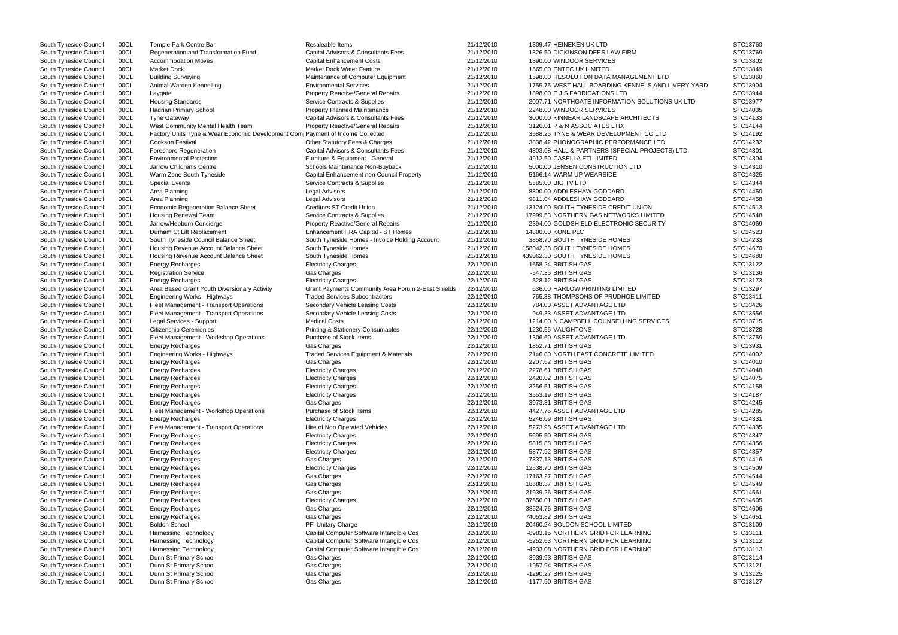| South Tyneside Council | 00CL | Temple Park Centre Bar                                                         | Resaleable Items                                   | 21/12/2010 | 1309.47 HEINEKEN UK LTD                            | STC13760 |
|------------------------|------|--------------------------------------------------------------------------------|----------------------------------------------------|------------|----------------------------------------------------|----------|
| South Tyneside Council | 00CL | Regeneration and Transformation Fund                                           | Capital Advisors & Consultants Fees                | 21/12/2010 | 1326.50 DICKINSON DEES LAW FIRM                    | STC13769 |
| South Tyneside Council | 00CL | <b>Accommodation Moves</b>                                                     | <b>Capital Enhancement Costs</b>                   | 21/12/2010 | 1390.00 WINDOOR SERVICES                           | STC13802 |
| South Tyneside Council | 00CL | <b>Market Dock</b>                                                             | <b>Market Dock Water Feature</b>                   | 21/12/2010 | 1565.00 ENTEC UK LIMITED                           | STC13849 |
|                        |      |                                                                                |                                                    |            |                                                    | STC13860 |
| South Tyneside Council | 00CL | <b>Building Surveying</b>                                                      | Maintenance of Computer Equipment                  | 21/12/2010 | 1598.00 RESOLUTION DATA MANAGEMENT LTD             |          |
| South Tyneside Council | 00CL | Animal Warden Kennelling                                                       | <b>Environmental Services</b>                      | 21/12/2010 | 1755.75 WEST HALL BOARDING KENNELS AND LIVERY YARD | STC13904 |
| South Tyneside Council | 00CL | Laygate                                                                        | <b>Property Reactive/General Repairs</b>           | 21/12/2010 | 1898.00 E J S FABRICATIONS LTD                     | STC13944 |
| South Tyneside Council | 00CL | <b>Housing Standards</b>                                                       | Service Contracts & Supplies                       | 21/12/2010 | 2007.71 NORTHGATE INFORMATION SOLUTIONS UK LTD     | STC13977 |
| South Tyneside Council | 00CL | Hadrian Primary School                                                         | <b>Property Planned Maintenance</b>                | 21/12/2010 | 2248.00 WINDOOR SERVICES                           | STC14035 |
| South Tyneside Council | 00CL | <b>Tyne Gateway</b>                                                            | Capital Advisors & Consultants Fees                | 21/12/2010 | 3000.00 KINNEAR LANDSCAPE ARCHITECTS               | STC14133 |
| South Tyneside Council | 00CL | West Community Mental Health Team                                              | <b>Property Reactive/General Repairs</b>           | 21/12/2010 | 3126.01 P & N ASSOCIATES LTD.                      | STC14144 |
|                        |      |                                                                                |                                                    |            |                                                    |          |
| South Tyneside Council | 00CL | Factory Units Tyne & Wear Economic Development Com Payment of Income Collected |                                                    | 21/12/2010 | 3588.25 TYNE & WEAR DEVELOPMENT CO LTD             | STC14192 |
| South Tyneside Council | 00CL | <b>Cookson Festival</b>                                                        | Other Statutory Fees & Charges                     | 21/12/2010 | 3838.42 PHONOGRAPHIC PERFORMANCE LTD               | STC14232 |
| South Tyneside Council | 00CL | Foreshore Regeneration                                                         | Capital Advisors & Consultants Fees                | 21/12/2010 | 4803.08 HALL & PARTNERS (SPECIAL PROJECTS) LTD     | STC14301 |
| South Tyneside Council | 00CL | <b>Environmental Protection</b>                                                | Furniture & Equipment - General                    | 21/12/2010 | 4912.50 CASELLA ETI LIMITED                        | STC14304 |
| South Tyneside Council | 00CL | Jarrow Children's Centre                                                       | Schools Maintenance Non-Buyback                    | 21/12/2010 | 5000.00 JENSEN CONSTRUCTION LTD                    | STC14310 |
| South Tyneside Council | 00CL | Warm Zone South Tyneside                                                       | Capital Enhancement non Council Property           | 21/12/2010 | 5166.14 WARM UP WEARSIDE                           | STC14325 |
|                        |      |                                                                                |                                                    |            |                                                    |          |
| South Tyneside Council | 00CL | <b>Special Events</b>                                                          | Service Contracts & Supplies                       | 21/12/2010 | 5585.00 BIG TV LTD                                 | STC14344 |
| South Tyneside Council | 00CL | Area Planning                                                                  | <b>Legal Advisors</b>                              | 21/12/2010 | 8800.00 ADDLESHAW GODDARD                          | STC14450 |
| South Tyneside Council | 00CL | Area Planning                                                                  | <b>Legal Advisors</b>                              | 21/12/2010 | 9311.04 ADDLESHAW GODDARD                          | STC14458 |
| South Tyneside Council | 00CL | <b>Economic Regeneration Balance Sheet</b>                                     | <b>Creditors ST Credit Union</b>                   | 21/12/2010 | 13124.00 SOUTH TYNESIDE CREDIT UNION               | STC14513 |
| South Tyneside Council | 00CL | Housing Renewal Team                                                           | Service Contracts & Supplies                       | 21/12/2010 | 17999.53 NORTHERN GAS NETWORKS LIMITED             | STC14548 |
| South Tyneside Council | 00CL | Jarrow/Hebburn Concierge                                                       | <b>Property Reactive/General Repairs</b>           | 21/12/2010 | 2394.00 GOLDSHIELD ELECTRONIC SECURITY             | STC14069 |
|                        |      |                                                                                |                                                    |            |                                                    |          |
| South Tyneside Council | 00CL | Durham Ct Lift Replacement                                                     | Enhancement HRA Capital - ST Homes                 | 21/12/2010 | 14300.00 KONE PLC                                  | STC14523 |
| South Tyneside Council | 00CL | South Tyneside Council Balance Sheet                                           | South Tyneside Homes - Invoice Holding Account     | 21/12/2010 | 3858.70 SOUTH TYNESIDE HOMES                       | STC14233 |
| South Tyneside Council | 00CL | Housing Revenue Account Balance Sheet                                          | South Tyneside Homes                               | 21/12/2010 | 158042.38 SOUTH TYNESIDE HOMES                     | STC14670 |
| South Tyneside Council | 00CL | Housing Revenue Account Balance Sheet                                          | South Tyneside Homes                               | 21/12/2010 | 439062.30 SOUTH TYNESIDE HOMES                     | STC14688 |
| South Tyneside Council | 00CL | <b>Energy Recharges</b>                                                        | <b>Electricity Charges</b>                         | 22/12/2010 | -1658.24 BRITISH GAS                               | STC13122 |
|                        |      |                                                                                |                                                    | 22/12/2010 | -547.35 BRITISH GAS                                | STC13136 |
| South Tyneside Council | 00CL | <b>Registration Service</b>                                                    | Gas Charges                                        |            |                                                    |          |
| South Tyneside Council | 00CL | <b>Energy Recharges</b>                                                        | <b>Electricity Charges</b>                         | 22/12/2010 | 528.12 BRITISH GAS                                 | STC13173 |
| South Tyneside Council | 00CL | Area Based Grant Youth Diversionary Activity                                   | Grant Payments Community Area Forum 2-East Shields | 22/12/2010 | 636.00 HARLOW PRINTING LIMITED                     | STC13297 |
| South Tyneside Council | 00CL | <b>Engineering Works - Highways</b>                                            | <b>Traded Services Subcontractors</b>              | 22/12/2010 | 765.38 THOMPSONS OF PRUDHOE LIMITED                | STC13411 |
| South Tyneside Council | 00CL | Fleet Management - Transport Operations                                        | Secondary Vehicle Leasing Costs                    | 22/12/2010 | 784.00 ASSET ADVANTAGE LTD                         | STC13426 |
| South Tyneside Council | 00CL | Fleet Management - Transport Operations                                        | Secondary Vehicle Leasing Costs                    | 22/12/2010 | 949.33 ASSET ADVANTAGE LTD                         | STC13556 |
| South Tyneside Council | 00CL | Legal Services - Support                                                       | <b>Medical Costs</b>                               | 22/12/2010 | 1214.00 N CAMPBELL COUNSELLING SERVICES            | STC13715 |
|                        |      |                                                                                |                                                    |            |                                                    |          |
| South Tyneside Council | 00CL | <b>Citizenship Ceremonies</b>                                                  | <b>Printing &amp; Stationery Consumables</b>       | 22/12/2010 | 1230.56 VAUGHTONS                                  | STC13728 |
| South Tyneside Council | 00CL | Fleet Management - Workshop Operations                                         | Purchase of Stock Items                            | 22/12/2010 | 1306.60 ASSET ADVANTAGE LTD                        | STC13759 |
| South Tyneside Council | 00CL | <b>Energy Recharges</b>                                                        | <b>Gas Charges</b>                                 | 22/12/2010 | 1852.71 BRITISH GAS                                | STC13931 |
| South Tyneside Council | 00CL | Engineering Works - Highways                                                   | <b>Traded Services Equipment &amp; Materials</b>   | 22/12/2010 | 2146.80 NORTH EAST CONCRETE LIMITED                | STC14002 |
| South Tyneside Council | 00CL | <b>Energy Recharges</b>                                                        | Gas Charges                                        | 22/12/2010 | 2207.62 BRITISH GAS                                | STC14010 |
| South Tyneside Council |      | <b>Energy Recharges</b>                                                        |                                                    | 22/12/2010 | 2278.61 BRITISH GAS                                | STC14048 |
|                        | 00CL |                                                                                | <b>Electricity Charges</b>                         |            |                                                    |          |
| South Tyneside Council | 00CL | Energy Recharges                                                               | <b>Electricity Charges</b>                         | 22/12/2010 | 2420.02 BRITISH GAS                                | STC14075 |
| South Tyneside Council | 00CL | <b>Energy Recharges</b>                                                        | <b>Electricity Charges</b>                         | 22/12/2010 | 3256.51 BRITISH GAS                                | STC14158 |
| South Tyneside Council | 00CL | <b>Energy Recharges</b>                                                        | <b>Electricity Charges</b>                         | 22/12/2010 | 3553.19 BRITISH GAS                                | STC14187 |
| South Tyneside Council | 00CL | <b>Energy Recharges</b>                                                        | Gas Charges                                        | 22/12/2010 | 3973.31 BRITISH GAS                                | STC14245 |
| South Tyneside Council | 00CL | Fleet Management - Workshop Operations                                         | Purchase of Stock Items                            | 22/12/2010 | 4427.75 ASSET ADVANTAGE LTD                        | STC14285 |
|                        |      |                                                                                |                                                    |            |                                                    |          |
| South Tyneside Council | 00CL | <b>Energy Recharges</b>                                                        | <b>Electricity Charges</b>                         | 22/12/2010 | 5246.09 BRITISH GAS                                | STC14331 |
| South Tyneside Council | 00CL | Fleet Management - Transport Operations                                        | Hire of Non Operated Vehicles                      | 22/12/2010 | 5273.98 ASSET ADVANTAGE LTD                        | STC14335 |
| South Tyneside Council | 00CL | <b>Energy Recharges</b>                                                        | <b>Electricity Charges</b>                         | 22/12/2010 | 5695.50 BRITISH GAS                                | STC14347 |
| South Tyneside Council | 00CL | <b>Energy Recharges</b>                                                        | <b>Electricity Charges</b>                         | 22/12/2010 | 5815.88 BRITISH GAS                                | STC14356 |
| South Tyneside Council | 00CL | <b>Energy Recharges</b>                                                        | <b>Electricity Charges</b>                         | 22/12/2010 | 5877.92 BRITISH GAS                                | STC14357 |
|                        |      |                                                                                |                                                    | 22/12/2010 | 7337.13 BRITISH GAS                                | STC14416 |
| South Tyneside Council | 00CL | <b>Energy Recharges</b>                                                        | Gas Charges                                        |            |                                                    |          |
| South Tyneside Council | 00CL | <b>Energy Recharges</b>                                                        | <b>Electricity Charges</b>                         | 22/12/2010 | 12538.70 BRITISH GAS                               | STC14509 |
| South Tyneside Council | 00CL | <b>Energy Recharges</b>                                                        | Gas Charges                                        | 22/12/2010 | 17163.27 BRITISH GAS                               | STC14544 |
| South Tyneside Council | 00CL | <b>Energy Recharges</b>                                                        | Gas Charges                                        | 22/12/2010 | 18688.37 BRITISH GAS                               | STC14549 |
| South Tyneside Council | 00CL | <b>Energy Recharges</b>                                                        | Gas Charges                                        | 22/12/2010 | 21939.26 BRITISH GAS                               | STC14561 |
| South Tyneside Council | 00CL | <b>Energy Recharges</b>                                                        | <b>Electricity Charges</b>                         | 22/12/2010 | 37656.01 BRITISH GAS                               | STC14605 |
|                        |      |                                                                                |                                                    |            |                                                    |          |
| South Tyneside Council | 00CL | <b>Energy Recharges</b>                                                        | Gas Charges                                        | 22/12/2010 | 38524.76 BRITISH GAS                               | STC14606 |
| South Tyneside Council | 00CL | <b>Energy Recharges</b>                                                        | Gas Charges                                        | 22/12/2010 | 74053.82 BRITISH GAS                               | STC14651 |
| South Tyneside Council | 00CL | <b>Boldon School</b>                                                           | PFI Unitary Charge                                 | 22/12/2010 | -20460.24 BOLDON SCHOOL LIMITED                    | STC13109 |
| South Tyneside Council | 00CL | Harnessing Technology                                                          | Capital Computer Software Intangible Cos           | 22/12/2010 | -8983.15 NORTHERN GRID FOR LEARNING                | STC13111 |
| South Tyneside Council | 00CL | <b>Harnessing Technology</b>                                                   | Capital Computer Software Intangible Cos           | 22/12/2010 | -5252.63 NORTHERN GRID FOR LEARNING                | STC13112 |
| South Tyneside Council | 00CL | Harnessing Technology                                                          | Capital Computer Software Intangible Cos           | 22/12/2010 | -4933.08 NORTHERN GRID FOR LEARNING                | STC13113 |
|                        |      |                                                                                |                                                    |            |                                                    |          |
| South Tyneside Council | 00CL | Dunn St Primary School                                                         | Gas Charges                                        | 22/12/2010 | -3939.93 BRITISH GAS                               | STC13114 |
| South Tyneside Council | 00CL | Dunn St Primary School                                                         | Gas Charges                                        | 22/12/2010 | -1957.94 BRITISH GAS                               | STC13121 |
| South Tyneside Council | 00CL | Dunn St Primary School                                                         | Gas Charges                                        | 22/12/2010 | -1290.27 BRITISH GAS                               | STC13125 |
| South Tyneside Council | 00CL | Dunn St Primary School                                                         | Gas Charges                                        | 22/12/2010 | -1177.90 BRITISH GAS                               | STC13127 |
|                        |      |                                                                                |                                                    |            |                                                    |          |

| <b>RY YARD</b><br>< LTD | STC13760<br>STC13769<br>STC13802<br>STC13849<br>STC13860<br>STC13904<br>STC13944<br>STC13977<br>STC14035<br>STC14133<br>STC14144<br>STC14192<br>STC14232                                                                                                                                                                                                                                                                                                                                                                                                                                                                                                             |
|-------------------------|----------------------------------------------------------------------------------------------------------------------------------------------------------------------------------------------------------------------------------------------------------------------------------------------------------------------------------------------------------------------------------------------------------------------------------------------------------------------------------------------------------------------------------------------------------------------------------------------------------------------------------------------------------------------|
| TD                      | STC14301<br>STC14304<br>STC14310<br>STC14325<br>STC14344<br>STC14450<br>STC14458<br>STC14513<br>STC14548<br>STC14069<br>STC14523<br>STC14233<br>STC14670<br>STC14688<br>STC13122<br>STC13136<br>STC13173<br>STC13297<br>STC13411<br>STC13426<br>STC13556<br>STC13715<br>STC13728<br>STC13759<br>STC13931<br>STC14002<br>STC14010<br>STC14048<br>STC14075<br>STC14158<br>STC14187<br>STC14245<br>STC14285<br>STC14331<br>STC14335<br>STC14347<br>STC14356<br>STC14357<br>STC14416<br>STC14509<br>STC14544<br>STC14549<br>STC14561<br>STC14605<br>STC14606<br>STC14651<br>STC13109<br>STC13111<br>STC13112<br>STC13113<br>STC13114<br>STC13121<br>STC13125<br>STC13127 |
|                         |                                                                                                                                                                                                                                                                                                                                                                                                                                                                                                                                                                                                                                                                      |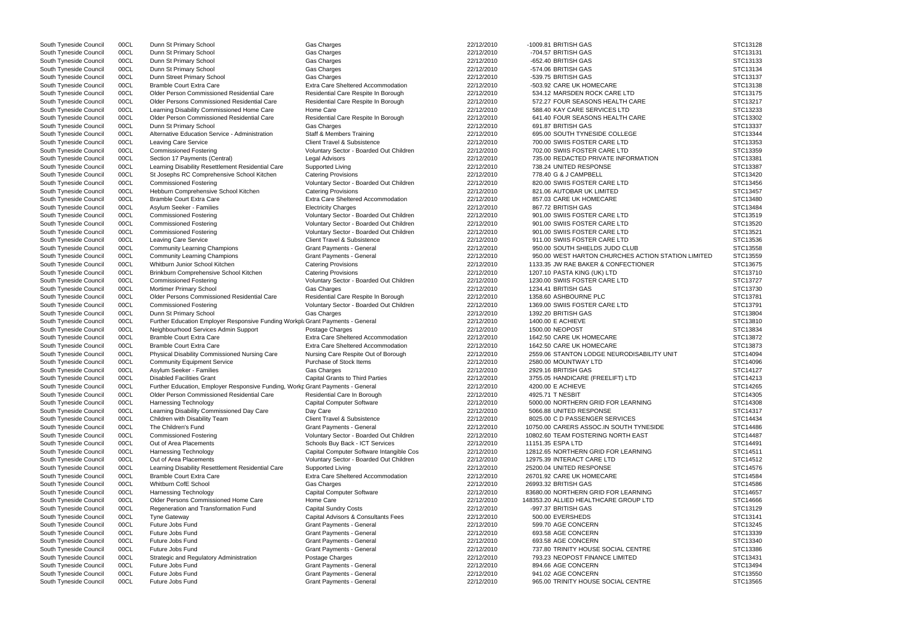| South Tyneside Council | 00CL | Dunn St Primary School                                                         | Gas Charges                               | 22/12/2010 | -1009.81 BRITISH GAS                               | STC13128 |
|------------------------|------|--------------------------------------------------------------------------------|-------------------------------------------|------------|----------------------------------------------------|----------|
| South Tyneside Council | 00CL | Dunn St Primary School                                                         | Gas Charges                               | 22/12/2010 | -704.57 BRITISH GAS                                | STC13131 |
| South Tyneside Council | 00CL | Dunn St Primary School                                                         | Gas Charges                               | 22/12/2010 | -652.40 BRITISH GAS                                | STC13133 |
| South Tyneside Council | 00CL | Dunn St Primary School                                                         | Gas Charges                               | 22/12/2010 | -574.06 BRITISH GAS                                | STC13134 |
| South Tyneside Council | 00CL | Dunn Street Primary School                                                     | Gas Charges                               | 22/12/2010 | -539.75 BRITISH GAS                                | STC13137 |
| South Tyneside Council | 00CL | <b>Bramble Court Extra Care</b>                                                | Extra Care Sheltered Accommodation        | 22/12/2010 | -503.92 CARE UK HOMECARE                           | STC13138 |
| South Tyneside Council | 00CL | Older Person Commissioned Residential Care                                     | Residential Care Respite In Borough       | 22/12/2010 | 534.12 MARSDEN ROCK CARE LTD                       | STC13175 |
|                        |      |                                                                                |                                           |            |                                                    | STC13217 |
| South Tyneside Council | 00CL | <b>Older Persons Commissioned Residential Care</b>                             | Residential Care Respite In Borough       | 22/12/2010 | 572.27 FOUR SEASONS HEALTH CARE                    |          |
| South Tyneside Council | 00CL | Learning Disability Commissioned Home Care                                     | Home Care                                 | 22/12/2010 | 588.40 KAY CARE SERVICES LTD                       | STC13233 |
| South Tyneside Council | 00CL | Older Person Commissioned Residential Care                                     | Residential Care Respite In Borough       | 22/12/2010 | 641.40 FOUR SEASONS HEALTH CARE                    | STC13302 |
| South Tyneside Council | 00CL | Dunn St Primary School                                                         | Gas Charges                               | 22/12/2010 | 691.87 BRITISH GAS                                 | STC13337 |
| South Tyneside Council | 00CL | Alternative Education Service - Administration                                 | Staff & Members Training                  | 22/12/2010 | 695.00 SOUTH TYNESIDE COLLEGE                      | STC13344 |
| South Tyneside Council | 00CL | Leaving Care Service                                                           | <b>Client Travel &amp; Subsistence</b>    | 22/12/2010 | 700.00 SWIIS FOSTER CARE LTD                       | STC13353 |
| South Tyneside Council | 00CL | <b>Commissioned Fostering</b>                                                  | Voluntary Sector - Boarded Out Children   | 22/12/2010 | 702.00 SWIIS FOSTER CARE LTD                       | STC13359 |
| South Tyneside Council | 00CL | Section 17 Payments (Central)                                                  | Legal Advisors                            | 22/12/2010 | 735.00 REDACTED PRIVATE INFORMATION                | STC13381 |
| South Tyneside Council | 00CL | Learning Disability Resettlement Residential Care                              | Supported Living                          | 22/12/2010 | 738.24 UNITED RESPONSE                             | STC13387 |
| South Tyneside Council | 00CL | St Josephs RC Comprehensive School Kitchen                                     | <b>Catering Provisions</b>                | 22/12/2010 | 778.40 G & J CAMPBELL                              | STC13420 |
| South Tyneside Council | 00CL | <b>Commissioned Fostering</b>                                                  | Voluntary Sector - Boarded Out Children   | 22/12/2010 | 820.00 SWIIS FOSTER CARE LTD                       | STC13456 |
| South Tyneside Council | 00CL | Hebburn Comprehensive School Kitchen                                           | <b>Catering Provisions</b>                | 22/12/2010 | 821.06 AUTOBAR UK LIMITED                          | STC13457 |
|                        |      |                                                                                | Extra Care Sheltered Accommodation        | 22/12/2010 |                                                    |          |
| South Tyneside Council | 00CL | <b>Bramble Court Extra Care</b>                                                |                                           |            | 857.03 CARE UK HOMECARE                            | STC13480 |
| South Tyneside Council | 00CL | Asylum Seeker - Families                                                       | <b>Electricity Charges</b>                | 22/12/2010 | 867.72 BRITISH GAS                                 | STC13484 |
| South Tyneside Council | 00CL | <b>Commissioned Fostering</b>                                                  | Voluntary Sector - Boarded Out Children   | 22/12/2010 | 901.00 SWIIS FOSTER CARE LTD                       | STC13519 |
| South Tyneside Council | 00CL | <b>Commissioned Fostering</b>                                                  | Voluntary Sector - Boarded Out Children   | 22/12/2010 | 901.00 SWIIS FOSTER CARE LTD                       | STC13520 |
| South Tyneside Council | 00CL | <b>Commissioned Fostering</b>                                                  | Voluntary Sector - Boarded Out Children   | 22/12/2010 | 901.00 SWIIS FOSTER CARE LTD                       | STC13521 |
| South Tyneside Council | 00CL | Leaving Care Service                                                           | <b>Client Travel &amp; Subsistence</b>    | 22/12/2010 | 911.00 SWIIS FOSTER CARE LTD                       | STC13536 |
| South Tyneside Council | 00CL | <b>Community Learning Champions</b>                                            | <b>Grant Payments - General</b>           | 22/12/2010 | 950.00 SOUTH SHIELDS JUDO CLUB                     | STC13558 |
| South Tyneside Council | 00CL | <b>Community Learning Champions</b>                                            | <b>Grant Payments - General</b>           | 22/12/2010 | 950.00 WEST HARTON CHURCHES ACTION STATION LIMITED | STC13559 |
| South Tyneside Council | 00CL | Whitburn Junior School Kitchen                                                 | <b>Catering Provisions</b>                | 22/12/2010 | 1133.35 JW RAE BAKER & CONFECTIONER                | STC13675 |
| South Tyneside Council | 00CL | Brinkburn Comprehensive School Kitchen                                         | <b>Catering Provisions</b>                | 22/12/2010 | 1207.10 PASTA KING (UK) LTD                        | STC13710 |
| South Tyneside Council | 00CL | <b>Commissioned Fostering</b>                                                  | Voluntary Sector - Boarded Out Children   | 22/12/2010 | 1230.00 SWIIS FOSTER CARE LTD                      | STC13727 |
| South Tyneside Council | 00CL | Mortimer Primary School                                                        | Gas Charges                               | 22/12/2010 | 1234.41 BRITISH GAS                                | STC13730 |
| South Tyneside Council | 00CL | <b>Older Persons Commissioned Residential Care</b>                             | Residential Care Respite In Borough       | 22/12/2010 | 1358.60 ASHBOURNE PLC                              | STC13781 |
|                        | 00CL | <b>Commissioned Fostering</b>                                                  | Voluntary Sector - Boarded Out Children   | 22/12/2010 | 1369.00 SWIIS FOSTER CARE LTD                      | STC13791 |
| South Tyneside Council |      |                                                                                |                                           |            |                                                    |          |
| South Tyneside Council | 00CL | Dunn St Primary School                                                         | Gas Charges                               | 22/12/2010 | 1392.20 BRITISH GAS                                | STC13804 |
| South Tyneside Council | 00CL | Further Education Employer Responsive Funding Workpl: Grant Payments - General |                                           | 22/12/2010 | 1400.00 E ACHIEVE                                  | STC13810 |
| South Tyneside Council | 00CL | Neighbourhood Services Admin Support                                           | Postage Charges                           | 22/12/2010 | 1500.00 NEOPOST                                    | STC13834 |
| South Tyneside Council | 00CL | Bramble Court Extra Care                                                       | Extra Care Sheltered Accommodation        | 22/12/2010 | 1642.50 CARE UK HOMECARE                           | STC13872 |
| South Tyneside Council | 00CL | <b>Bramble Court Extra Care</b>                                                | <b>Extra Care Sheltered Accommodation</b> | 22/12/2010 | 1642.50 CARE UK HOMECARE                           | STC13873 |
| South Tyneside Council | 00CL | Physical Disability Commissioned Nursing Care                                  | Nursing Care Respite Out of Borough       | 22/12/2010 | 2559.06 STANTON LODGE NEURODISABILITY UNIT         | STC14094 |
| South Tyneside Council | 00CL | <b>Community Equipment Service</b>                                             | Purchase of Stock Items                   | 22/12/2010 | 2580.00 MOUNTWAY LTD                               | STC14096 |
| South Tyneside Council | 00CL | Asylum Seeker - Families                                                       | Gas Charges                               | 22/12/2010 | 2929.16 BRITISH GAS                                | STC14127 |
| South Tyneside Council | 00CL | <b>Disabled Facilities Grant</b>                                               | Capital Grants to Third Parties           | 22/12/2010 | 3755.05 HANDICARE (FREELIFT) LTD                   | STC14213 |
| South Tyneside Council | 00CL | Further Education, Employer Responsive Funding, Workp Grant Payments - General |                                           | 22/12/2010 | 4200.00 E ACHIEVE                                  | STC14265 |
| South Tyneside Council | 00CL | Older Person Commissioned Residential Care                                     | Residential Care In Borough               | 22/12/2010 | 4925.71 T NESBIT                                   | STC14305 |
| South Tyneside Council | 00CL | <b>Harnessing Technology</b>                                                   | <b>Capital Computer Software</b>          | 22/12/2010 | 5000.00 NORTHERN GRID FOR LEARNING                 | STC14308 |
| South Tyneside Council | 00CL | Learning Disability Commissioned Day Care                                      | Day Care                                  | 22/12/2010 | 5066.88 UNITED RESPONSE                            | STC14317 |
| South Tyneside Council | 00CL | Children with Disability Team                                                  | <b>Client Travel &amp; Subsistence</b>    | 22/12/2010 | 8025.00 C D PASSENGER SERVICES                     | STC14434 |
|                        |      |                                                                                |                                           |            |                                                    | STC14486 |
| South Tyneside Council | 00CL | The Children's Fund                                                            | <b>Grant Payments - General</b>           | 22/12/2010 | 10750.00 CARERS ASSOC.IN SOUTH TYNESIDE            |          |
| South Tyneside Council | 00CL | <b>Commissioned Fostering</b>                                                  | Voluntary Sector - Boarded Out Children   | 22/12/2010 | 10802.60 TEAM FOSTERING NORTH EAST                 | STC14487 |
| South Tyneside Council | 00CL | Out of Area Placements                                                         | Schools Buy Back - ICT Services           | 22/12/2010 | 11151.35 ESPA LTD                                  | STC14491 |
| South Tyneside Council | 00CL | <b>Harnessing Technology</b>                                                   | Capital Computer Software Intangible Cos  | 22/12/2010 | 12812.65 NORTHERN GRID FOR LEARNING                | STC14511 |
| South Tyneside Council | 00CL | Out of Area Placements                                                         | Voluntary Sector - Boarded Out Children   | 22/12/2010 | 12975.39 INTERACT CARE LTD                         | STC14512 |
| South Tyneside Council | 00CL | Learning Disability Resettlement Residential Care                              | Supported Living                          | 22/12/2010 | 25200.04 UNITED RESPONSE                           | STC14576 |
| South Tyneside Council | 00CL | <b>Bramble Court Extra Care</b>                                                | Extra Care Sheltered Accommodation        | 22/12/2010 | 26701.92 CARE UK HOMECARE                          | STC14584 |
| South Tyneside Council | 00CL | Whitburn CofE School                                                           | Gas Charges                               | 22/12/2010 | 26993.32 BRITISH GAS                               | STC14586 |
| South Tyneside Council | 00CL | <b>Harnessing Technology</b>                                                   | <b>Capital Computer Software</b>          | 22/12/2010 | 83680.00 NORTHERN GRID FOR LEARNING                | STC14657 |
| South Tyneside Council | 00CL | Older Persons Commissioned Home Care                                           | Home Care                                 | 22/12/2010 | 148353.20 ALLIED HEALTHCARE GROUP LTD              | STC14666 |
| South Tyneside Council | 00CL | Regeneration and Transformation Fund                                           | <b>Capital Sundry Costs</b>               | 22/12/2010 | -997.37 BRITISH GAS                                | STC13129 |
| South Tyneside Council | 00CL | <b>Tyne Gateway</b>                                                            | Capital Advisors & Consultants Fees       | 22/12/2010 | 500.00 EVERSHEDS                                   | STC13141 |
|                        |      | Future Jobs Fund                                                               |                                           | 22/12/2010 | 599.70 AGE CONCERN                                 | STC13245 |
| South Tyneside Council | 00CL |                                                                                | Grant Payments - General                  |            |                                                    |          |
| South Tyneside Council | 00CL | Future Jobs Fund                                                               | Grant Payments - General                  | 22/12/2010 | 693.58 AGE CONCERN                                 | STC13339 |
| South Tyneside Council | 00CL | Future Jobs Fund                                                               | Grant Payments - General                  | 22/12/2010 | 693.58 AGE CONCERN                                 | STC13340 |
| South Tyneside Council | 00CL | Future Jobs Fund                                                               | Grant Payments - General                  | 22/12/2010 | 737.80 TRINITY HOUSE SOCIAL CENTRE                 | STC13386 |
| South Tyneside Council | 00CL | Strategic and Regulatory Administration                                        | Postage Charges                           | 22/12/2010 | 793.23 NEOPOST FINANCE LIMITED                     | STC13431 |
| South Tyneside Council | 00CL | Future Jobs Fund                                                               | Grant Payments - General                  | 22/12/2010 | 894.66 AGE CONCERN                                 | STC13494 |
| South Tyneside Council | 00CL | Future Jobs Fund                                                               | <b>Grant Payments - General</b>           | 22/12/2010 | 941.02 AGE CONCERN                                 | STC13550 |
| South Tyneside Council | 00CL | Future Jobs Fund                                                               | Grant Payments - General                  | 22/12/2010 | 965.00 TRINITY HOUSE SOCIAL CENTRE                 | STC13565 |
|                        |      |                                                                                |                                           |            |                                                    |          |

|                              |   | STC13137<br><mark>STC13138</mark>  |
|------------------------------|---|------------------------------------|
|                              |   |                                    |
| ξ                            |   | STC13175                           |
|                              |   | STC13217                           |
|                              |   |                                    |
|                              |   | STC13233                           |
|                              |   |                                    |
|                              |   | STC1330 <mark>2</mark><br>STC13337 |
|                              |   |                                    |
|                              |   |                                    |
| s                            |   | STC13344                           |
|                              |   |                                    |
|                              |   | STC13353                           |
|                              |   | STC13359                           |
|                              |   |                                    |
|                              |   |                                    |
|                              |   | STC13381<br>STC13387               |
|                              |   |                                    |
| Ś                            |   | STC13420                           |
|                              |   |                                    |
|                              |   | STC13456                           |
|                              |   |                                    |
|                              |   | STC13457                           |
|                              |   | STC13480<br>STC13484               |
|                              |   |                                    |
|                              |   |                                    |
| ξ                            |   | STC13519                           |
|                              |   |                                    |
|                              |   | STC13520                           |
|                              |   |                                    |
|                              |   | STC13521                           |
|                              |   |                                    |
|                              |   |                                    |
|                              |   | STC13536<br>STC13558               |
|                              |   | STC13559                           |
| Ś                            |   |                                    |
|                              |   | STC13675                           |
|                              |   |                                    |
|                              |   | STC13710                           |
|                              |   |                                    |
|                              |   |                                    |
|                              |   | STC13727<br>STC13730               |
|                              |   |                                    |
| ξ                            |   | STC13781                           |
|                              |   | STC13791                           |
|                              |   |                                    |
|                              |   | STC13804                           |
|                              |   |                                    |
|                              |   |                                    |
|                              |   |                                    |
|                              |   | STC13810                           |
|                              |   | STC13834                           |
| ξ                            |   | STC13872                           |
|                              |   |                                    |
|                              |   | STC13873                           |
|                              |   | STC14094                           |
|                              |   |                                    |
|                              |   |                                    |
| S                            | T | STC14096<br>C14127                 |
|                              |   |                                    |
| ξ                            |   | STC14213                           |
|                              |   |                                    |
|                              |   | STC14265                           |
|                              |   | STC14305                           |
|                              |   |                                    |
|                              |   |                                    |
|                              |   |                                    |
|                              |   | STC14308<br>STC14317               |
| ξ                            |   | STC14434                           |
|                              |   |                                    |
|                              |   | STC14486                           |
|                              |   |                                    |
|                              |   | STC14487                           |
|                              |   |                                    |
| š<br>ξ                       | T | STC14491<br>C14511                 |
|                              |   |                                    |
| ž,<br>s                      | T | C1451<br>2                         |
|                              |   |                                    |
|                              |   | STC14576                           |
|                              |   | STC14584                           |
|                              |   |                                    |
| S                            |   |                                    |
| S                            | Ţ | TC14586<br>C14657                  |
|                              |   |                                    |
| <sup>2</sup><br>s            | T | C14666                             |
|                              |   | STC13129                           |
|                              |   |                                    |
|                              |   | STC13141                           |
|                              |   |                                    |
|                              |   | STC13245                           |
| S                            | Ţ | C13339                             |
|                              |   |                                    |
| $\overline{\mathsf{S}}$<br>s |   | C13340                             |
|                              |   |                                    |
|                              |   | STC13386                           |
|                              |   | STC13431                           |
|                              |   |                                    |
|                              |   | STC13494                           |
| S                            |   | TC13550                            |
| ؟                            |   | STC13565                           |